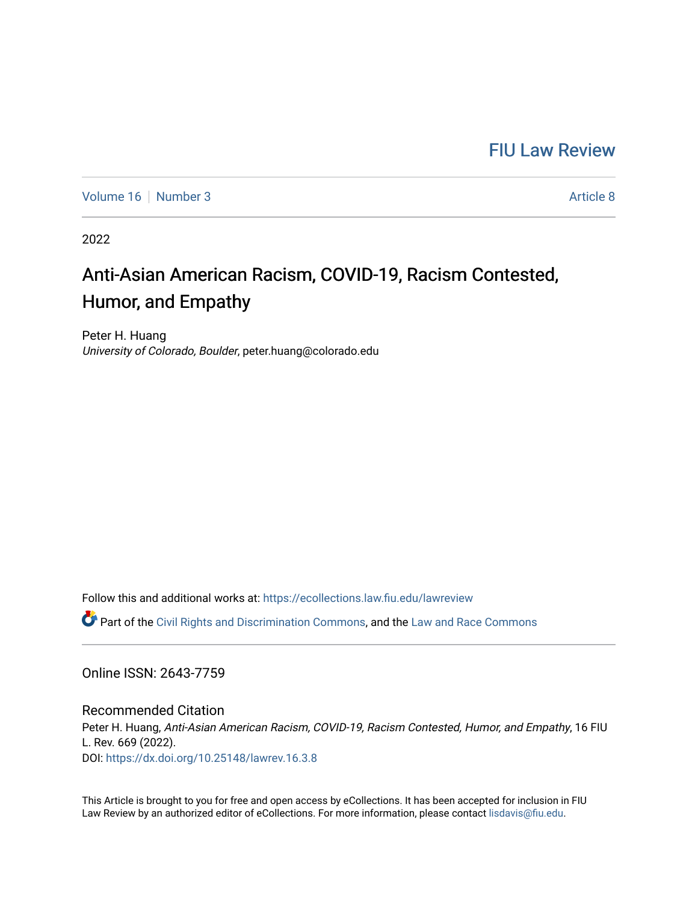## [FIU Law Review](https://ecollections.law.fiu.edu/lawreview)

[Volume 16](https://ecollections.law.fiu.edu/lawreview/vol16) | [Number 3](https://ecollections.law.fiu.edu/lawreview/vol16/iss3) Article 8

2022

# Anti-Asian American Racism, COVID-19, Racism Contested, Humor, and Empathy

Peter H. Huang University of Colorado, Boulder, peter.huang@colorado.edu

Follow this and additional works at: [https://ecollections.law.fiu.edu/lawreview](https://ecollections.law.fiu.edu/lawreview?utm_source=ecollections.law.fiu.edu%2Flawreview%2Fvol16%2Fiss3%2F8&utm_medium=PDF&utm_campaign=PDFCoverPages)

 $\bullet$  Part of the [Civil Rights and Discrimination Commons,](https://network.bepress.com/hgg/discipline/585?utm_source=ecollections.law.fiu.edu%2Flawreview%2Fvol16%2Fiss3%2F8&utm_medium=PDF&utm_campaign=PDFCoverPages) and the Law and Race Commons

Online ISSN: 2643-7759

Recommended Citation Peter H. Huang, Anti-Asian American Racism, COVID-19, Racism Contested, Humor, and Empathy, 16 FIU L. Rev. 669 (2022). DOI:<https://dx.doi.org/10.25148/lawrev.16.3.8>

This Article is brought to you for free and open access by eCollections. It has been accepted for inclusion in FIU Law Review by an authorized editor of eCollections. For more information, please contact [lisdavis@fiu.edu](mailto:lisdavis@fiu.edu).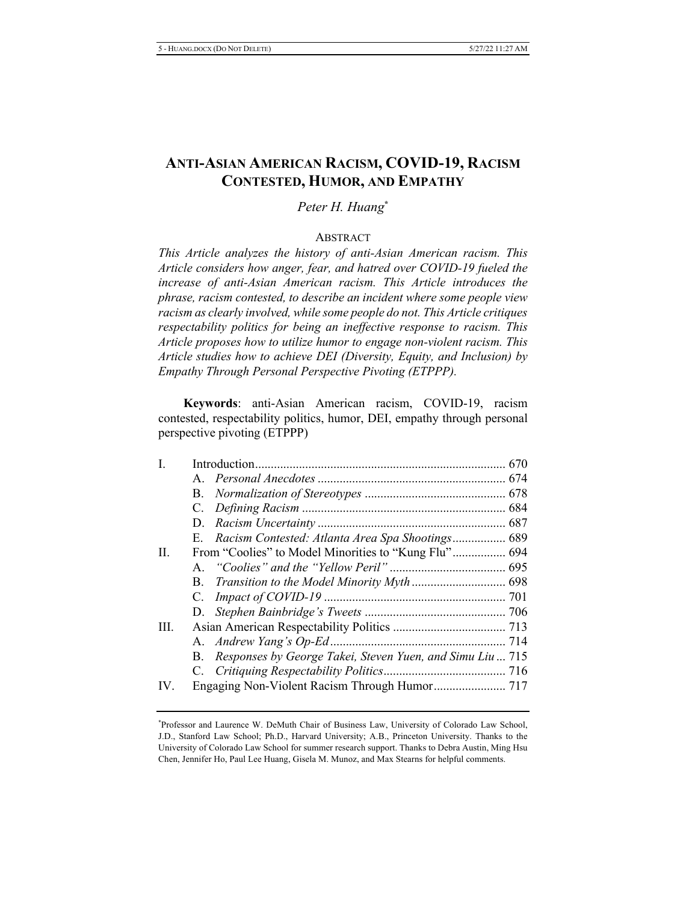### **ANTI-ASIAN AMERICAN RACISM, COVID-19, RACISM CONTESTED, HUMOR, AND EMPATHY**

Peter H. Huang<sup>\*</sup>

#### **ABSTRACT**

*This Article analyzes the history of anti-Asian American racism. This* Article considers how anger, fear, and hatred over COVID-19 fueled the increase of anti-Asian American racism. This Article introduces the *phrase, racism contested, to describe an incident where some people view* racism as clearly involved, while some people do not. This Article critiques *respectability politics for being an ineffective response to racism. This Article proposes how to utilize humor to engage non-violent racism. This Article studies how to achieve DEI (Diversity, Equity, and Inclusion) by Empathy Through Personal Perspective Pivoting (ETPPP).* 

Keywords: anti-Asian American racism, COVID-19, racism contested, respectability politics, humor, DEI, empathy through personal perspective pivoting (ETPPP)

| Ι.   |                                                             |  |
|------|-------------------------------------------------------------|--|
|      |                                                             |  |
|      |                                                             |  |
|      |                                                             |  |
|      |                                                             |  |
|      | E. Racism Contested: Atlanta Area Spa Shootings 689         |  |
| II.  | From "Coolies" to Model Minorities to "Kung Flu" 694        |  |
|      |                                                             |  |
|      |                                                             |  |
|      |                                                             |  |
|      |                                                             |  |
| III. |                                                             |  |
|      |                                                             |  |
|      | B. Responses by George Takei, Steven Yuen, and Simu Liu 715 |  |
|      |                                                             |  |
| IV.  |                                                             |  |

<sup>\*</sup>Professor and Laurence W. DeMuth Chair of Business Law, University of Colorado Law School, J.D., Stanford Law School; Ph.D., Harvard University; A.B., Princeton University. Thanks to the University of Colorado Law School for summer research support. Thanks to Debra Austin, Ming Hsu Chen, Jennifer Ho, Paul Lee Huang, Gisela M. Munoz, and Max Stearns for helpful comments.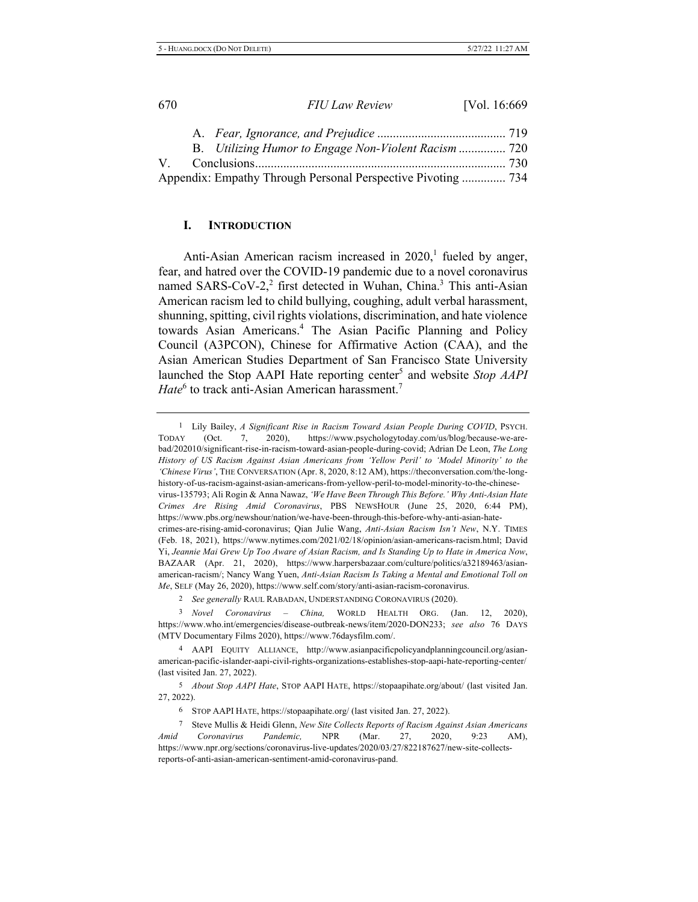|  | B. Utilizing Humor to Engage Non-Violent Racism  720         |  |
|--|--------------------------------------------------------------|--|
|  |                                                              |  |
|  | Appendix: Empathy Through Personal Perspective Pivoting  734 |  |

#### **I.** INTRODUCTION

Anti-Asian American racism increased in  $2020$ ,<sup>1</sup> fueled by anger, fear, and hatred over the COVID-19 pandemic due to a novel coronavirus named SARS-CoV-2,<sup>2</sup> first detected in Wuhan, China.<sup>3</sup> This anti-Asian American racism led to child bullying, coughing, adult verbal harassment, shunning, spitting, civil rights violations, discrimination, and hate violence towards Asian Americans.<sup>4</sup> The Asian Pacific Planning and Policy Council (A3PCON), Chinese for Affirmative Action (CAA), and the Asian American Studies Department of San Francisco State University launched the Stop AAPI Hate reporting center<sup>5</sup> and website Stop AAPI *Hate*<sup>6</sup> to track anti-Asian American harassment.<sup>7</sup>

<sup>1</sup> Lily Bailey, A Significant Rise in Racism Toward Asian People During COVID, PSYCH. TODAY (Oct. 7, 2020), https://www.psychologytoday.com/us/blog/because-we-arebad/202010/significant-rise-in-racism-toward-asian-people-during-covid; Adrian De Leon, The Long History of US Racism Against Asian Americans from 'Yellow Peril' to 'Model Minority' to the 'Chinese Virus', THE CONVERSATION (Apr. 8, 2020, 8:12 AM), https://theconversation.com/the-longhistory-of-us-racism-against-asian-americans-from-yellow-peril-to-model-minority-to-the-chinesevirus-135793; Ali Rogin & Anna Nawaz, *'We Have Been Through This Before.' Why Anti-Asian Hate* Crimes Are Rising Amid Coronavirus, PBS NEWSHOUR (June 25, 2020, 6:44 PM), https://www.pbs.org/newshour/nation/we-have-been-through-this-before-why-anti-asian-hatecrimes-are-rising-amid-coronavirus; Qian Julie Wang, Anti-Asian Racism Isn't New, N.Y. TIMES (Feb. 18, 2021), https://www.nytimes.com/2021/02/18/opinion/asian-americans-racism.html; David Yi, Jeannie Mai Grew Up Too Aware of Asian Racism, and Is Standing Up to Hate in America Now, BAZAAR (Apr. 21, 2020), https://www.harpersbazaar.com/culture/politics/a32189463/asianamerican-racism/; Nancy Wang Yuen, Anti-Asian Racism Is Taking a Mental and Emotional Toll on Me, SELF (May 26, 2020), https://www.self.com/story/anti-asian-racism-coronavirus.

<sup>2</sup> See generally RAUL RABADAN, UNDERSTANDING CORONAVIRUS (2020).

<sup>3</sup> Novel Coronavirus - China, WORLD HEALTH ORG. (Jan. 12, 2020), https://www.who.int/emergencies/disease-outbreak-news/item/2020-DON233; see also 76 DAYS (MTV Documentary Films 2020), https://www.76daysfilm.com/.

4 AAPI EQUITY ALLIANCE, http://www.asianpacificpolicyandplanningcouncil.org/asianamerican-pacific-islander-aapi-civil-rights-organizations-establishes-stop-aapi-hate-reporting-center/ (last visited Jan.  $27$ ,  $2022$ ).

<sup>5</sup> About Stop AAPI Hate, STOP AAPI HATE, https://stopaapihate.org/about/ (last visited Jan. 27, 2022).

6 STOP AAPI HATE, https://stopaapihate.org/ (last visited Jan. 27, 2022).

<sup>7</sup> Steve Mullis & Heidi Glenn, *New Site Collects Reports of Racism Against Asian Americans Amid* Coronavirus Pandemic, NPR (Mar. 27, 2020, 9:23 AM), https://www.npr.org/sections/coronavirus-live-updates/2020/03/27/822187627/new-site-collectsreports-of-anti-asian-american-sentiment-amid-coronavirus-pand.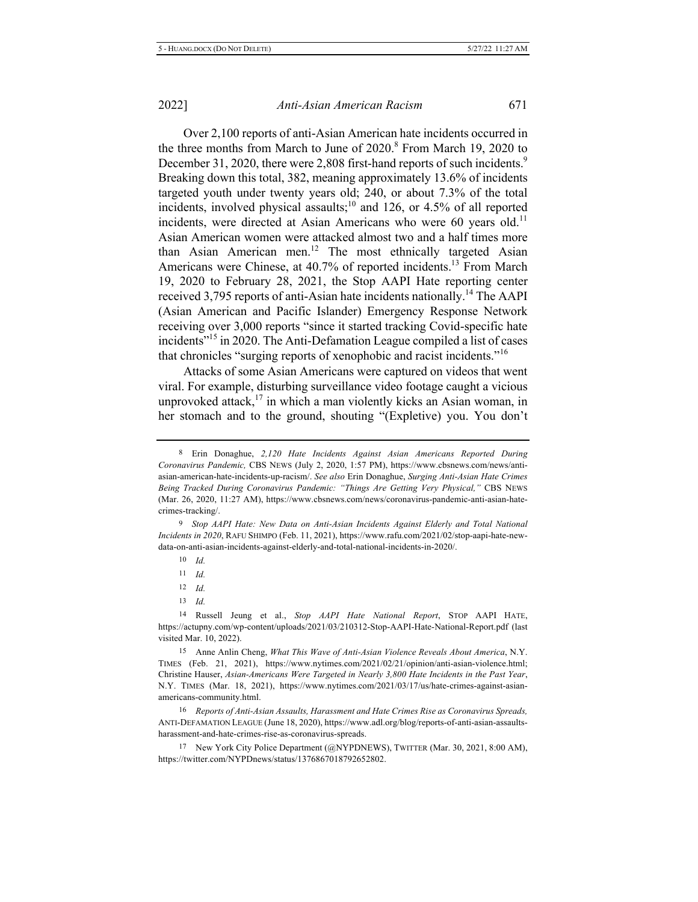Over 2,100 reports of anti-Asian American hate incidents occurred in the three months from March to June of 2020.<sup>8</sup> From March 19, 2020 to December 31, 2020, there were 2,808 first-hand reports of such incidents.<sup>9</sup> Breaking down this total, 382, meaning approximately 13.6% of incidents targeted youth under twenty years old; 240, or about  $7.3\%$  of the total incidents, involved physical assaults;<sup>10</sup> and 126, or 4.5% of all reported incidents, were directed at Asian Americans who were 60 years old.<sup>11</sup> Asian American women were attacked almost two and a half times more than Asian American men.<sup>12</sup> The most ethnically targeted Asian Americans were Chinese, at 40.7% of reported incidents.<sup>13</sup> From March 19, 2020 to February 28, 2021, the Stop AAPI Hate reporting center received 3,795 reports of anti-Asian hate incidents nationally.<sup>14</sup> The AAPI (Asian American and Pacific Islander) Emergency Response Network receiving over 3,000 reports "since it started tracking Covid-specific hate incidents $v<sup>15</sup>$  in 2020. The Anti-Defamation League compiled a list of cases that chronicles "surging reports of xenophobic and racist incidents."<sup>16</sup>

Attacks of some Asian Americans were captured on videos that went viral. For example, disturbing surveillance video footage caught a vicious unprovoked attack,<sup>17</sup> in which a man violently kicks an Asian woman, in her stomach and to the ground, shouting "(Expletive) you. You don't

<sup>9</sup> Stop AAPI Hate: New Data on Anti-Asian Incidents Against Elderly and Total National Incidents in 2020, RAFU SHIMPO (Feb. 11, 2021), https://www.rafu.com/2021/02/stop-aapi-hate-newdata-on-anti-asian-incidents-against-elderly-and-total-national-incidents-in-2020/.

 $11$  *Id.* 

- $12$  *Id.*
- 13 *Id.*

17 New York City Police Department (@NYPDNEWS), TWITTER (Mar. 30, 2021, 8:00 AM), https://twitter.com/NYPDnews/status/1376867018792652802.

<sup>8</sup> Erin Donaghue, 2,120 Hate Incidents Against Asian Americans Reported During Coronavirus Pandemic, CBS NEWS (July 2, 2020, 1:57 PM), https://www.cbsnews.com/news/antiasian-american-hate-incidents-up-racism/. See also Erin Donaghue, Surging Anti-Asian Hate Crimes Being Tracked During Coronavirus Pandemic: "Things Are Getting Very Physical," CBS NEWS (Mar. 26, 2020, 11:27 AM), https://www.cbsnews.com/news/coronavirus-pandemic-anti-asian-hatecrimes-tracking/.

<sup>10</sup> *Id.* 

<sup>14</sup> Russell Jeung et al., Stop AAPI Hate National Report, STOP AAPI HATE, https://actupny.com/wp-content/uploads/2021/03/210312-Stop-AAPI-Hate-National-Report.pdf (last visited Mar. 10, 2022).

<sup>15</sup> Anne Anlin Cheng, What This Wave of Anti-Asian Violence Reveals About America, N.Y. TIMES (Feb. 21, 2021), https://www.nytimes.com/2021/02/21/opinion/anti-asian-violence.html; Christine Hauser, Asian-Americans Were Targeted in Nearly 3,800 Hate Incidents in the Past Year, N.Y. TIMES (Mar. 18, 2021), https://www.nytimes.com/2021/03/17/us/hate-crimes-against-asianamericans-community.html.

<sup>&</sup>lt;sup>16</sup> Reports of Anti-Asian Assaults, Harassment and Hate Crimes Rise as Coronavirus Spreads, ANTI-DEFAMATION LEAGUE (June 18, 2020), https://www.adl.org/blog/reports-of-anti-asian-assaultsharassment-and-hate-crimes-rise-as-coronavirus-spreads.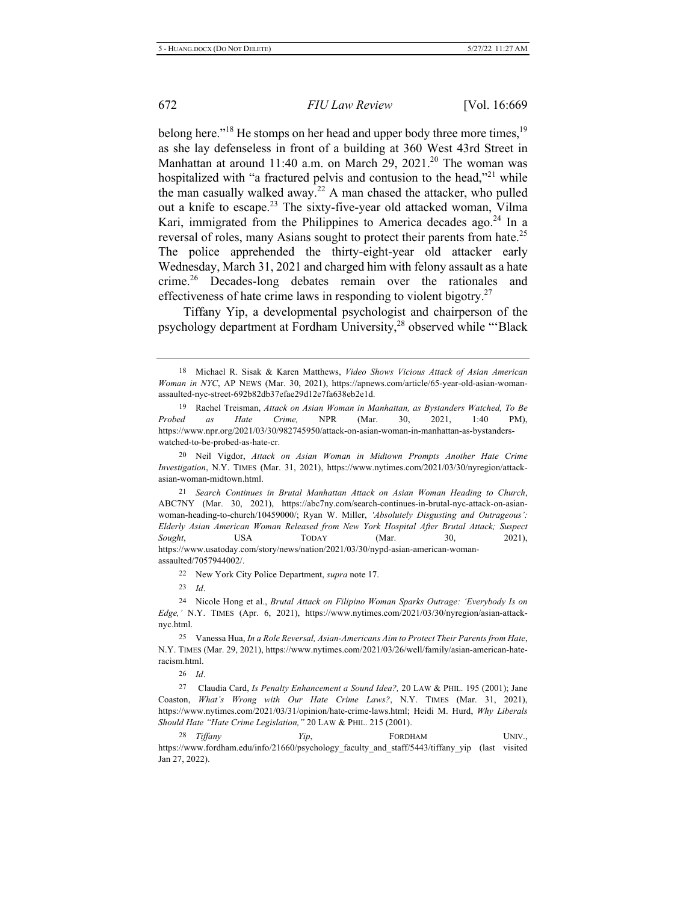belong here."<sup>18</sup> He stomps on her head and upper body three more times,<sup>19</sup> as she lay defenseless in front of a building at 360 West 43rd Street in Manhattan at around 11:40 a.m. on March 29, 2021.<sup>20</sup> The woman was hospitalized with "a fractured pelvis and contusion to the head,"<sup>21</sup> while the man casually walked away.<sup>22</sup> A man chased the attacker, who pulled out a knife to escape.<sup>23</sup> The sixty-five-year old attacked woman, Vilma Kari, immigrated from the Philippines to America decades ago.<sup>24</sup> In a reversal of roles, many Asians sought to protect their parents from hate.<sup>25</sup> The police apprehended the thirty-eight-year old attacker early Wednesday, March 31, 2021 and charged him with felony assault as a hate crime.<sup>26</sup> Decades-long debates remain over the rationales and effectiveness of hate crime laws in responding to violent bigotry.<sup>27</sup>

Tiffany Yip, a developmental psychologist and chairperson of the psychology department at Fordham University,<sup>28</sup> observed while "'Black

<sup>21</sup> Search Continues in Brutal Manhattan Attack on Asian Woman Heading to Church, ABC7NY (Mar. 30, 2021), https://abc7ny.com/search-continues-in-brutal-nyc-attack-on-asianwoman-heading-to-church/10459000/; Ryan W. Miller, 'Absolutely Disgusting and Outrageous': Elderly Asian American Woman Released from New York Hospital After Brutal Attack; Suspect *Sought*, **USA TODAY** (Mar. 30, 2021), https://www.usatoday.com/story/news/nation/2021/03/30/nypd-asian-american-womanassaulted/7057944002/.

22 New York City Police Department, supra note 17.

23 *Id.* 

19Fe<sup>25</sup> Vanessa Hua, In a Role Reversal, Asian-Americans Aim to Protect Their Parents from Hate, N.Y. TIMES (Mar. 29, 2021), https://www.nytimes.com/2021/03/26/well/family/asian-american-hateracism.html.

26 *Id.* 

<sup>27</sup> Claudia Card, *Is Penalty Enhancement a Sound Idea?*, 20 LAW & PHIL. 195 (2001); Jane Coaston, What's Wrong with Our Hate Crime Laws?, N.Y. TIMES (Mar. 31, 2021), https://www.nytimes.com/2021/03/31/opinion/hate-crime-laws.html; Heidi M. Hurd, Why Liberals Should Hate "Hate Crime Legislation," 20 LAW & PHIL. 215 (2001).

28 Tiffany *Yip*, FORDHAM UNIV., https://www.fordham.edu/info/21660/psychology\_faculty\_and\_staff/5443/tiffany\_yip (last visited Jan 27, 2022).

<sup>18</sup> Michael R. Sisak & Karen Matthews, Video Shows Vicious Attack of Asian American Woman in NYC, AP NEWS (Mar. 30, 2021), https://apnews.com/article/65-year-old-asian-womanassaulted-nyc-street-692b82db37efae29d12e7fa638eb2e1d.

<sup>19</sup> Rachel Treisman, Attack on Asian Woman in Manhattan, as Bystanders Watched, To Be *Probed as Hate Crime,* NPR (Mar. 30, 2021, 1:40 PM), https://www.npr.org/2021/03/30/982745950/attack-on-asian-woman-in-manhattan-as-bystanderswatched-to-be-probed-as-hate-cr.

<sup>20</sup> Neil Vigdor, Attack on Asian Woman in Midtown Prompts Another Hate Crime Investigation, N.Y. TIMES (Mar. 31, 2021), https://www.nytimes.com/2021/03/30/nyregion/attackasian-woman-midtown.html.

<sup>&</sup>lt;sup>24</sup> Nicole Hong et al., *Brutal Attack on Filipino Woman Sparks Outrage: 'Everybody Is on* Edge,' N.Y. TIMES (Apr. 6, 2021), https://www.nytimes.com/2021/03/30/nyregion/asian-attacknyc.html.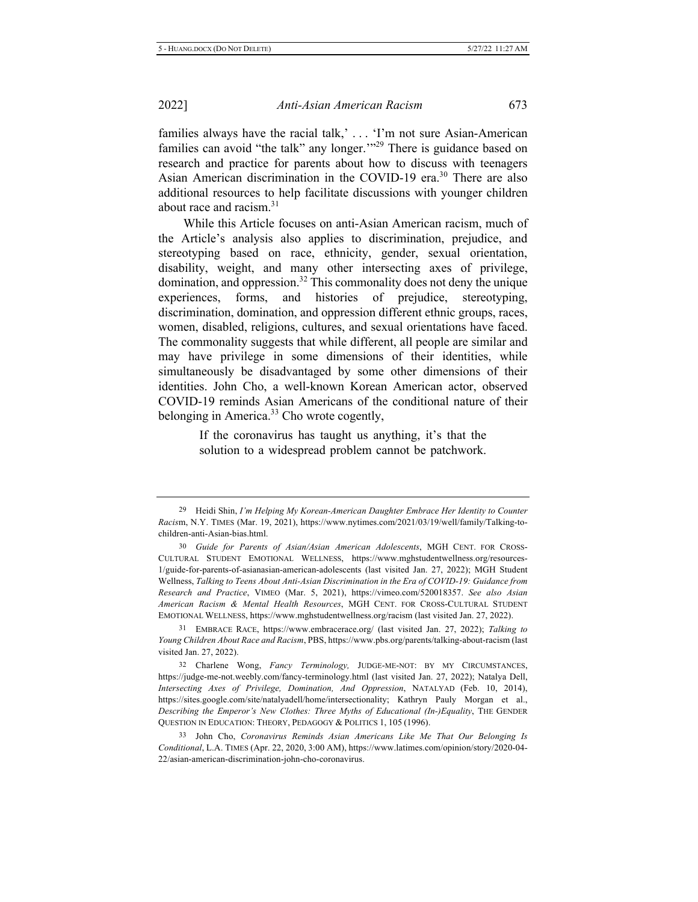families always have the racial talk,  $\cdot \cdot \cdot$  T'm not sure Asian-American families can avoid "the talk" any longer."<sup>29</sup> There is guidance based on research and practice for parents about how to discuss with teenagers Asian American discrimination in the COVID-19 era.<sup>30</sup> There are also additional resources to help facilitate discussions with younger children about race and racism.<sup>31</sup>

While this Article focuses on anti-Asian American racism, much of the Article's analysis also applies to discrimination, prejudice, and stereotyping based on race, ethnicity, gender, sexual orientation, disability, weight, and many other intersecting axes of privilege, domination, and oppression.<sup>32</sup> This commonality does not deny the unique experiences, forms, and histories of prejudice, stereotyping, discrimination, domination, and oppression different ethnic groups, races, women, disabled, religions, cultures, and sexual orientations have faced. The commonality suggests that while different, all people are similar and may have privilege in some dimensions of their identities, while simultaneously be disadvantaged by some other dimensions of their identities. John Cho, a well-known Korean American actor, observed COVID-19 reminds Asian Americans of the conditional nature of their belonging in America. $33$  Cho wrote cogently,

> If the coronavirus has taught us anything, it's that the solution to a widespread problem cannot be patchwork.

<sup>&</sup>lt;sup>29</sup> Heidi Shin, I'm Helping My Korean-American Daughter Embrace Her Identity to Counter Racism, N.Y. TIMES (Mar. 19, 2021), https://www.nytimes.com/2021/03/19/well/family/Talking-tochildren-anti-Asian-bias.html.

<sup>30</sup> Guide for Parents of Asian/Asian American Adolescents, MGH CENT. FOR CROSS-CULTURAL STUDENT EMOTIONAL WELLNESS, https://www.mghstudentwellness.org/resources-1/guide-for-parents-of-asianasian-american-adolescents (last visited Jan. 27, 2022); MGH Student Wellness, Talking to Teens About Anti-Asian Discrimination in the Era of COVID-19: Guidance from Research and Practice, VIMEO (Mar. 5, 2021), https://vimeo.com/520018357. See also Asian American Racism & Mental Health Resources, MGH CENT. FOR CROSS-CULTURAL STUDENT EMOTIONAL WELLNESS, https://www.mghstudentwellness.org/racism (last visited Jan. 27, 2022).

<sup>&</sup>lt;sup>31</sup> EMBRACE RACE, https://www.embracerace.org/ (last visited Jan. 27, 2022); Talking to Young Children About Race and Racism, PBS, https://www.pbs.org/parents/talking-about-racism (last visited Jan. 27, 2022).

<sup>32</sup> Charlene Wong, Fancy Terminology, JUDGE-ME-NOT: BY MY CIRCUMSTANCES, https://judge-me-not.weebly.com/fancy-terminology.html (last visited Jan. 27, 2022); Natalya Dell, Intersecting Axes of Privilege, Domination, And Oppression, NATALYAD (Feb. 10, 2014), https://sites.google.com/site/natalyadell/home/intersectionality; Kathryn Pauly Morgan et al., Describing the Emperor's New Clothes: Three Myths of Educational (In-)Equality, THE GENDER QUESTION IN EDUCATION: THEORY, PEDAGOGY & POLITICS 1, 105 (1996).

<sup>33</sup> John Cho, Coronavirus Reminds Asian Americans Like Me That Our Belonging Is Conditional, L.A. TIMES (Apr. 22, 2020, 3:00 AM), https://www.latimes.com/opinion/story/2020-04-22/asian-american-discrimination-john-cho-coronavirus.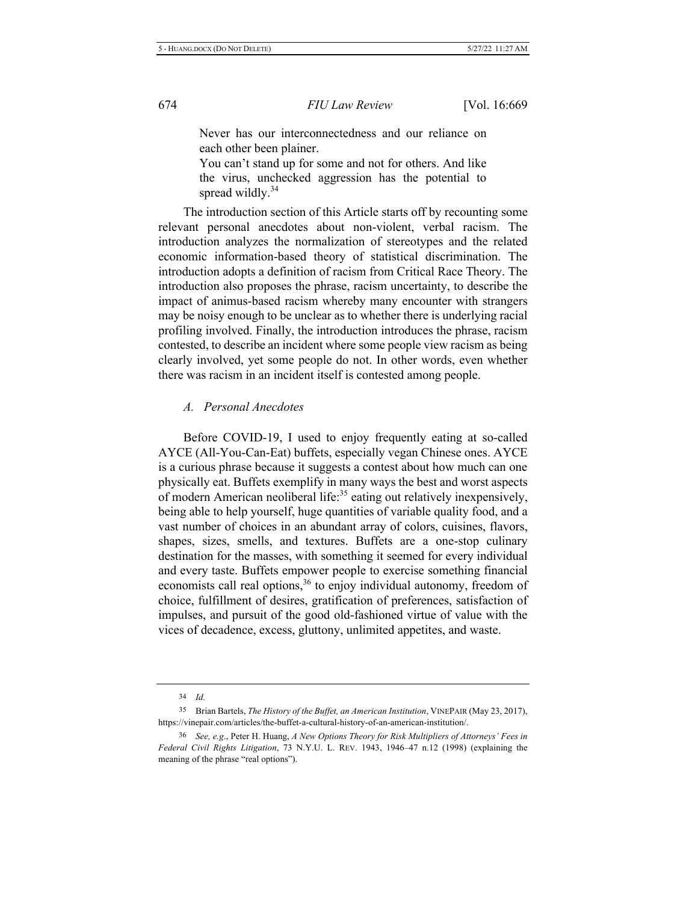Never has our interconnectedness and our reliance on each other been plainer.

You can't stand up for some and not for others. And like the virus, unchecked aggression has the potential to spread wildly.<sup>34</sup>

The introduction section of this Article starts off by recounting some relevant personal anecdotes about non-violent, verbal racism. The introduction analyzes the normalization of stereotypes and the related economic information-based theory of statistical discrimination. The introduction adopts a definition of racism from Critical Race Theory. The introduction also proposes the phrase, racism uncertainty, to describe the impact of animus-based racism whereby many encounter with strangers may be noisy enough to be unclear as to whether there is underlying racial profiling involved. Finally, the introduction introduces the phrase, racism contested, to describe an incident where some people view racism as being clearly involved, yet some people do not. In other words, even whether there was racism in an incident itself is contested among people.

#### *A. Personal Anecdotes*

Before COVID-19, I used to enjoy frequently eating at so-called AYCE (All-You-Can-Eat) buffets, especially vegan Chinese ones. AYCE is a curious phrase because it suggests a contest about how much can one physically eat. Buffets exemplify in many ways the best and worst aspects of modern American neoliberal life:<sup>35</sup> eating out relatively inexpensively, being able to help yourself, huge quantities of variable quality food, and a vast number of choices in an abundant array of colors, cuisines, flavors, shapes, sizes, smells, and textures. Buffets are a one-stop culinary destination for the masses, with something it seemed for every individual and every taste. Buffets empower people to exercise something financial economists call real options,<sup>36</sup> to enjoy individual autonomy, freedom of choice, fulfillment of desires, gratification of preferences, satisfaction of impulses, and pursuit of the good old-fashioned virtue of value with the vices of decadence, excess, gluttony, unlimited appetites, and waste.

<sup>34</sup> *Id.* 

<sup>35</sup> Brian Bartels, The History of the Buffet, an American Institution, VINEPAIR (May 23, 2017), https://vinepair.com/articles/the-buffet-a-cultural-history-of-an-american-institution/.

<sup>&</sup>lt;sup>36</sup> See, e.g., Peter H. Huang, A New Options Theory for Risk Multipliers of Attorneys' Fees in *Federal Civil Rights Litigation, 73 N.Y.U. L. REV. 1943, 1946-47 n.12 (1998) (explaining the* meaning of the phrase "real options").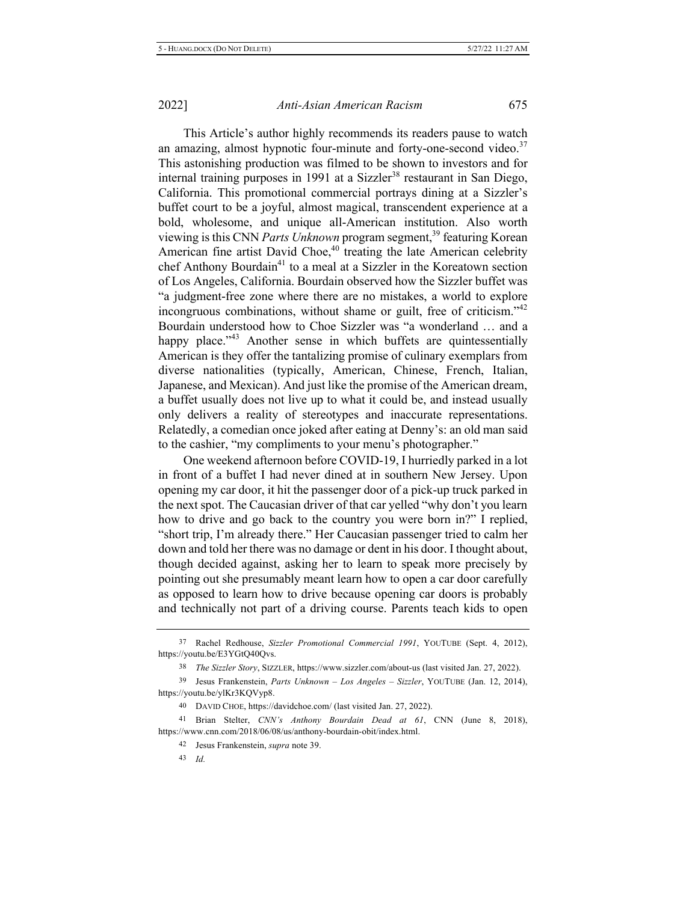This Article's author highly recommends its readers pause to watch an amazing, almost hypnotic four-minute and forty-one-second video.<sup>37</sup> This astonishing production was filmed to be shown to investors and for internal training purposes in 1991 at a Sizzler<sup>38</sup> restaurant in San Diego, California. This promotional commercial portrays dining at a Sizzler's buffet court to be a joyful, almost magical, transcendent experience at a bold, wholesome, and unique all-American institution. Also worth viewing is this CNN Parts Unknown program segment,<sup>39</sup> featuring Korean American fine artist David Choe,<sup>40</sup> treating the late American celebrity chef Anthony Bourdain<sup>41</sup> to a meal at a Sizzler in the Koreatown section of Los Angeles, California. Bourdain observed how the Sizzler buffet was "a judgment-free zone where there are no mistakes, a world to explore incongruous combinations, without shame or guilt, free of criticism."<sup>42</sup> Bourdain understood how to Choe Sizzler was "a wonderland ... and a happy place."<sup>43</sup> Another sense in which buffets are quintessentially American is they offer the tantalizing promise of culinary exemplars from diverse nationalities (typically, American, Chinese, French, Italian, Japanese, and Mexican). And just like the promise of the American dream, a buffet usually does not live up to what it could be, and instead usually only delivers a reality of stereotypes and inaccurate representations. Relatedly, a comedian once joked after eating at Denny's: an old man said to the cashier, "my compliments to your menu's photographer."

One weekend afternoon before COVID-19, I hurriedly parked in a lot in front of a buffet I had never dined at in southern New Jersey. Upon opening my car door, it hit the passenger door of a pick-up truck parked in the next spot. The Caucasian driver of that car yelled "why don't you learn how to drive and go back to the country you were born in?" I replied, "short trip, I'm already there." Her Caucasian passenger tried to calm her down and told her there was no damage or dent in his door. I thought about, though decided against, asking her to learn to speak more precisely by pointing out she presumably meant learn how to open a car door carefully as opposed to learn how to drive because opening car doors is probably and technically not part of a driving course. Parents teach kids to open

41 Brian Stelter, CNN's Anthony Bourdain Dead at 61, CNN (June 8, 2018), https://www.cnn.com/2018/06/08/us/anthony-bourdain-obit/index.html.

<sup>37</sup> Rachel Redhouse, Sizzler Promotional Commercial 1991, YOUTUBE (Sept. 4, 2012), https://youtu.be/E3YGtQ40Qvs.

<sup>38</sup> The Sizzler Story, SIZZLER, https://www.sizzler.com/about-us (last visited Jan. 27, 2022).

<sup>39</sup> Jesus Frankenstein, Parts Unknown - Los Angeles - Sizzler, YOUTUBE (Jan. 12, 2014), https://youtu.be/ylKr3KQVyp8.

<sup>40</sup> DAVID CHOE, https://davidchoe.com/ (last visited Jan. 27, 2022).

<sup>42</sup> Jesus Frankenstein, *supra* note 39.

<sup>43</sup> *Id.*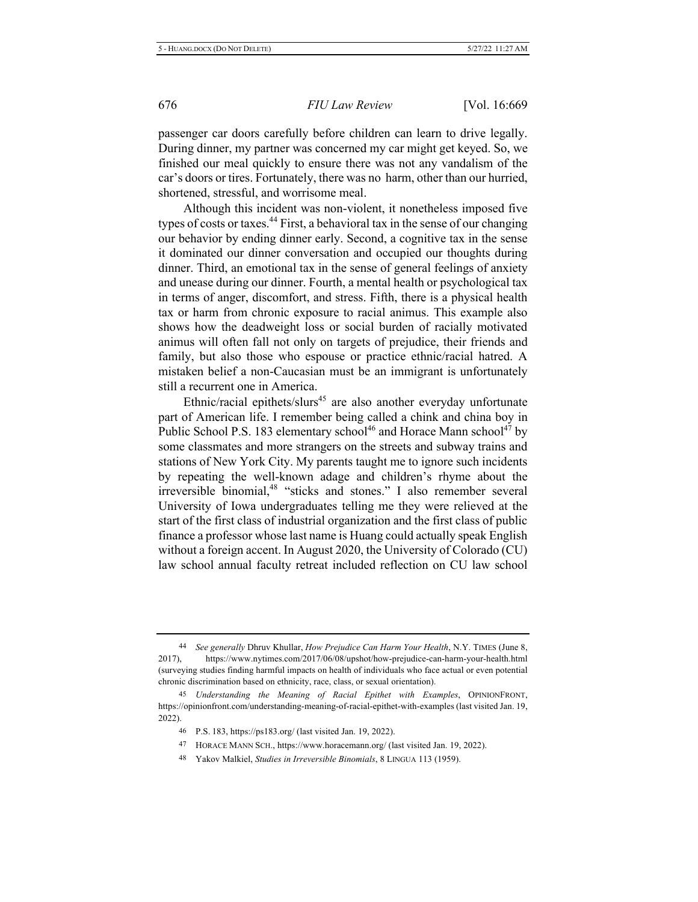passenger car doors carefully before children can learn to drive legally. During dinner, my partner was concerned my car might get keyed. So, we finished our meal quickly to ensure there was not any vandalism of the car's doors or tires. Fortunately, there was no harm, other than our hurried, shortened, stressful, and worrisome meal.

Although this incident was non-violent, it nonetheless imposed five types of costs or taxes.<sup>44</sup> First, a behavioral tax in the sense of our changing our behavior by ending dinner early. Second, a cognitive tax in the sense it dominated our dinner conversation and occupied our thoughts during dinner. Third, an emotional tax in the sense of general feelings of anxiety and unease during our dinner. Fourth, a mental health or psychological tax in terms of anger, discomfort, and stress. Fifth, there is a physical health tax or harm from chronic exposure to racial animus. This example also shows how the deadweight loss or social burden of racially motivated animus will often fall not only on targets of prejudice, their friends and family, but also those who espouse or practice ethnic/racial hatred. A mistaken belief a non-Caucasian must be an immigrant is unfortunately still a recurrent one in America.

Ethnic/racial epithets/slurs<sup>45</sup> are also another everyday unfortunate part of American life. I remember being called a chink and china boy in Public School P.S. 183 elementary school<sup>46</sup> and Horace Mann school<sup>47</sup> by some classmates and more strangers on the streets and subway trains and stations of New York City. My parents taught me to ignore such incidents by repeating the well-known adage and children's rhyme about the irreversible binomial, $48$  "sticks and stones." I also remember several University of Iowa undergraduates telling me they were relieved at the start of the first class of industrial organization and the first class of public finance a professor whose last name is Huang could actually speak English without a foreign accent. In August 2020, the University of Colorado (CU) law school annual faculty retreat included reflection on CU law school

48 Yakov Malkiel, Studies in Irreversible Binomials, 8 LINGUA 113 (1959).

<sup>&</sup>lt;sup>44</sup> See generally Dhruv Khullar, *How Prejudice Can Harm Your Health*, N.Y. TIMES (June 8, 2017), https://www.nytimes.com/2017/06/08/upshot/how-prejudice-can-harm-your-health.html (surveying studies finding harmful impacts on health of individuals who face actual or even potential chronic discrimination based on ethnicity, race, class, or sexual orientation).

<sup>&</sup>lt;sup>45</sup> Understanding the Meaning of Racial Epithet with Examples, OPINIONFRONT, https://opinionfront.com/understanding-meaning-of-racial-epithet-with-examples (last visited Jan. 19,  $2022$ ).

<sup>46</sup> P.S. 183, https://ps183.org/ (last visited Jan. 19, 2022).

<sup>47</sup> HORACE MANN SCH., https://www.horacemann.org/ (last visited Jan. 19, 2022).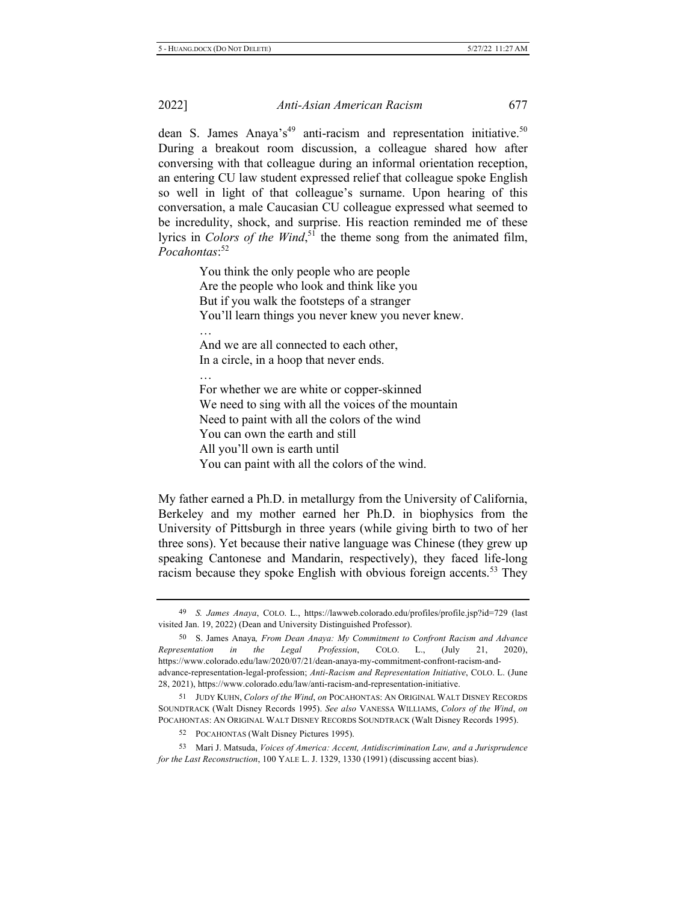dean S. James Anaya's<sup>49</sup> anti-racism and representation initiative.<sup>50</sup> During a breakout room discussion, a colleague shared how after conversing with that colleague during an informal orientation reception, an entering CU law student expressed relief that colleague spoke English so well in light of that colleague's surname. Upon hearing of this conversation, a male Caucasian CU colleague expressed what seemed to be incredulity, shock, and surprise. His reaction reminded me of these lyrics in Colors of the Wind,<sup>51</sup> the theme song from the animated film, *Pocahontas*:<sup>52</sup>

> You think the only people who are people Are the people who look and think like you But if you walk the footsteps of a stranger You'll learn things you never knew you never knew.

And we are all connected to each other, In a circle, in a hoop that never ends.

 $\cdots$ 

 $\cdots$ 

For whether we are white or copper-skinned We need to sing with all the voices of the mountain Need to paint with all the colors of the wind You can own the earth and still All you'll own is earth until You can paint with all the colors of the wind.

My father earned a Ph.D. in metallurgy from the University of California, Berkeley and my mother earned her Ph.D. in biophysics from the University of Pittsburgh in three years (while giving birth to two of her three sons). Yet because their native language was Chinese (they grew up speaking Cantonese and Mandarin, respectively), they faced life-long racism because they spoke English with obvious foreign accents.<sup>53</sup> They

<sup>49</sup> S. James Anaya, COLO. L., https://lawweb.colorado.edu/profiles/profile.jsp?id=729 (last visited Jan. 19, 2022) (Dean and University Distinguished Professor).

<sup>50</sup> S. James Anaya, From Dean Anaya: My Commitment to Confront Racism and Advance *Representation* in the Legal Profession, COLO. L., (July 21, 2020), https://www.colorado.edu/law/2020/07/21/dean-anaya-my-commitment-confront-racism-andadvance-representation-legal-profession; Anti-Racism and Representation Initiative, COLO. L. (June 28, 2021), https://www.colorado.edu/law/anti-racism-and-representation-initiative.

<sup>51</sup> JUDY KUHN, Colors of the Wind, on POCAHONTAS: AN ORIGINAL WALT DISNEY RECORDS SOUNDTRACK (Walt Disney Records 1995). See also VANESSA WILLIAMS, Colors of the Wind, on POCAHONTAS: AN ORIGINAL WALT DISNEY RECORDS SOUNDTRACK (Walt Disney Records 1995).

<sup>52</sup> POCAHONTAS (Walt Disney Pictures 1995).

<sup>53</sup> Mari J. Matsuda, Voices of America: Accent, Antidiscrimination Law, and a Jurisprudence for the Last Reconstruction, 100 YALE L. J. 1329, 1330 (1991) (discussing accent bias).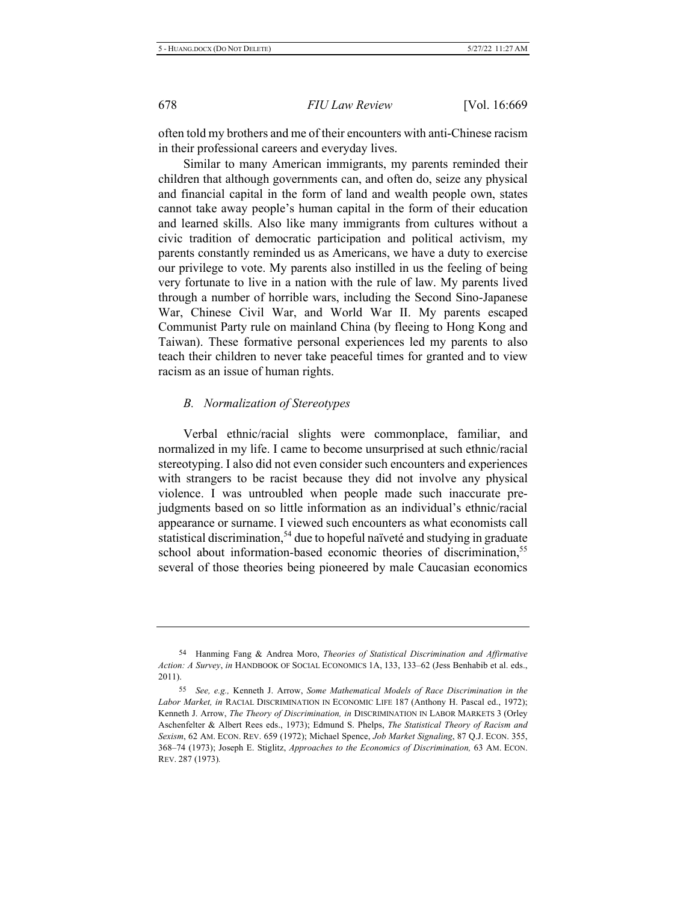often told my brothers and me of their encounters with anti-Chinese racism in their professional careers and everyday lives.

Similar to many American immigrants, my parents reminded their children that although governments can, and often do, seize any physical and financial capital in the form of land and wealth people own, states cannot take away people's human capital in the form of their education and learned skills. Also like many immigrants from cultures without a civic tradition of democratic participation and political activism, my parents constantly reminded us as Americans, we have a duty to exercise our privilege to vote. My parents also instilled in us the feeling of being very fortunate to live in a nation with the rule of law. My parents lived through a number of horrible wars, including the Second Sino-Japanese War, Chinese Civil War, and World War II. My parents escaped Communist Party rule on mainland China (by fleeing to Hong Kong and Taiwan). These formative personal experiences led my parents to also teach their children to never take peaceful times for granted and to view racism as an issue of human rights.

#### *B. Normalization of Stereotypes*

Verbal ethnic/racial slights were commonplace, familiar, and normalized in my life. I came to become unsurprised at such ethnic/racial stereotyping. I also did not even consider such encounters and experiences with strangers to be racist because they did not involve any physical violence. I was untroubled when people made such inaccurate prejudgments based on so little information as an individual's ethnic/racial appearance or surname. I viewed such encounters as what economists call statistical discrimination,<sup>54</sup> due to hopeful naïveté and studying in graduate school about information-based economic theories of discrimination,<sup>55</sup> several of those theories being pioneered by male Caucasian economics

<sup>54</sup> Hanming Fang & Andrea Moro, *Theories of Statistical Discrimination and Affirmative* Action: A Survey, in HANDBOOK OF SOCIAL ECONOMICS 1A, 133, 133-62 (Jess Benhabib et al. eds.,  $2011$ ).

<sup>55</sup> See, e.g., Kenneth J. Arrow, Some Mathematical Models of Race Discrimination in the Labor Market, in RACIAL DISCRIMINATION IN ECONOMIC LIFE 187 (Anthony H. Pascal ed., 1972); Kenneth J. Arrow, *The Theory of Discrimination, in DISCRIMINATION IN LABOR MARKETS* 3 (Orley Aschenfelter & Albert Rees eds., 1973); Edmund S. Phelps, *The Statistical Theory of Racism and* Sexism, 62 AM. ECON. REV. 659 (1972); Michael Spence, *Job Market Signaling*, 87 Q.J. ECON. 355, 368-74 (1973); Joseph E. Stiglitz, *Approaches to the Economics of Discrimination*, 63 AM. ECON. REV. 287 (1973).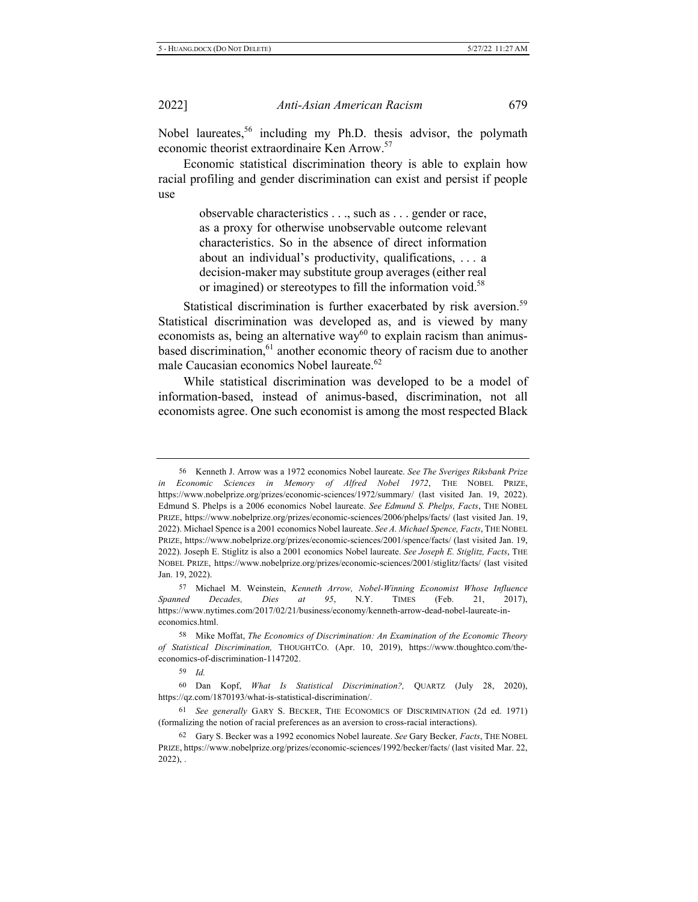Nobel laureates,<sup>56</sup> including my Ph.D. thesis advisor, the polymath economic theorist extraordinaire Ken Arrow.<sup>57</sup>

Economic statistical discrimination theory is able to explain how racial profiling and gender discrimination can exist and persist if people use

> observable characteristics . . ., such as . . . gender or race, as a proxy for otherwise unobservable outcome relevant characteristics. So in the absence of direct information about an individual's productivity, qualifications, ... a decision-maker may substitute group averages (either real or imagined) or stereotypes to fill the information void.<sup>58</sup>

Statistical discrimination is further exacerbated by risk aversion.<sup>59</sup> Statistical discrimination was developed as, and is viewed by many economists as, being an alternative way<sup>60</sup> to explain racism than animusbased discrimination,<sup>61</sup> another economic theory of racism due to another male Caucasian economics Nobel laureate.<sup>62</sup>

While statistical discrimination was developed to be a model of information-based, instead of animus-based, discrimination, not all economists agree. One such economist is among the most respected Black

57 Michael M. Weinstein, Kenneth Arrow, Nobel-Winning Economist Whose Influence *Spanned Decades, Dies at 95, N.Y. TIMES (Feb. 21, 2017),* https://www.nytimes.com/2017/02/21/business/economy/kenneth-arrow-dead-nobel-laureate-ineconomics.html.

58 Mike Moffat, The Economics of Discrimination: An Examination of the Economic Theory of Statistical Discrimination, THOUGHTCO. (Apr. 10, 2019), https://www.thoughtco.com/theeconomics-of-discrimination-1147202.

59 *Id.* 

60 Dan Kopf, What Is Statistical Discrimination?, QUARTZ (July 28, 2020), https://qz.com/1870193/what-is-statistical-discrimination/.

<sup>61</sup> See generally GARY S. BECKER, THE ECONOMICS OF DISCRIMINATION (2d ed. 1971) (formalizing the notion of racial preferences as an aversion to cross-racial interactions).

62 Gary S. Becker was a 1992 economics Nobel laureate. See Gary Becker, Facts, THE NOBEL PRIZE, https://www.nobelprize.org/prizes/economic-sciences/1992/becker/facts/ (last visited Mar. 22,  $2022$ ), .

<sup>56</sup> Kenneth J. Arrow was a 1972 economics Nobel laureate. See The Sveriges Riksbank Prize in Economic Sciences in Memory of Alfred Nobel 1972, THE NOBEL PRIZE, https://www.nobelprize.org/prizes/economic-sciences/1972/summary/ (last visited Jan. 19, 2022). Edmund S. Phelps is a 2006 economics Nobel laureate. See Edmund S. Phelps, Facts, THE NOBEL PRIZE, https://www.nobelprize.org/prizes/economic-sciences/2006/phelps/facts/ (last visited Jan. 19, 2022). Michael Spence is a 2001 economics Nobel laureate. See A. Michael Spence, Facts, THE NOBEL PRIZE, https://www.nobelprize.org/prizes/economic-sciences/2001/spence/facts/ (last visited Jan. 19, 2022). Joseph E. Stiglitz is also a 2001 economics Nobel laureate. See Joseph E. Stiglitz, Facts, THE NOBEL PRIZE, https://www.nobelprize.org/prizes/economic-sciences/2001/stiglitz/facts/ (last visited Jan. 19, 2022).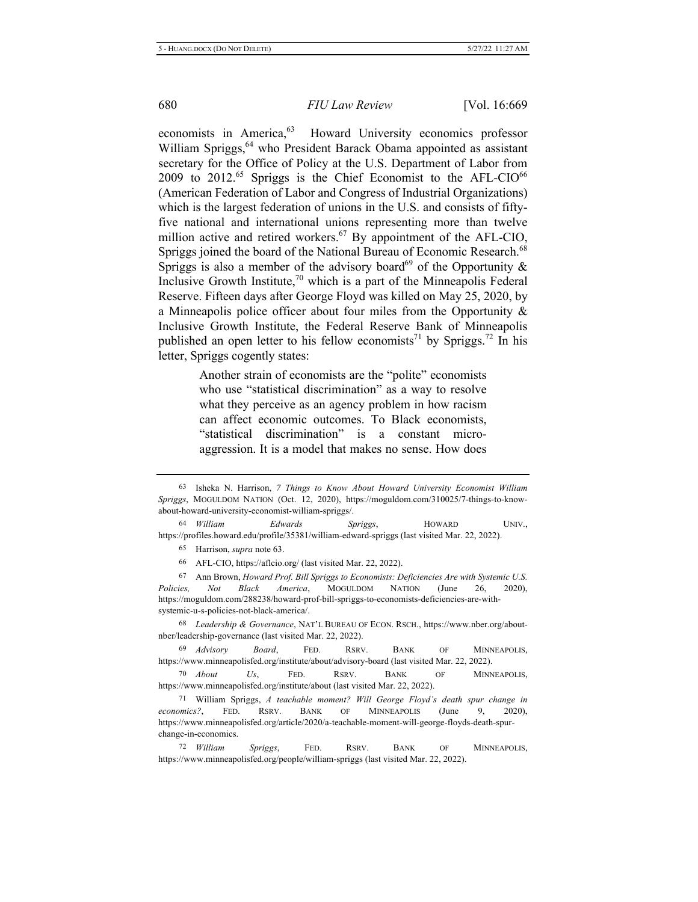economists in America,<sup>63</sup> Howard University economics professor William Spriggs,<sup>64</sup> who President Barack Obama appointed as assistant secretary for the Office of Policy at the U.S. Department of Labor from  $2009$  to  $2012$ .<sup>65</sup> Spriggs is the Chief Economist to the AFL-CIO<sup>66</sup> (American Federation of Labor and Congress of Industrial Organizations) which is the largest federation of unions in the U.S. and consists of fiftyfive national and international unions representing more than twelve million active and retired workers.<sup>67</sup> By appointment of the AFL-CIO, Spriggs joined the board of the National Bureau of Economic Research.<sup>68</sup> Spriggs is also a member of the advisory board<sup>69</sup> of the Opportunity & Inclusive Growth Institute,<sup>70</sup> which is a part of the Minneapolis Federal Reserve. Fifteen days after George Floyd was killed on May 25, 2020, by a Minneapolis police officer about four miles from the Opportunity  $\&$ Inclusive Growth Institute, the Federal Reserve Bank of Minneapolis published an open letter to his fellow economists<sup>71</sup> by Spriggs.<sup>72</sup> In his letter, Spriggs cogently states:

> Another strain of economists are the "polite" economists who use "statistical discrimination" as a way to resolve what they perceive as an agency problem in how racism can affect economic outcomes. To Black economists, "statistical discrimination" is a constant microaggression. It is a model that makes no sense. How does

<sup>64</sup> William **Edwards** Spriggs, HOWARD UNIV., https://profiles.howard.edu/profile/35381/william-edward-spriggs (last visited Mar. 22, 2022).

65 Harrison, *supra* note 63.

66 AFL-CIO, https://aflcio.org/ (last visited Mar. 22, 2022).

67 Ann Brown, *Howard Prof. Bill Spriggs to Economists: Deficiencies Are with Systemic U.S. Policies, Not Black America, MOGULDOM NATION (June 26, 2020),* https://moguldom.com/288238/howard-prof-bill-spriggs-to-economists-deficiencies-are-withsystemic-u-s-policies-not-black-america/.

68 Leadership & Governance, NAT'L BUREAU OF ECON. RSCH., https://www.nber.org/aboutnber/leadership-governance (last visited Mar. 22, 2022).

<sup>69</sup> *Advisory Board*, FED. RSRV. BANK OF MINNEAPOLIS, https://www.minneapolisfed.org/institute/about/advisory-board (last visited Mar. 22, 2022).

 $70$  About Us, FED. RSRV. BANK OF MINNEAPOLIS, https://www.minneapolisfed.org/institute/about (last visited Mar. 22, 2022).

<sup>71</sup> William Spriggs, *A teachable moment? Will George Floyd's death spur change in economics*?, FED. RSRV. BANK OF MINNEAPOLIS (June 9, 2020), https://www.minneapolisfed.org/article/2020/a-teachable-moment-will-george-floyds-death-spurchange-in-economics.

72 William Spriggs, FED. RSRV. BANK OF MINNEAPOLIS, https://www.minneapolisfed.org/people/william-spriggs (last visited Mar. 22, 2022).

<sup>63</sup> Isheka N. Harrison, 7 Things to Know About Howard University Economist William Spriggs, MOGULDOM NATION (Oct. 12, 2020), https://moguldom.com/310025/7-things-to-knowabout-howard-university-economist-william-spriggs/.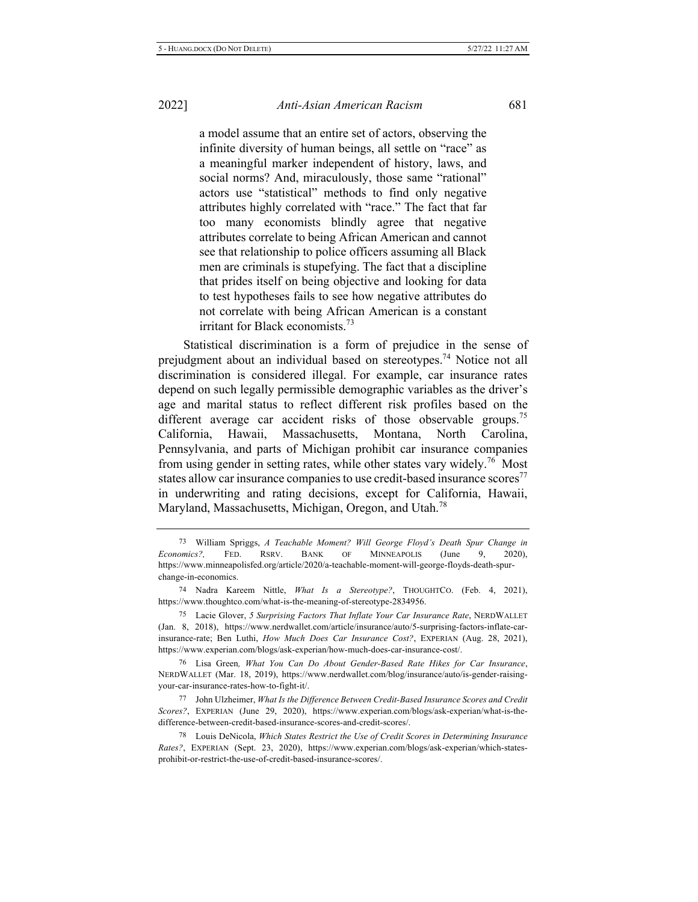a model assume that an entire set of actors, observing the infinite diversity of human beings, all settle on "race" as a meaningful marker independent of history, laws, and social norms? And, miraculously, those same "rational" actors use "statistical" methods to find only negative attributes highly correlated with "race." The fact that far too many economists blindly agree that negative attributes correlate to being African American and cannot see that relationship to police officers assuming all Black men are criminals is stupefying. The fact that a discipline that prides itself on being objective and looking for data to test hypotheses fails to see how negative attributes do not correlate with being African American is a constant irritant for Black economists.<sup>73</sup>

Statistical discrimination is a form of prejudice in the sense of prejudgment about an individual based on stereotypes.<sup>74</sup> Notice not all discrimination is considered illegal. For example, car insurance rates depend on such legally permissible demographic variables as the driver's age and marital status to reflect different risk profiles based on the different average car accident risks of those observable groups.<sup>75</sup> California. Hawaii. Massachusetts, Montana. North Carolina, Pennsylvania, and parts of Michigan prohibit car insurance companies from using gender in setting rates, while other states vary widely.<sup>76</sup> Most states allow car insurance companies to use credit-based insurance scores<sup>77</sup> in underwriting and rating decisions, except for California, Hawaii, Maryland, Massachusetts, Michigan, Oregon, and Utah.<sup>78</sup>

<sup>&</sup>lt;sup>73</sup> William Spriggs, *A Teachable Moment? Will George Floyd's Death Spur Change in* Economics?, FED. RSRV. BANK OF MINNEAPOLIS (June 9, 2020), https://www.minneapolisfed.org/article/2020/a-teachable-moment-will-george-floyds-death-spurchange-in-economics.

<sup>&</sup>lt;sup>74</sup> Nadra Kareem Nittle, *What Is a Stereotype*?, THOUGHTCO. (Feb. 4, 2021), https://www.thoughtco.com/what-is-the-meaning-of-stereotype-2834956.

<sup>&</sup>lt;sup>75</sup> Lacie Glover, 5 Surprising Factors That Inflate Your Car Insurance Rate, NERDWALLET (Jan. 8, 2018), https://www.nerdwallet.com/article/insurance/auto/5-surprising-factors-inflate-carinsurance-rate; Ben Luthi, *How Much Does Car Insurance Cost?*, EXPERIAN (Aug. 28, 2021), https://www.experian.com/blogs/ask-experian/how-much-does-car-insurance-cost/.

<sup>&</sup>lt;sup>76</sup> Lisa Green, What You Can Do About Gender-Based Rate Hikes for Car Insurance, NERDWALLET (Mar. 18, 2019), https://www.nerdwallet.com/blog/insurance/auto/is-gender-raisingyour-car-insurance-rates-how-to-fight-it/.

<sup>77</sup> John Ulzheimer, What Is the Difference Between Credit-Based Insurance Scores and Credit Scores?, EXPERIAN (June 29, 2020), https://www.experian.com/blogs/ask-experian/what-is-thedifference-between-credit-based-insurance-scores-and-credit-scores/.

<sup>&</sup>lt;sup>78</sup> Louis DeNicola, Which States Restrict the Use of Credit Scores in Determining Insurance Rates?, EXPERIAN (Sept. 23, 2020), https://www.experian.com/blogs/ask-experian/which-statesprohibit-or-restrict-the-use-of-credit-based-insurance-scores/.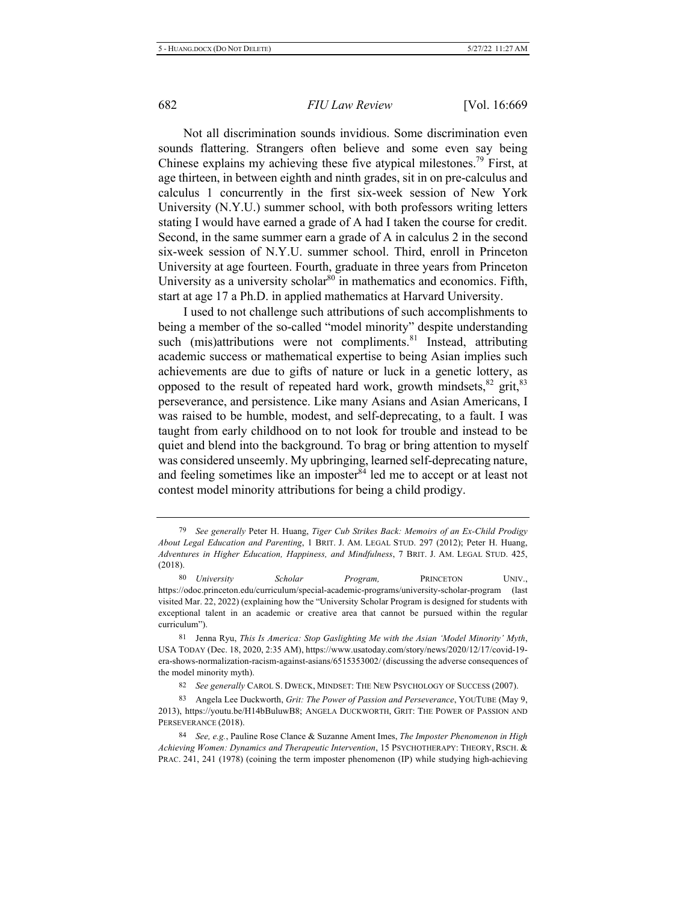Not all discrimination sounds invidious. Some discrimination even sounds flattering. Strangers often believe and some even say being Chinese explains my achieving these five atypical milestones.<sup>79</sup> First, at age thirteen, in between eighth and ninth grades, sit in on pre-calculus and calculus 1 concurrently in the first six-week session of New York University (N.Y.U.) summer school, with both professors writing letters stating I would have earned a grade of A had I taken the course for credit. Second, in the same summer earn a grade of A in calculus 2 in the second six-week session of N.Y.U. summer school. Third, enroll in Princeton University at age fourteen. Fourth, graduate in three years from Princeton University as a university scholar<sup>80</sup> in mathematics and economics. Fifth, start at age 17 a Ph.D. in applied mathematics at Harvard University.

I used to not challenge such attributions of such accomplishments to being a member of the so-called "model minority" despite understanding such (mis)attributions were not compliments.<sup>81</sup> Instead, attributing academic success or mathematical expertise to being Asian implies such achievements are due to gifts of nature or luck in a genetic lottery, as opposed to the result of repeated hard work, growth mindsets,  $82$  grit,  $83$ perseverance, and persistence. Like many Asians and Asian Americans, I was raised to be humble, modest, and self-deprecating, to a fault. I was taught from early childhood on to not look for trouble and instead to be quiet and blend into the background. To brag or bring attention to myself was considered unseemly. My upbringing, learned self-deprecating nature, and feeling sometimes like an imposter<sup>84</sup> led me to accept or at least not contest model minority attributions for being a child prodigy.

<sup>&</sup>lt;sup>79</sup> See generally Peter H. Huang, *Tiger Cub Strikes Back: Memoirs of an Ex-Child Prodigy About Legal Education and Parenting, 1 BRIT. J. AM. LEGAL STUD. 297 (2012); Peter H. Huang, Adventures in Higher Education, Happiness, and Mindfulness, 7 BRIT. J. AM. LEGAL STUD. 425,*  $(2018).$ 

<sup>80</sup> University Scholar **Program**, **PRINCETON** UNIV., https://odoc.princeton.edu/curriculum/special-academic-programs/university-scholar-program (last visited Mar. 22, 2022) (explaining how the "University Scholar Program is designed for students with exceptional talent in an academic or creative area that cannot be pursued within the regular curriculum").

<sup>81</sup> Jenna Ryu, This Is America: Stop Gaslighting Me with the Asian 'Model Minority' Myth, USA TODAY (Dec. 18, 2020, 2:35 AM), https://www.usatoday.com/story/news/2020/12/17/covid-19era-shows-normalization-racism-against-asians/6515353002/ (discussing the adverse consequences of the model minority myth).

<sup>82</sup> See generally CAROL S. DWECK, MINDSET: THE NEW PSYCHOLOGY OF SUCCESS (2007).

<sup>83</sup> Angela Lee Duckworth, Grit: The Power of Passion and Perseverance, YOUTUBE (May 9, 2013), https://youtu.be/H14bBuluwB8; ANGELA DUCKWORTH, GRIT: THE POWER OF PASSION AND PERSEVERANCE (2018).

<sup>&</sup>lt;sup>84</sup> See, e.g., Pauline Rose Clance & Suzanne Ament Imes, *The Imposter Phenomenon in High* Achieving Women: Dynamics and Therapeutic Intervention, 15 PSYCHOTHERAPY: THEORY, RSCH. & PRAC. 241, 241 (1978) (coining the term imposter phenomenon (IP) while studying high-achieving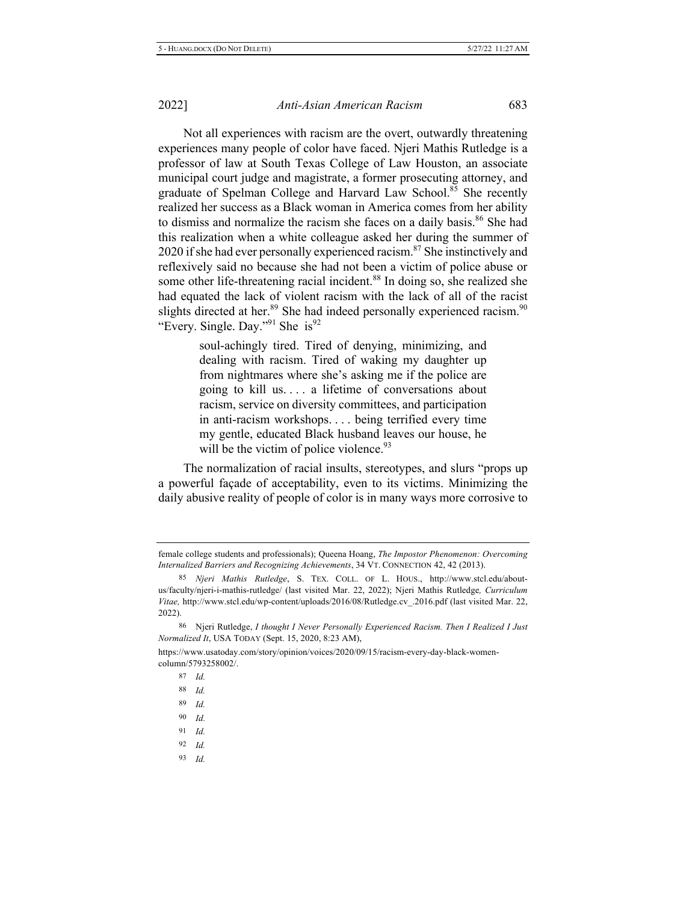Not all experiences with racism are the overt, outwardly threatening experiences many people of color have faced. Njeri Mathis Rutledge is a professor of law at South Texas College of Law Houston, an associate municipal court judge and magistrate, a former prosecuting attorney, and graduate of Spelman College and Harvard Law School.<sup>85</sup> She recently realized her success as a Black woman in America comes from her ability to dismiss and normalize the racism she faces on a daily basis.<sup>86</sup> She had this realization when a white colleague asked her during the summer of 2020 if she had ever personally experienced racism.<sup>87</sup> She instinctively and reflexively said no because she had not been a victim of police abuse or some other life-threatening racial incident.<sup>88</sup> In doing so, she realized she had equated the lack of violent racism with the lack of all of the racist slights directed at her.<sup>89</sup> She had indeed personally experienced racism.<sup>90</sup> "Every. Single. Day."<sup>91</sup> She is<sup>92</sup>

> soul-achingly tired. Tired of denying, minimizing, and dealing with racism. Tired of waking my daughter up from nightmares where she's asking me if the police are going to kill us.... a lifetime of conversations about racism, service on diversity committees, and participation in anti-racism workshops.... being terrified every time my gentle, educated Black husband leaves our house, he will be the victim of police violence. $93$

The normalization of racial insults, stereotypes, and slurs "props up a powerful façade of acceptability, even to its victims. Minimizing the daily abusive reality of people of color is in many ways more corrosive to

- 92 *Id.*
- 93 *Id.*

female college students and professionals); Queena Hoang, The Impostor Phenomenon: Overcoming Internalized Barriers and Recognizing Achievements, 34 VT. CONNECTION 42, 42 (2013).

<sup>85</sup> Njeri Mathis Rutledge, S. TEX. COLL. OF L. HOUS., http://www.stcl.edu/aboutus/faculty/njeri-i-mathis-rutledge/ (last visited Mar. 22, 2022); Njeri Mathis Rutledge, Curriculum Vitae, http://www.stcl.edu/wp-content/uploads/2016/08/Rutledge.cv\_.2016.pdf (last visited Mar. 22,  $2022$ ).

<sup>86</sup> Njeri Rutledge, *I thought I Never Personally Experienced Racism. Then I Realized I Just* Normalized It, USA TODAY (Sept. 15, 2020, 8:23 AM),

https://www.usatoday.com/story/opinion/voices/2020/09/15/racism-every-day-black-womencolumn/5793258002/.

<sup>87</sup> *Id.* 

<sup>88</sup> *Id.* 

<sup>89</sup> 9 *Id.* 

<sup>-</sup>*<i>d* 

<sup>91</sup> *Id.*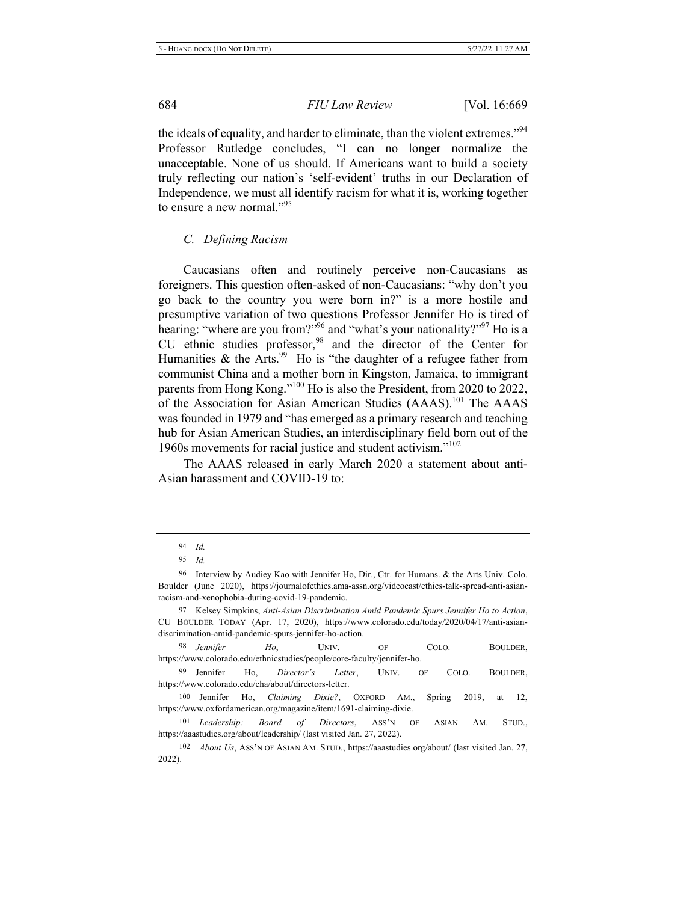the ideals of equality, and harder to eliminate, than the violent extremes."<sup>94</sup> Professor Rutledge concludes, "I can no longer normalize the unacceptable. None of us should. If Americans want to build a society truly reflecting our nation's 'self-evident' truths in our Declaration of Independence, we must all identify racism for what it is, working together to ensure a new normal."<sup>95</sup>

#### *C. Defining Racism*

Caucasians often and routinely perceive non-Caucasians as foreigners. This question often-asked of non-Caucasians: "why don't you go back to the country you were born in?" is a more hostile and presumptive variation of two questions Professor Jennifer Ho is tired of hearing: "where are you from?"<sup>96</sup> and "what's your nationality?"<sup>97</sup> Ho is a CU ethnic studies professor,  $98$  and the director of the Center for Humanities & the Arts.<sup>99</sup> Ho is "the daughter of a refugee father from communist China and a mother born in Kingston, Jamaica, to immigrant parents from Hong Kong."<sup>100</sup> Ho is also the President, from 2020 to 2022, of the Association for Asian American Studies (AAAS).<sup>101</sup> The AAAS was founded in 1979 and "has emerged as a primary research and teaching hub for Asian American Studies, an interdisciplinary field born out of the 1960s movements for racial justice and student activism." $102$ 

The AAAS released in early March 2020 a statement about anti-Asian harassment and COVID-19 to:

<sup>98</sup> *Jennifer Ho*, *UNIV*. OF COLO. BOULDER, https://www.colorado.edu/ethnicstudies/people/core-faculty/jennifer-ho.

99 Jennifer Ho, *Director's Letter*, UNIV. OF COLO. BOULDER, https://www.colorado.edu/cha/about/directors-letter.

<sup>94</sup> *Id.* 

<sup>95</sup> *Id.* 

<sup>96</sup> Interview by Audiey Kao with Jennifer Ho, Dir., Ctr. for Humans. & the Arts Univ. Colo. Boulder (June 2020), https://journalofethics.ama-assn.org/videocast/ethics-talk-spread-anti-asianracism-and-xenophobia-during-covid-19-pandemic.

<sup>97</sup> Kelsey Simpkins, Anti-Asian Discrimination Amid Pandemic Spurs Jennifer Ho to Action, CU BOULDER TODAY (Apr. 17, 2020), https://www.colorado.edu/today/2020/04/17/anti-asiandiscrimination-amid-pandemic-spurs-jennifer-ho-action.

<sup>100</sup> Jennifer Ho, *Claiming Dixie?*, OXFORD AM., Spring 2019, at 12, https://www.oxfordamerican.org/magazine/item/1691-claiming-dixie.

<sup>101</sup> Leadership: Board of Directors, ASS'N OF ASIAN AM. STUD., https://aaastudies.org/about/leadership/ (last visited Jan. 27, 2022).

<sup>102</sup> About Us, ASS'N OF ASIAN AM. STUD., https://aaastudies.org/about/ (last visited Jan. 27,  $2022$ ).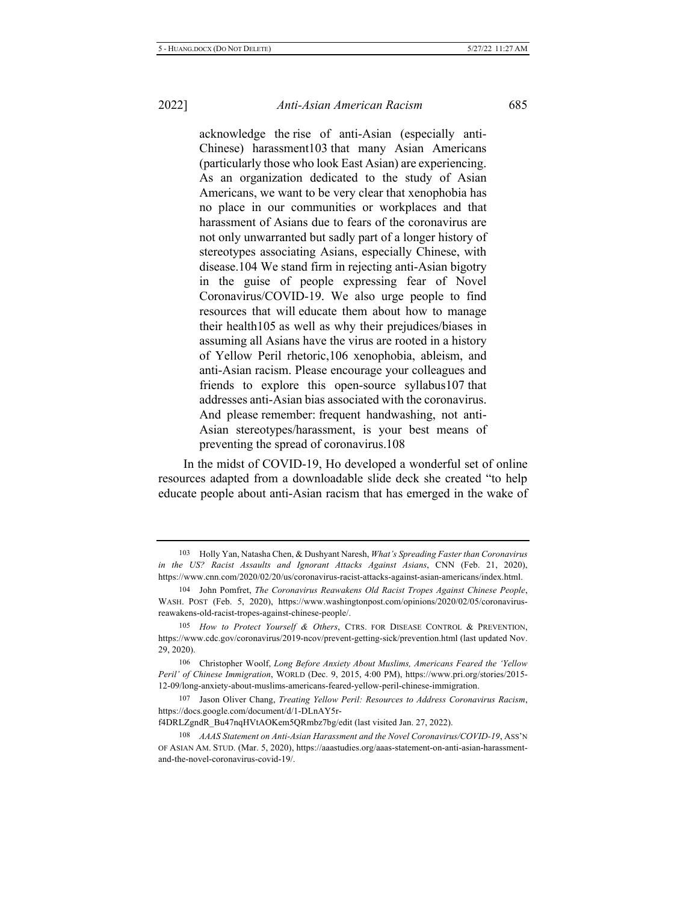acknowledge the rise of anti-Asian (especially anti-Chinese) harassment103 that many Asian Americans (particularly those who look East Asian) are experiencing. As an organization dedicated to the study of Asian Americans, we want to be very clear that xenophobia has no place in our communities or workplaces and that harassment of Asians due to fears of the coronavirus are not only unwarranted but sadly part of a longer history of stereotypes associating Asians, especially Chinese, with disease.104 We stand firm in rejecting anti-Asian bigotry in the guise of people expressing fear of Novel Coronavirus/COVID-19. We also urge people to find resources that will educate them about how to manage their health  $105$  as well as why their prejudices/biases in assuming all Asians have the virus are rooted in a history of Yellow Peril rhetoric, 106 xenophobia, ableism, and anti-Asian racism. Please encourage your colleagues and friends to explore this open-source syllabus 107 that addresses anti-Asian bias associated with the coronavirus. And please remember: frequent handwashing, not anti-Asian stereotypes/harassment, is your best means of preventing the spread of coronavirus.108

In the midst of COVID-19, Ho developed a wonderful set of online resources adapted from a downloadable slide deck she created "to help educate people about anti-Asian racism that has emerged in the wake of

<sup>103</sup> Holly Yan, Natasha Chen, & Dushyant Naresh, What's Spreading Faster than Coronavirus in the US? Racist Assaults and Ignorant Attacks Against Asians, CNN (Feb. 21, 2020), https://www.cnn.com/2020/02/20/us/coronavirus-racist-attacks-against-asian-americans/index.html.

<sup>104</sup> John Pomfret, The Coronavirus Reawakens Old Racist Tropes Against Chinese People, WASH. POST (Feb. 5, 2020), https://www.washingtonpost.com/opinions/2020/02/05/coronavirusreawakens-old-racist-tropes-against-chinese-people/.

<sup>105</sup> How to Protect Yourself & Others, CTRS. FOR DISEASE CONTROL & PREVENTION, https://www.cdc.gov/coronavirus/2019-ncov/prevent-getting-sick/prevention.html (last updated Nov. 29, 2020).

<sup>106</sup> Christopher Woolf, Long Before Anxiety About Muslims, Americans Feared the 'Yellow Peril' of Chinese Immigration, WORLD (Dec. 9, 2015, 4:00 PM), https://www.pri.org/stories/2015-12-09/long-anxiety-about-muslims-americans-feared-yellow-peril-chinese-immigration.

<sup>107</sup> Jason Oliver Chang, Treating Yellow Peril: Resources to Address Coronavirus Racism, https://docs.google.com/document/d/1-DLnAY5r-

f4DRLZgndR Bu47nqHVtAOKem5QRmbz7bg/edit (last visited Jan. 27, 2022).

<sup>108</sup> *AAAS Statement on Anti-Asian Harassment and the Novel Coronavirus/COVID-19, ASS'N* OF ASIAN AM. STUD. (Mar. 5, 2020), https://aaastudies.org/aaas-statement-on-anti-asian-harassmentand-the-novel-coronavirus-covid-19/.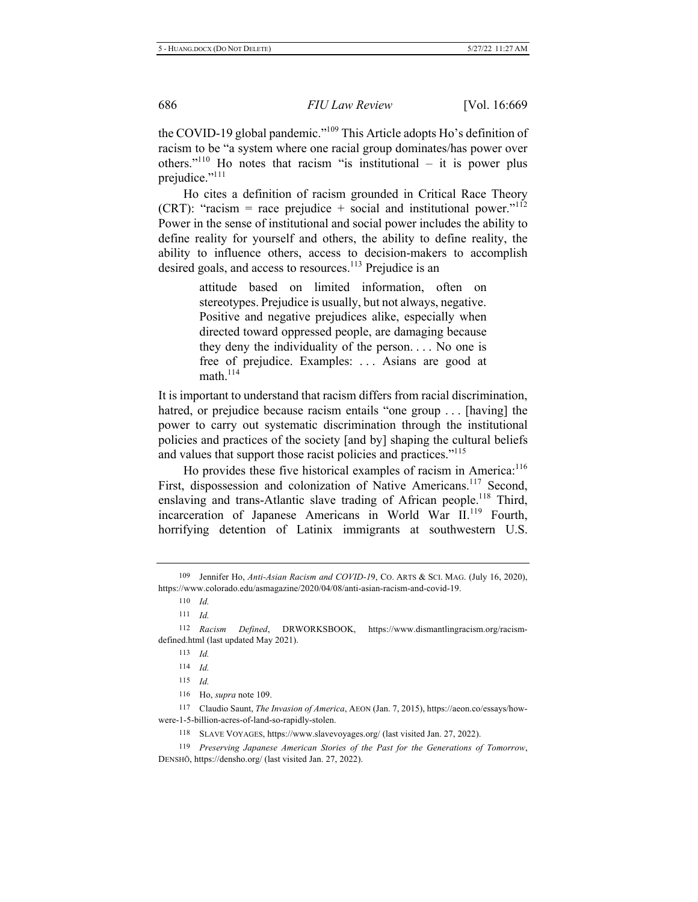the COVID-19 global pandemic."<sup>109</sup> This Article adopts Ho's definition of racism to be "a system where one racial group dominates/has power over others."<sup>110</sup> Ho notes that racism "is institutional – it is power plus prejudice."<sup>111</sup>

Ho cites a definition of racism grounded in Critical Race Theory (CRT): "racism = race prejudice + social and institutional power." $112$ Power in the sense of institutional and social power includes the ability to define reality for yourself and others, the ability to define reality, the ability to influence others, access to decision-makers to accomplish desired goals, and access to resources.<sup>113</sup> Prejudice is an

> attitude based on limited information, often on stereotypes. Prejudice is usually, but not always, negative. Positive and negative prejudices alike, especially when directed toward oppressed people, are damaging because they deny the individuality of the person... No one is free of prejudice. Examples: ... Asians are good at  $math<sup>114</sup>$

It is important to understand that racism differs from racial discrimination, hatred, or prejudice because racism entails "one group ... [having] the power to carry out systematic discrimination through the institutional policies and practices of the society [and by] shaping the cultural beliefs and values that support those racist policies and practices."<sup>115</sup>

Ho provides these five historical examples of racism in America: $^{116}$ First, dispossession and colonization of Native Americans.<sup>117</sup> Second, enslaving and trans-Atlantic slave trading of African people.<sup>118</sup> Third, incarceration of Japanese Americans in World War II.<sup>119</sup> Fourth, horrifying detention of Latinix immigrants at southwestern U.S.

<sup>109</sup> Jennifer Ho, Anti-Asian Racism and COVID-19, Co. ARTS & SCI. MAG. (July 16, 2020), https://www.colorado.edu/asmagazine/2020/04/08/anti-asian-racism-and-covid-19.

<sup>110</sup> *Id.* 

 $111$  *Id.* 

<sup>112</sup> Racism Defined, DRWORKSBOOK, https://www.dismantlingracism.org/racismdefined.html (last updated May 2021).

<sup>113</sup> *Id.* 

<sup>114</sup> *Id.* 

 $115$  *Id.* 

<sup>116</sup> Ho, *supra* note 109.

<sup>117</sup> Claudio Saunt, The Invasion of America, AEON (Jan. 7, 2015), https://aeon.co/essays/howwere-1-5-billion-acres-of-land-so-rapidly-stolen.

<sup>118</sup> SLAVE VOYAGES, https://www.slavevoyages.org/ (last visited Jan. 27, 2022).

<sup>119</sup> Preserving Japanese American Stories of the Past for the Generations of Tomorrow, DENSHŌ, https://densho.org/ (last visited Jan. 27, 2022).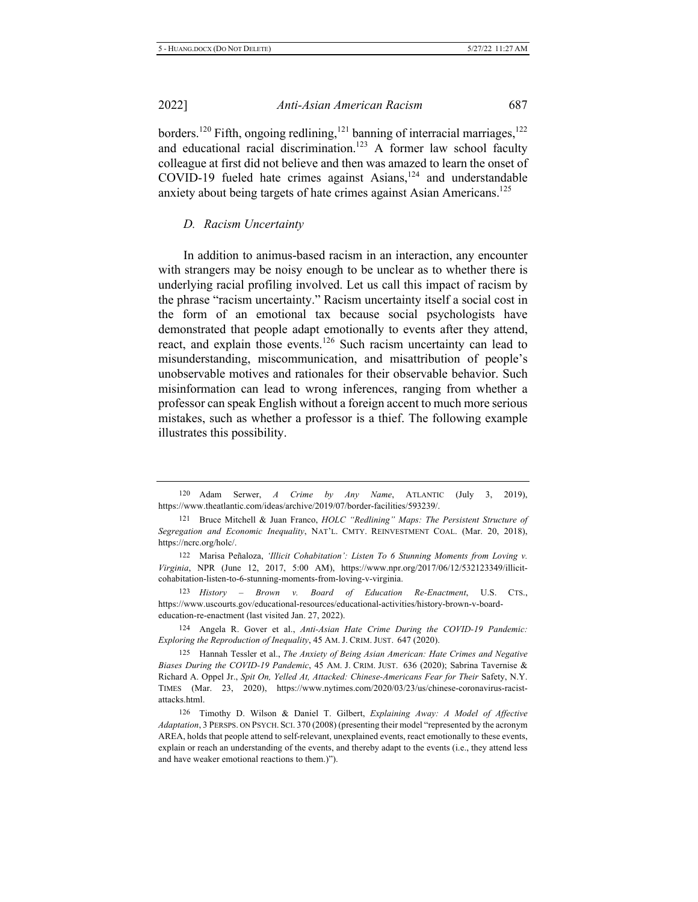borders.<sup>120</sup> Fifth, ongoing redlining,<sup>121</sup> banning of interracial marriages,<sup>122</sup> and educational racial discrimination.<sup>123</sup> A former law school faculty colleague at first did not believe and then was amazed to learn the onset of COVID-19 fueled hate crimes against Asians,<sup>124</sup> and understandable anxiety about being targets of hate crimes against Asian Americans.<sup>125</sup>

#### **D.** Racism Uncertainty

In addition to animus-based racism in an interaction, any encounter with strangers may be noisy enough to be unclear as to whether there is underlying racial profiling involved. Let us call this impact of racism by the phrase "racism uncertainty." Racism uncertainty itself a social cost in the form of an emotional tax because social psychologists have demonstrated that people adapt emotionally to events after they attend, react, and explain those events.<sup>126</sup> Such racism uncertainty can lead to misunderstanding, miscommunication, and misattribution of people's unobservable motives and rationales for their observable behavior. Such misinformation can lead to wrong inferences, ranging from whether a professor can speak English without a foreign accent to much more serious mistakes, such as whether a professor is a thief. The following example illustrates this possibility.

123 *History* – *Brown v*. *Board of Education Re-Enactment*, U.S. CTS., https://www.uscourts.gov/educational-resources/educational-activities/history-brown-v-boardeducation-re-enactment (last visited Jan. 27, 2022).

124 Angela R. Gover et al., Anti-Asian Hate Crime During the COVID-19 Pandemic: *Exploring the Reproduction of Inequality*, 45 AM. J. CRIM. JUST. 647 (2020).

125 Hannah Tessler et al., The Anxiety of Being Asian American: Hate Crimes and Negative Biases During the COVID-19 Pandemic, 45 AM. J. CRIM. JUST. 636 (2020); Sabrina Tavernise & Richard A. Oppel Jr., Spit On, Yelled At, Attacked: Chinese-Americans Fear for Their Safety, N.Y. TIMES (Mar. 23, 2020), https://www.nytimes.com/2020/03/23/us/chinese-coronavirus-racistattacks.html.

<sup>120</sup> Adam Serwer, A Crime by Any Name, ATLANTIC (July 3, 2019), https://www.theatlantic.com/ideas/archive/2019/07/border-facilities/593239/.

<sup>121</sup> Bruce Mitchell & Juan Franco, *HOLC* "Redlining" Maps: The Persistent Structure of Segregation and Economic Inequality, NAT'L. CMTY. REINVESTMENT COAL. (Mar. 20, 2018), https://ncrc.org/holc/.

<sup>122</sup> Marisa Peñaloza, 'Illicit Cohabitation': Listen To 6 Stunning Moments from Loving v. Virginia, NPR (June 12, 2017, 5:00 AM), https://www.npr.org/2017/06/12/532123349/illicitcohabitation-listen-to-6-stunning-moments-from-loving-v-virginia.

<sup>126</sup> Timothy D. Wilson & Daniel T. Gilbert, Explaining Away: A Model of Affective Adaptation, 3 PERSPS. ON PSYCH. SCI. 370 (2008) (presenting their model "represented by the acronym AREA, holds that people attend to self-relevant, unexplained events, react emotionally to these events, explain or reach an understanding of the events, and thereby adapt to the events (i.e., they attend less and have weaker emotional reactions to them.)").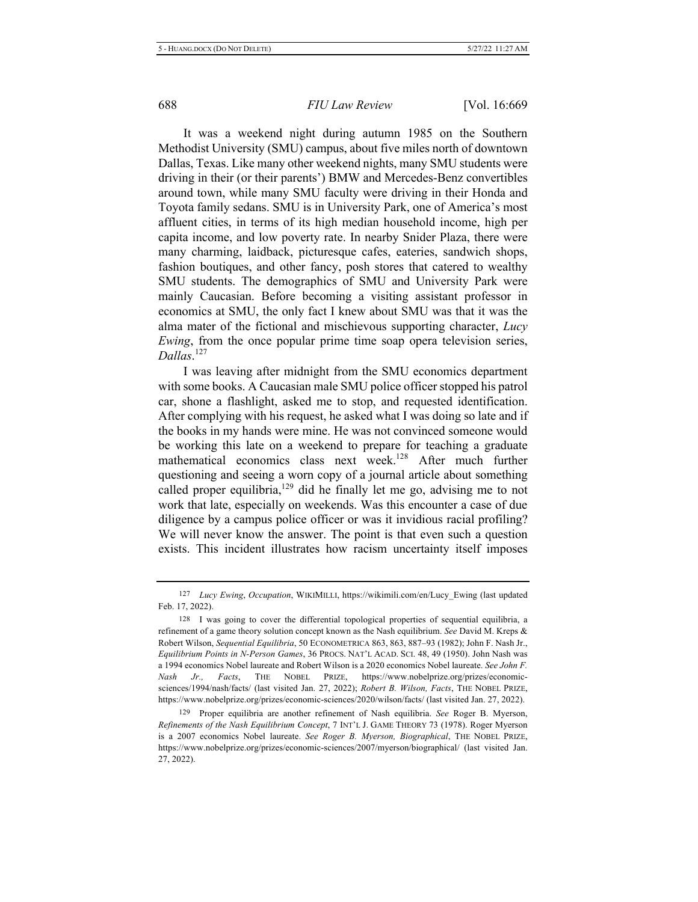It was a weekend night during autumn 1985 on the Southern Methodist University (SMU) campus, about five miles north of downtown Dallas, Texas. Like many other weekend nights, many SMU students were driving in their (or their parents') BMW and Mercedes-Benz convertibles around town, while many SMU faculty were driving in their Honda and Toyota family sedans. SMU is in University Park, one of America's most affluent cities, in terms of its high median household income, high per capita income, and low poverty rate. In nearby Snider Plaza, there were many charming, laidback, picturesque cafes, eateries, sandwich shops, fashion boutiques, and other fancy, posh stores that catered to wealthy SMU students. The demographics of SMU and University Park were mainly Caucasian. Before becoming a visiting assistant professor in economics at SMU, the only fact I knew about SMU was that it was the alma mater of the fictional and mischievous supporting character, Lucy *Ewing*, from the once popular prime time soap opera television series, *Dallas*.<sup>127</sup>

I was leaving after midnight from the SMU economics department with some books. A Caucasian male SMU police officer stopped his patrol car, shone a flashlight, asked me to stop, and requested identification. After complying with his request, he asked what I was doing so late and if the books in my hands were mine. He was not convinced someone would be working this late on a weekend to prepare for teaching a graduate mathematical economics class next week.<sup>128</sup> After much further questioning and seeing a worn copy of a journal article about something called proper equilibria,<sup>129</sup> did he finally let me go, advising me to not work that late, especially on weekends. Was this encounter a case of due diligence by a campus police officer or was it invidious racial profiling? We will never know the answer. The point is that even such a question exists. This incident illustrates how racism uncertainty itself imposes

<sup>&</sup>lt;sup>127</sup> Lucy Ewing, Occupation, WIKIMILLI, https://wikimili.com/en/Lucy\_Ewing (last updated Feb. 17, 2022).

 $128$  I was going to cover the differential topological properties of sequential equilibria, a refinement of a game theory solution concept known as the Nash equilibrium. See David M. Kreps & Robert Wilson, Sequential Equilibria, 50 ECONOMETRICA 863, 863, 887-93 (1982); John F. Nash Jr., Equilibrium Points in N-Person Games, 36 PROCS. NAT'L ACAD. SCI. 48, 49 (1950). John Nash was a 1994 economics Nobel laureate and Robert Wilson is a 2020 economics Nobel laureate. See John F. *Nash Jr..* , Facts, THE NOBEL PRIZE, https://www.nobelprize.org/prizes/economicsciences/1994/nash/facts/ (last visited Jan. 27, 2022); Robert B. Wilson, Facts, THE NOBEL PRIZE, https://www.nobelprize.org/prizes/economic-sciences/2020/wilson/facts/ (last visited Jan. 27, 2022).

<sup>129</sup> Proper equilibria are another refinement of Nash equilibria. See Roger B. Myerson, *Refinements of the Nash Equilibrium Concept, 7 INT'L J. GAME THEORY 73 (1978). Roger Myerson* is a 2007 economics Nobel laureate. See Roger B. Myerson, Biographical, THE NOBEL PRIZE, https://www.nobelprize.org/prizes/economic-sciences/2007/myerson/biographical/ (last visited Jan. 27, 2022).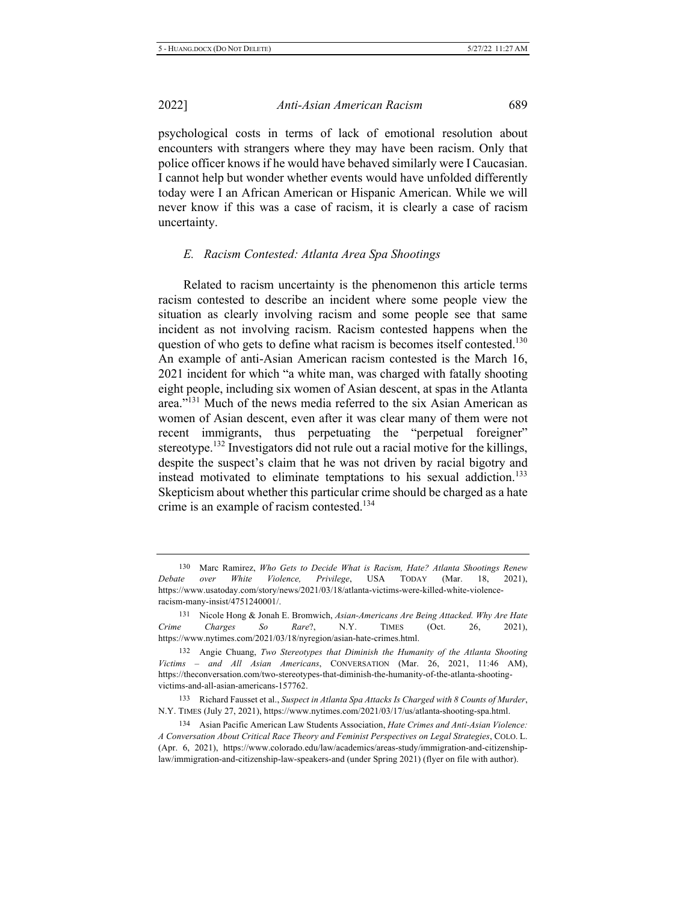psychological costs in terms of lack of emotional resolution about encounters with strangers where they may have been racism. Only that police officer knows if he would have behaved similarly were I Caucasian. I cannot help but wonder whether events would have unfolded differently today were I an African American or Hispanic American. While we will never know if this was a case of racism, it is clearly a case of racism uncertainty.

#### E. Racism Contested: Atlanta Area Spa Shootings

Related to racism uncertainty is the phenomenon this article terms racism contested to describe an incident where some people view the situation as clearly involving racism and some people see that same incident as not involving racism. Racism contested happens when the question of who gets to define what racism is becomes itself contested.<sup>130</sup> An example of anti-Asian American racism contested is the March 16, 2021 incident for which "a white man, was charged with fatally shooting eight people, including six women of Asian descent, at spas in the Atlanta area."<sup>131</sup> Much of the news media referred to the six Asian American as women of Asian descent, even after it was clear many of them were not recent immigrants, thus perpetuating the "perpetual foreigner" stereotype.<sup>132</sup> Investigators did not rule out a racial motive for the killings, despite the suspect's claim that he was not driven by racial bigotry and instead motivated to eliminate temptations to his sexual addiction.<sup>133</sup> Skepticism about whether this particular crime should be charged as a hate crime is an example of racism contested.<sup>134</sup>

<sup>130</sup> Marc Ramirez, Who Gets to Decide What is Racism, Hate? Atlanta Shootings Renew *Debate over White Violence, Privilege,* USA TODAY (Mar. 18, 2021), https://www.usatoday.com/story/news/2021/03/18/atlanta-victims-were-killed-white-violenceracism-many-insist/4751240001/.

<sup>131</sup> Nicole Hong & Jonah E. Bromwich, Asian-Americans Are Being Attacked. Why Are Hate *Crime Charges So Rare*?, N.Y. TIMES (Oct. 26, 2021), https://www.nytimes.com/2021/03/18/nyregion/asian-hate-crimes.html.

<sup>132</sup> Angie Chuang, *Two Stereotypes that Diminish the Humanity of the Atlanta Shooting* Victims - and All Asian Americans, CONVERSATION (Mar. 26, 2021, 11:46 AM), https://theconversation.com/two-stereotypes-that-diminish-the-humanity-of-the-atlanta-shootingvictims-and-all-asian-americans-157762.

<sup>133</sup> Richard Fausset et al., Suspect in Atlanta Spa Attacks Is Charged with 8 Counts of Murder, N.Y. TIMES (July 27, 2021), https://www.nytimes.com/2021/03/17/us/atlanta-shooting-spa.html.

<sup>134</sup> Asian Pacific American Law Students Association, *Hate Crimes and Anti-Asian Violence*: A Conversation About Critical Race Theory and Feminist Perspectives on Legal Strategies, COLO. L. (Apr. 6, 2021), https://www.colorado.edu/law/academics/areas-study/immigration-and-citizenshiplaw/immigration-and-citizenship-law-speakers-and (under Spring 2021) (flyer on file with author).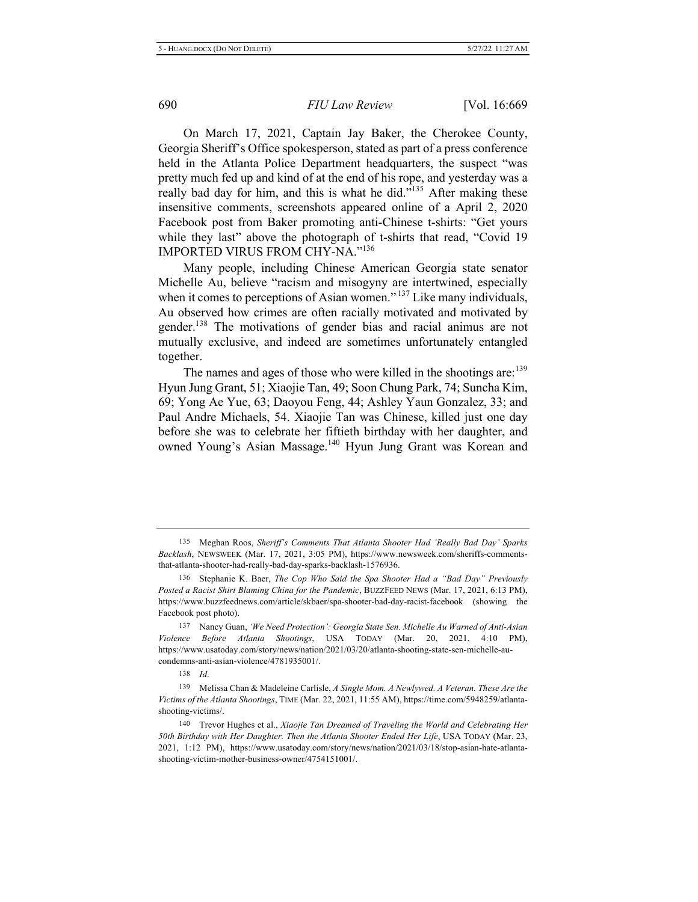On March 17, 2021, Captain Jay Baker, the Cherokee County, Georgia Sheriff's Office spokesperson, stated as part of a press conference held in the Atlanta Police Department headquarters, the suspect "was pretty much fed up and kind of at the end of his rope, and yesterday was a really bad day for him, and this is what he did."<sup>135</sup> After making these insensitive comments, screenshots appeared online of a April 2, 2020 Facebook post from Baker promoting anti-Chinese t-shirts: "Get yours while they last" above the photograph of t-shirts that read, "Covid 19 IMPORTED VIRUS FROM CHY-NA." $^{136}$ 

Many people, including Chinese American Georgia state senator Michelle Au, believe "racism and misogyny are intertwined, especially when it comes to perceptions of Asian women."<sup>137</sup> Like many individuals, Au observed how crimes are often racially motivated and motivated by gender.<sup>138</sup> The motivations of gender bias and racial animus are not mutually exclusive, and indeed are sometimes unfortunately entangled together.

The names and ages of those who were killed in the shootings are:<sup>139</sup> Hyun Jung Grant, 51; Xiaojie Tan, 49; Soon Chung Park, 74; Suncha Kim, 69; Yong Ae Yue, 63; Daoyou Feng, 44; Ashley Yaun Gonzalez, 33; and Paul Andre Michaels, 54. Xiaojie Tan was Chinese, killed just one day before she was to celebrate her fiftieth birthday with her daughter, and owned Young's Asian Massage.<sup>140</sup> Hyun Jung Grant was Korean and

135 Meghan Roos, Sheriff's Comments That Atlanta Shooter Had 'Really Bad Day' Sparks Backlash, NEWSWEEK (Mar. 17, 2021, 3:05 PM), https://www.newsweek.com/sheriffs-commentsthat-atlanta-shooter-had-really-bad-day-sparks-backlash-1576936.

<sup>136</sup> Stephanie K. Baer, *The Cop Who Said the Spa Shooter Had a "Bad Day" Previously* Posted a Racist Shirt Blaming China for the Pandemic, BUZZFEED NEWS (Mar. 17, 2021, 6:13 PM), https://www.buzzfeednews.com/article/skbaer/spa-shooter-bad-day-racist-facebook (showing the Facebook post photo).

<sup>137</sup> Nancy Guan, 'We Need Protection': Georgia State Sen. Michelle Au Warned of Anti-Asian Violence Before Atlanta Shootings, USA TODAY (Mar. 20, 2021, 4:10 PM), https://www.usatoday.com/story/news/nation/2021/03/20/atlanta-shooting-state-sen-michelle-aucondemns-anti-asian-violence/4781935001/.

<sup>138</sup> *<i>d* 

<sup>139</sup> Melissa Chan & Madeleine Carlisle, A Single Mom. A Newlywed. A Veteran. These Are the Victims of the Atlanta Shootings, TIME (Mar. 22, 2021, 11:55 AM), https://time.com/5948259/atlantashooting-victims/.

<sup>140</sup> Trevor Hughes et al., Xiaojie Tan Dreamed of Traveling the World and Celebrating Her 50th Birthday with Her Daughter. Then the Atlanta Shooter Ended Her Life, USA TODAY (Mar. 23, 2021, 1:12 PM), https://www.usatoday.com/story/news/nation/2021/03/18/stop-asian-hate-atlantashooting-victim-mother-business-owner/4754151001/.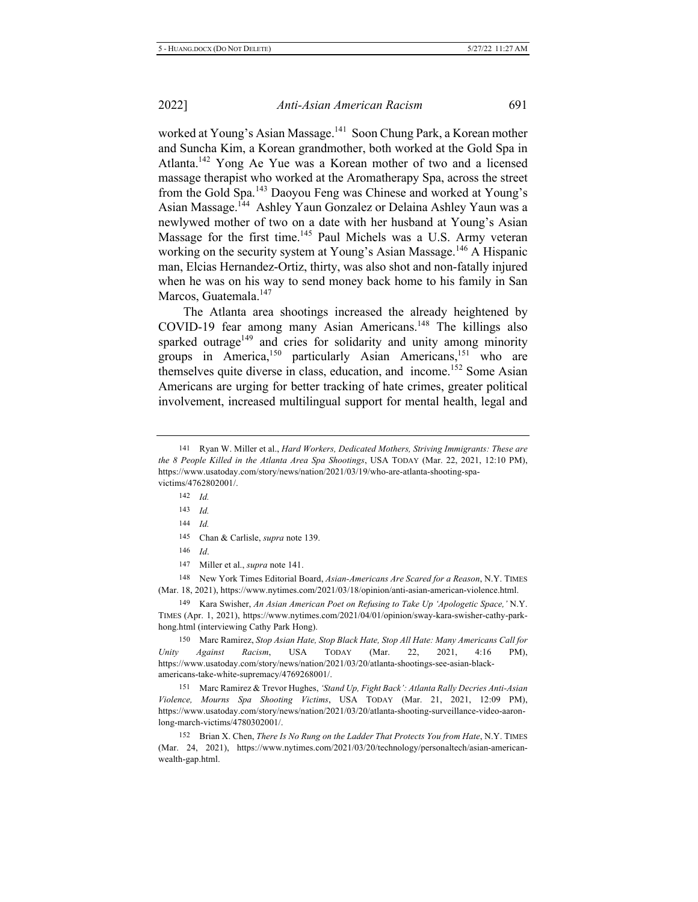worked at Young's Asian Massage.<sup>141</sup> Soon Chung Park, a Korean mother and Suncha Kim, a Korean grandmother, both worked at the Gold Spa in Atlanta.<sup>142</sup> Yong Ae Yue was a Korean mother of two and a licensed massage therapist who worked at the Aromatherapy Spa, across the street from the Gold Spa.<sup>143</sup> Daoyou Feng was Chinese and worked at Young's Asian Massage.<sup>144</sup> Ashley Yaun Gonzalez or Delaina Ashley Yaun was a newlywed mother of two on a date with her husband at Young's Asian Massage for the first time.<sup>145</sup> Paul Michels was a U.S. Army veteran working on the security system at Young's Asian Massage.<sup>146</sup> A Hispanic man, Elcias Hernandez-Ortiz, thirty, was also shot and non-fatally injured when he was on his way to send money back home to his family in San Marcos, Guatemala.<sup>147</sup>

The Atlanta area shootings increased the already heightened by  $COVID-19$  fear among many Asian Americans.<sup>148</sup> The killings also sparked outrage<sup>149</sup> and cries for solidarity and unity among minority groups in America,<sup>150</sup> particularly Asian Americans,<sup>151</sup> who are themselves quite diverse in class, education, and income.<sup>152</sup> Some Asian Americans are urging for better tracking of hate crimes, greater political involvement, increased multilingual support for mental health, legal and

 $142$  *Id.* 

 $143$  *Id.* 

 $144$  *Id.* 

 $146$  *Id.* 

147 Miller et al., *supra* note 141.

148 New York Times Editorial Board, Asian-Americans Are Scared for a Reason, N.Y. TIMES (Mar. 18, 2021), https://www.nytimes.com/2021/03/18/opinion/anti-asian-american-violence.html.

149 Kara Swisher, An Asian American Poet on Refusing to Take Up 'Apologetic Space,' N.Y. TIMES (Apr. 1, 2021), https://www.nytimes.com/2021/04/01/opinion/sway-kara-swisher-cathy-parkhong.html (interviewing Cathy Park Hong).

150 Marc Ramirez, Stop Asian Hate, Stop Black Hate, Stop All Hate: Many Americans Call for *Unity Against Racism*, USA TODAY (Mar. 22, 2021, 4:16 PM), https://www.usatoday.com/story/news/nation/2021/03/20/atlanta-shootings-see-asian-blackamericans-take-white-supremacy/4769268001/.

151 Marc Ramirez & Trevor Hughes, 'Stand Up, Fight Back': Atlanta Rally Decries Anti-Asian Violence, Mourns Spa Shooting Victims, USA TODAY (Mar. 21, 2021, 12:09 PM), https://www.usatoday.com/story/news/nation/2021/03/20/atlanta-shooting-surveillance-video-aaronlong-march-victims/4780302001/.

152 Brian X. Chen, *There Is No Rung on the Ladder That Protects You from Hate*, N.Y. TIMES (Mar. 24, 2021), https://www.nytimes.com/2021/03/20/technology/personaltech/asian-americanwealth-gap.html.

<sup>141</sup> Ryan W. Miller et al., *Hard Workers, Dedicated Mothers, Striving Immigrants: These are the 8 People Killed in the Atlanta Area Spa Shootings*, USA TODAY (Mar. 22, 2021, 12:10 PM), https://www.usatoday.com/story/news/nation/2021/03/19/who-are-atlanta-shooting-spavictims/4762802001/.

<sup>145</sup> Chan & Carlisle, *supra* note 139.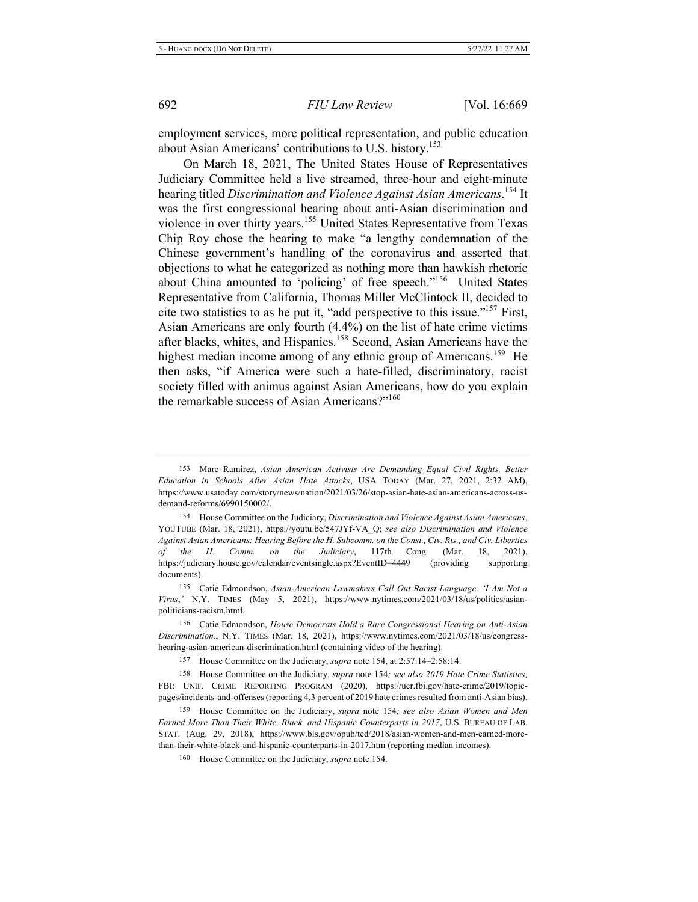employment services, more political representation, and public education about Asian Americans' contributions to U.S. history.<sup>153</sup>

On March 18, 2021, The United States House of Representatives Judiciary Committee held a live streamed, three-hour and eight-minute hearing titled Discrimination and Violence Against Asian Americans.<sup>154</sup> It was the first congressional hearing about anti-Asian discrimination and violence in over thirty years.<sup>155</sup> United States Representative from Texas Chip Roy chose the hearing to make "a lengthy condemnation of the Chinese government's handling of the coronavirus and asserted that objections to what he categorized as nothing more than hawkish rhetoric about China amounted to 'policing' of free speech."<sup>156</sup> United States Representative from California, Thomas Miller McClintock II, decided to cite two statistics to as he put it, "add perspective to this issue."<sup>157</sup> First, Asian Americans are only fourth  $(4.4\%)$  on the list of hate crime victims after blacks, whites, and Hispanics.<sup>158</sup> Second, Asian Americans have the highest median income among of any ethnic group of Americans.<sup>159</sup> He then asks, "if America were such a hate-filled, discriminatory, racist society filled with animus against Asian Americans, how do you explain the remarkable success of Asian Americans?"<sup>160</sup>

155 Catie Edmondson, Asian-American Lawmakers Call Out Racist Language: 'I Am Not a Virus,' N.Y. TIMES (May 5, 2021), https://www.nytimes.com/2021/03/18/us/politics/asianpoliticians-racism.html.

156 Catie Edmondson, House Democrats Hold a Rare Congressional Hearing on Anti-Asian Discrimination., N.Y. TIMES (Mar. 18, 2021), https://www.nytimes.com/2021/03/18/us/congresshearing-asian-american-discrimination.html (containing video of the hearing).

157 House Committee on the Judiciary, *supra* note 154, at 2:57:14-2:58:14.

158 House Committee on the Judiciary, *supra* note 154; see also 2019 Hate Crime Statistics, FBI: UNIF. CRIME REPORTING PROGRAM (2020), https://ucr.fbi.gov/hate-crime/2019/topicpages/incidents-and-offenses (reporting 4.3 percent of 2019 hate crimes resulted from anti-Asian bias).

160 House Committee on the Judiciary, *supra* note 154.

<sup>153</sup> Marc Ramirez, Asian American Activists Are Demanding Equal Civil Rights, Better Education in Schools After Asian Hate Attacks, USA TODAY (Mar. 27, 2021, 2:32 AM), https://www.usatoday.com/story/news/nation/2021/03/26/stop-asian-hate-asian-americans-across-usdemand-reforms/6990150002/.

<sup>154</sup> House Committee on the Judiciary, *Discrimination and Violence Against Asian Americans*, YOUTUBE (Mar. 18, 2021), https://youtu.be/547JYf-VA\_Q; see also Discrimination and Violence *Against Asian Americans: Hearing Before the H. Subcomm. on the Const., Civ. Rts., and Civ. Liberties* of the *H*. *Comm.* on the *Judiciary*, 117th Cong. (Mar. 18, 2021), https://judiciary.house.gov/calendar/eventsingle.aspx?EventID=4449 (providing supporting documents).

<sup>159</sup> House Committee on the Judiciary, supra note 154; see also Asian Women and Men Earned More Than Their White, Black, and Hispanic Counterparts in 2017, U.S. BUREAU OF LAB. STAT. (Aug. 29, 2018), https://www.bls.gov/opub/ted/2018/asian-women-and-men-earned-morethan-their-white-black-and-hispanic-counterparts-in-2017.htm (reporting median incomes).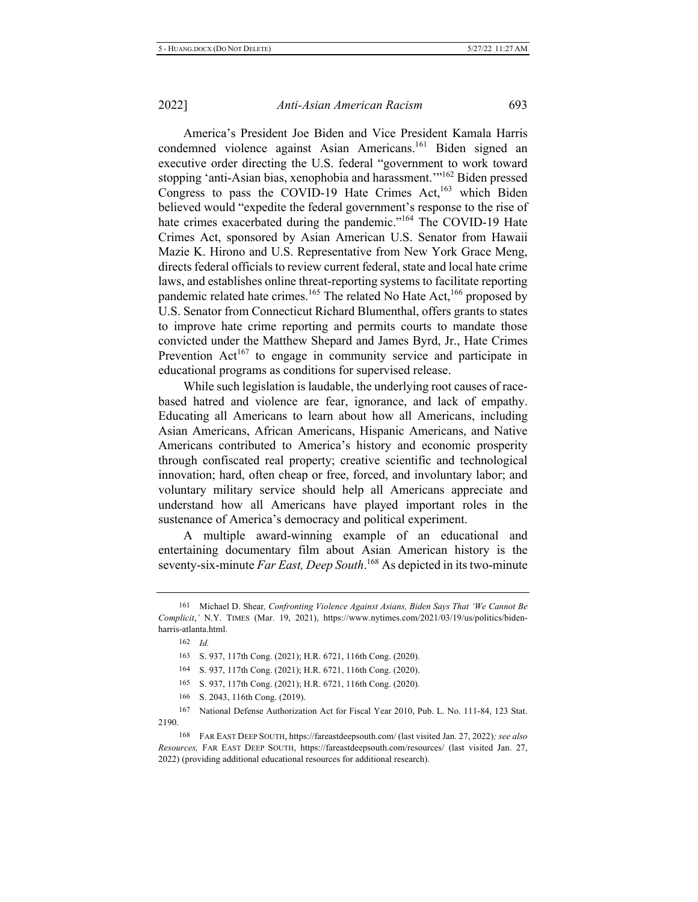America's President Joe Biden and Vice President Kamala Harris condemned violence against Asian Americans.<sup>161</sup> Biden signed an executive order directing the U.S. federal "government to work toward stopping 'anti-Asian bias, xenophobia and harassment."<sup>162</sup> Biden pressed Congress to pass the COVID-19 Hate Crimes  $Act<sub>1</sub><sup>163</sup>$  which Biden believed would "expedite the federal government's response to the rise of hate crimes exacerbated during the pandemic."<sup>164</sup> The COVID-19 Hate Crimes Act, sponsored by Asian American U.S. Senator from Hawaii Mazie K. Hirono and U.S. Representative from New York Grace Meng, directs federal officials to review current federal, state and local hate crime laws, and establishes online threat-reporting systems to facilitate reporting pandemic related hate crimes.<sup>165</sup> The related No Hate Act,<sup>166</sup> proposed by U.S. Senator from Connecticut Richard Blumenthal, offers grants to states to improve hate crime reporting and permits courts to mandate those convicted under the Matthew Shepard and James Byrd, Jr., Hate Crimes Prevention  $Act^{167}$  to engage in community service and participate in educational programs as conditions for supervised release.

While such legislation is laudable, the underlying root causes of racebased hatred and violence are fear, ignorance, and lack of empathy. Educating all Americans to learn about how all Americans, including Asian Americans, African Americans, Hispanic Americans, and Native Americans contributed to America's history and economic prosperity through confiscated real property; creative scientific and technological innovation; hard, often cheap or free, forced, and involuntary labor; and voluntary military service should help all Americans appreciate and understand how all Americans have played important roles in the sustenance of America's democracy and political experiment.

A multiple award-winning example of an educational and entertaining documentary film about Asian American history is the seventy-six-minute Far East, Deep South.<sup>168</sup> As depicted in its two-minute

- 165 S. 937, 117th Cong. (2021); H.R. 6721, 116th Cong. (2020).
- 166 S. 2043, 116th Cong. (2019).

<sup>161</sup> Michael D. Shear, Confronting Violence Against Asians, Biden Says That 'We Cannot Be Complicit,' N.Y. TIMES (Mar. 19, 2021), https://www.nytimes.com/2021/03/19/us/politics/bidenharris-atlanta.html.

 $162$  *Id.* 

<sup>163</sup> S. 937, 117th Cong. (2021); H.R. 6721, 116th Cong. (2020).

<sup>164</sup> S. 937, 117th Cong. (2021); H.R. 6721, 116th Cong. (2020).

<sup>167</sup> National Defense Authorization Act for Fiscal Year 2010, Pub. L. No. 111-84, 123 Stat. 2190.

<sup>168</sup> FAR EAST DEEP SOUTH, https://fareastdeepsouth.com/ (last visited Jan. 27, 2022); see also Resources, FAR EAST DEEP SOUTH, https://fareastdeepsouth.com/resources/ (last visited Jan. 27, 2022) (providing additional educational resources for additional research).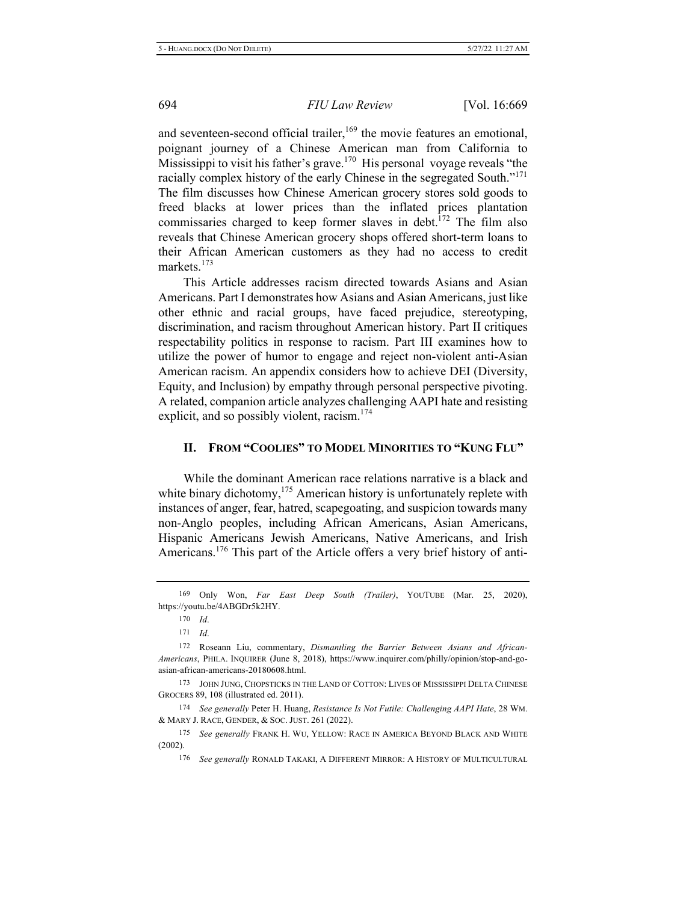and seventeen-second official trailer,  $^{169}$  the movie features an emotional, poignant journey of a Chinese American man from California to Mississippi to visit his father's grave.<sup>170</sup> His personal voyage reveals "the racially complex history of the early Chinese in the segregated South."<sup>171</sup> The film discusses how Chinese American grocery stores sold goods to freed blacks at lower prices than the inflated prices plantation commissaries charged to keep former slaves in debt.<sup>172</sup> The film also reveals that Chinese American grocery shops offered short-term loans to their African American customers as they had no access to credit markets.<sup>173</sup>

This Article addresses racism directed towards Asians and Asian Americans. Part I demonstrates how Asians and Asian Americans, just like other ethnic and racial groups, have faced prejudice, stereotyping, discrimination, and racism throughout American history. Part II critiques respectability politics in response to racism. Part III examines how to utilize the power of humor to engage and reject non-violent anti-Asian American racism. An appendix considers how to achieve DEI (Diversity, Equity, and Inclusion) by empathy through personal perspective pivoting. A related, companion article analyzes challenging AAPI hate and resisting explicit, and so possibly violent, racism.<sup>174</sup>

#### II. FROM "COOLIES" TO MODEL MINORITIES TO "KUNG FLU"

While the dominant American race relations narrative is a black and white binary dichotomy,<sup>175</sup> American history is unfortunately replete with instances of anger, fear, hatred, scapegoating, and suspicion towards many non-Anglo peoples, including African Americans, Asian Americans, Hispanic Americans Jewish Americans, Native Americans, and Irish Americans.<sup>176</sup> This part of the Article offers a very brief history of anti-

173 JOHN JUNG, CHOPSTICKS IN THE LAND OF COTTON: LIVES OF MISSISSIPPI DELTA CHINESE GROCERS 89, 108 (illustrated ed. 2011).

<sup>174</sup> See generally Peter H. Huang, Resistance Is Not Futile: Challenging AAPI Hate, 28 WM. & MARY J. RACE, GENDER, & SOC. JUST. 261 (2022).

175 See generally FRANK H. WU, YELLOW: RACE IN AMERICA BEYOND BLACK AND WHITE  $(2002).$ 

176 See generally RONALD TAKAKI, A DIFFERENT MIRROR: A HISTORY OF MULTICULTURAL

<sup>&</sup>lt;sup>169</sup> Only Won, Far East Deep South (Trailer), YOUTUBE (Mar. 25, 2020), https://youtu.be/4ABGDr5k2HY.

 $170$  *Id.* 

 $171 \quad Id.$ 

<sup>172</sup> Roseann Liu, commentary, Dismantling the Barrier Between Asians and African-Americans, PHILA. INQUIRER (June 8, 2018), https://www.inquirer.com/philly/opinion/stop-and-goasian-african-americans-20180608.html.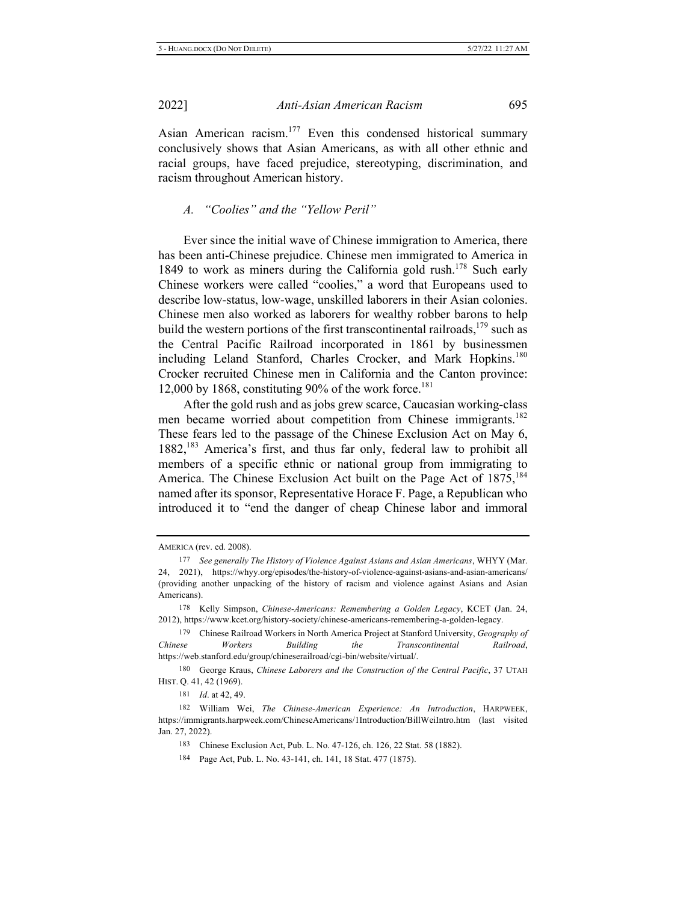Asian American racism.<sup>177</sup> Even this condensed historical summary conclusively shows that Asian Americans, as with all other ethnic and racial groups, have faced prejudice, stereotyping, discrimination, and racism throughout American history.

#### *A.* "Coolies" and the "Yellow Peril"

Ever since the initial wave of Chinese immigration to America, there has been anti-Chinese prejudice. Chinese men immigrated to America in 1849 to work as miners during the California gold rush.<sup>178</sup> Such early Chinese workers were called "coolies," a word that Europeans used to describe low-status, low-wage, unskilled laborers in their Asian colonies. Chinese men also worked as laborers for wealthy robber barons to help build the western portions of the first transcontinental railroads,<sup>179</sup> such as the Central Pacific Railroad incorporated in 1861 by businessmen including Leland Stanford, Charles Crocker, and Mark Hopkins.<sup>180</sup> Crocker recruited Chinese men in California and the Canton province: 12,000 by 1868, constituting 90% of the work force.<sup>181</sup>

After the gold rush and as jobs grew scarce, Caucasian working-class men became worried about competition from Chinese immigrants.<sup>182</sup> These fears led to the passage of the Chinese Exclusion Act on May 6, 1882,<sup>183</sup> America's first, and thus far only, federal law to prohibit all members of a specific ethnic or national group from immigrating to America. The Chinese Exclusion Act built on the Page Act of 1875,<sup>184</sup> named after its sponsor, Representative Horace F. Page, a Republican who introduced it to "end the danger of cheap Chinese labor and immoral

AMERICA (rev. ed. 2008).

<sup>177</sup> See generally The History of Violence Against Asians and Asian Americans, WHYY (Mar. 24, 2021), https://whyy.org/episodes/the-history-of-violence-against-asians-and-asian-americans/ (providing another unpacking of the history of racism and violence against Asians and Asian Americans).

<sup>178</sup> Kelly Simpson, Chinese-Americans: Remembering a Golden Legacy, KCET (Jan. 24, 2012), https://www.kcet.org/history-society/chinese-americans-remembering-a-golden-legacy.

<sup>&</sup>lt;sup>179</sup> Chinese Railroad Workers in North America Project at Stanford University, Geography of *Chinese Workers Building* the *Transcontinental Railroad*, https://web.stanford.edu/group/chineserailroad/cgi-bin/website/virtual/.

<sup>180</sup> George Kraus, Chinese Laborers and the Construction of the Central Pacific, 37 UTAH HIST. Q. 41, 42 (1969).

<sup>181</sup> *Id.* at 42, 49.

<sup>182</sup> William Wei, The Chinese-American Experience: An Introduction, HARPWEEK, https://immigrants.harpweek.com/ChineseAmericans/1Introduction/BillWeiIntro.htm (last visited Jan. 27, 2022).

<sup>183</sup> Chinese Exclusion Act, Pub. L. No. 47-126, ch. 126, 22 Stat. 58 (1882).

<sup>184</sup> Page Act, Pub. L. No. 43-141, ch. 141, 18 Stat. 477 (1875).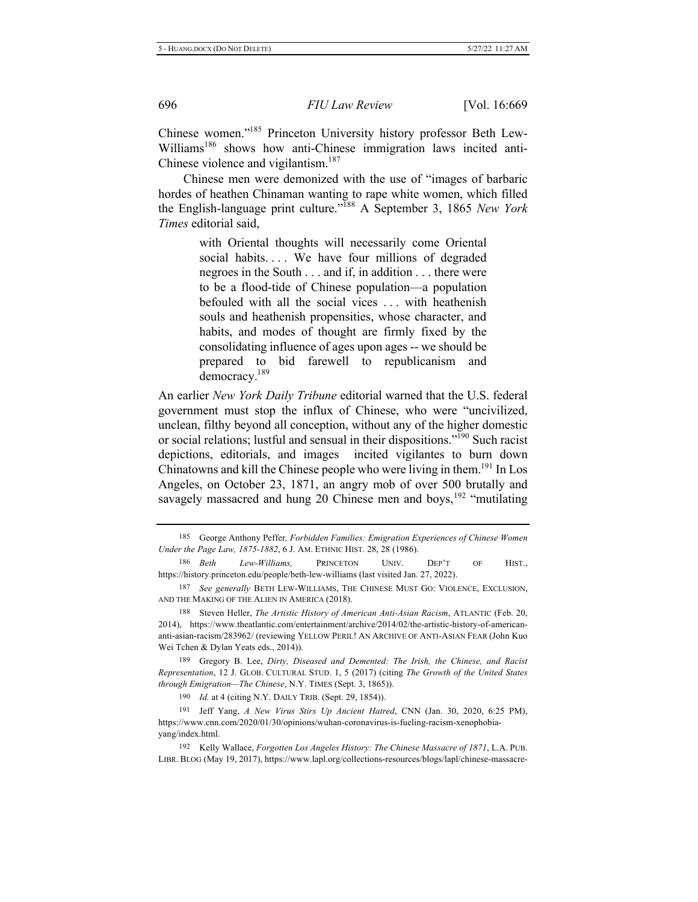Chinese women."<sup>185</sup> Princeton University history professor Beth Lew-Williams<sup>186</sup> shows how anti-Chinese immigration laws incited anti-Chinese violence and vigilantism.<sup>187</sup>

Chinese men were demonized with the use of "images of barbaric hordes of heathen Chinaman wanting to rape white women, which filled the English-language print culture."<sup>188</sup> A September 3, 1865 New York *Times* editorial said,

> with Oriental thoughts will necessarily come Oriental social habits.... We have four millions of degraded negroes in the South  $\dots$  and if, in addition  $\dots$  there were to be a flood-tide of Chinese population—a population befouled with all the social vices ... with heathenish souls and heathenish propensities, whose character, and habits, and modes of thought are firmly fixed by the consolidating influence of ages upon ages -- we should be prepared to bid farewell to republicanism and democracy.<sup>189</sup>

An earlier New York Daily Tribune editorial warned that the U.S. federal government must stop the influx of Chinese, who were "uncivilized, unclean, filthy beyond all conception, without any of the higher domestic or social relations; lustful and sensual in their dispositions."<sup>190</sup> Such racist depictions, editorials, and images incited vigilantes to burn down Chinatowns and kill the Chinese people who were living in them.<sup>191</sup> In Los Angeles, on October 23, 1871, an angry mob of over 500 brutally and savagely massacred and hung 20 Chinese men and boys,  $192$  "mutilating

<sup>185</sup> George Anthony Peffer, *Forbidden Families: Emigration Experiences of Chinese Women* Under the Page Law, 1875-1882, 6 J. AM. ETHNIC HIST. 28, 28 (1986).

<sup>186</sup> Beth *Lew-Williams*, **PRINCETON** UNIV. **DEP'T** OF HIST., https://history.princeton.edu/people/beth-lew-williams (last visited Jan. 27, 2022).

<sup>187</sup> See generally BETH LEW-WILLIAMS, THE CHINESE MUST GO: VIOLENCE, EXCLUSION, AND THE MAKING OF THE ALIEN IN AMERICA (2018).

<sup>188</sup> Steven Heller, *The Artistic History of American Anti-Asian Racism*, ATLANTIC (Feb. 20, 2014), https://www.theatlantic.com/entertainment/archive/2014/02/the-artistic-history-of-americananti-asian-racism/283962/ (reviewing YELLOW PERIL! AN ARCHIVE OF ANTI-ASIAN FEAR (John Kuo Wei Tchen & Dylan Yeats eds., 2014)).

<sup>189</sup> Gregory B. Lee, Dirty, Diseased and Demented: The Irish, the Chinese, and Racist *Representation, 12 J. GLOB. CULTURAL STUD. 1, 5 (2017) (citing The Growth of the United States through Emigration-The Chinese, N.Y. TIMES (Sept. 3, 1865)).* 

<sup>190</sup> *Id.* at 4 (citing N.Y. DAILY TRIB. (Sept. 29, 1854)).

<sup>191</sup> Jeff Yang, A New Virus Stirs Up Ancient Hatred, CNN (Jan. 30, 2020, 6:25 PM), https://www.cnn.com/2020/01/30/opinions/wuhan-coronavirus-is-fueling-racism-xenophobiayang/index.html.

<sup>192</sup> Kelly Wallace, Forgotten Los Angeles History: The Chinese Massacre of 1871, L.A. PUB. LIBR. BLOG (May 19, 2017), https://www.lapl.org/collections-resources/blogs/lapl/chinese-massacre-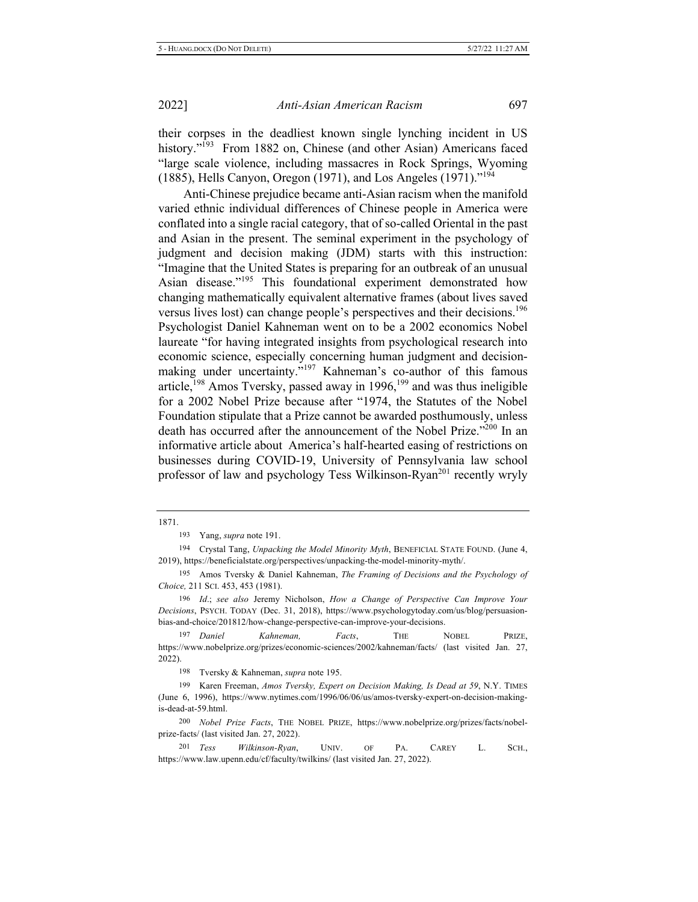their corpses in the deadliest known single lynching incident in US history."<sup>193</sup> From 1882 on, Chinese (and other Asian) Americans faced "large scale violence, including massacres in Rock Springs, Wyoming (1885), Hells Canyon, Oregon (1971), and Los Angeles (1971)."<sup>194</sup>

Anti-Chinese prejudice became anti-Asian racism when the manifold varied ethnic individual differences of Chinese people in America were conflated into a single racial category, that of so-called Oriental in the past and Asian in the present. The seminal experiment in the psychology of judgment and decision making (JDM) starts with this instruction: "Imagine that the United States is preparing for an outbreak of an unusual Asian disease."<sup>195</sup> This foundational experiment demonstrated how changing mathematically equivalent alternative frames (about lives saved versus lives lost) can change people's perspectives and their decisions.<sup>196</sup> Psychologist Daniel Kahneman went on to be a 2002 economics Nobel laureate "for having integrated insights from psychological research into economic science, especially concerning human judgment and decisionmaking under uncertainty."<sup>197</sup> Kahneman's co-author of this famous article,  $198$  Amos Tversky, passed away in  $1996$ ,  $199$  and was thus ineligible for a 2002 Nobel Prize because after "1974, the Statutes of the Nobel Foundation stipulate that a Prize cannot be awarded posthumously, unless death has occurred after the announcement of the Nobel Prize."<sup>200</sup> In an informative article about America's half-hearted easing of restrictions on businesses during COVID-19, University of Pennsylvania law school professor of law and psychology Tess Wilkinson-Ryan<sup>201</sup> recently wryly

1871.

193 Yang, *supra* note 191.

194 Crystal Tang, Unpacking the Model Minority Myth, BENEFICIAL STATE FOUND. (June 4, 2019), https://beneficialstate.org/perspectives/unpacking-the-model-minority-myth/.

195 Amos Tversky & Daniel Kahneman, *The Framing of Decisions and the Psychology of* Choice, 211 SCI. 453, 453 (1981).

196 Id.; see also Jeremy Nicholson, How a Change of Perspective Can Improve Your Decisions, PSYCH. TODAY (Dec. 31, 2018), https://www.psychologytoday.com/us/blog/persuasionbias-and-choice/201812/how-change-perspective-can-improve-your-decisions.

<sup>197</sup> Daniel Kahneman, *Facts*, THE NOBEL PRIZE, https://www.nobelprize.org/prizes/economic-sciences/2002/kahneman/facts/ (last visited Jan. 27, 2022).

198 Tversky & Kahneman, *supra* note 195.

199 Karen Freeman, Amos Tversky, Expert on Decision Making, Is Dead at 59, N.Y. TIMES (June 6, 1996), https://www.nytimes.com/1996/06/06/us/amos-tversky-expert-on-decision-makingis-dead-at-59.html.

200 Nobel Prize Facts, THE NOBEL PRIZE, https://www.nobelprize.org/prizes/facts/nobelprize-facts/ (last visited Jan. 27, 2022).

 $201$  Tess *Wilkinson-Ryan*, UNIV. OF PA. CAREY L. SCH., https://www.law.upenn.edu/cf/faculty/twilkins/ (last visited Jan. 27, 2022).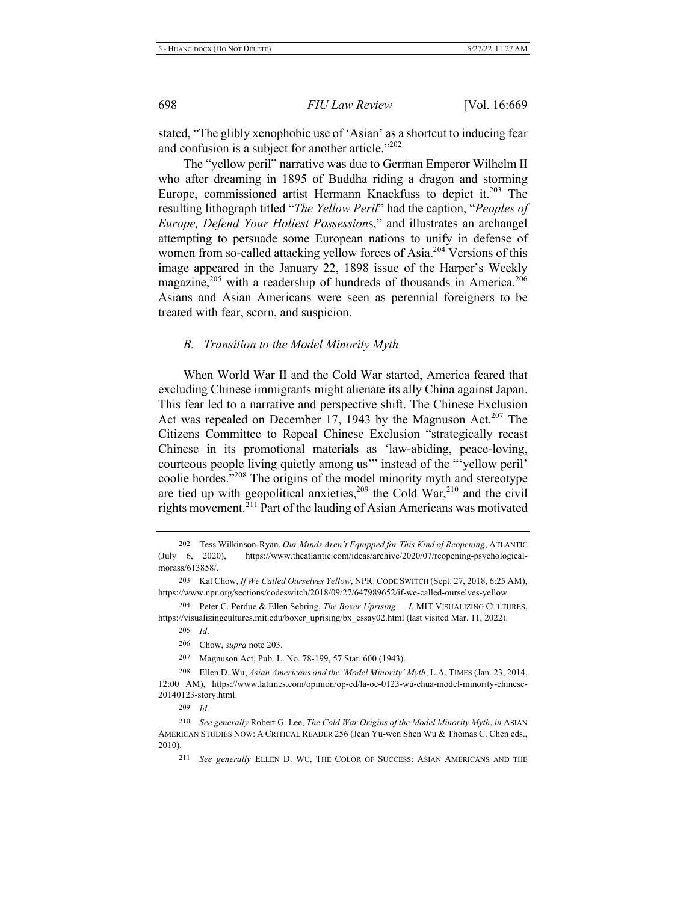stated, "The glibly xenophobic use of 'Asian' as a shortcut to inducing fear and confusion is a subject for another article."<sup>202</sup>

The "yellow peril" narrative was due to German Emperor Wilhelm II who after dreaming in 1895 of Buddha riding a dragon and storming Europe, commissioned artist Hermann Knackfuss to depict it.<sup>203</sup> The resulting lithograph titled "The Yellow Peril" had the caption, "Peoples of Europe, Defend Your Holiest Possessions," and illustrates an archangel attempting to persuade some European nations to unify in defense of women from so-called attacking yellow forces of Asia.<sup>204</sup> Versions of this image appeared in the January 22, 1898 issue of the Harper's Weekly magazine,<sup>205</sup> with a readership of hundreds of thousands in America.<sup>206</sup> Asians and Asian Americans were seen as perennial foreigners to be treated with fear, scorn, and suspicion.

#### *B.* Transition to the Model Minority Myth

When World War II and the Cold War started, America feared that excluding Chinese immigrants might alienate its ally China against Japan. This fear led to a narrative and perspective shift. The Chinese Exclusion Act was repealed on December 17, 1943 by the Magnuson Act.<sup>207</sup> The Citizens Committee to Repeal Chinese Exclusion "strategically recast Chinese in its promotional materials as 'law-abiding, peace-loving, courteous people living quietly among us" instead of the "yellow peril' coolie hordes. $208$  The origins of the model minority myth and stereotype are tied up with geopolitical anxieties,  $209$  the Cold War,  $210$  and the civil rights movement.<sup> $211$ </sup> Part of the lauding of Asian Americans was motivated

204 Peter C. Perdue & Ellen Sebring, *The Boxer Uprising — I*, MIT VISUALIZING CULTURES, https://visualizingcultures.mit.edu/boxer\_uprising/bx\_essay02.html (last visited Mar. 11, 2022).

207 Magnuson Act, Pub. L. No. 78-199, 57 Stat. 600 (1943).

208 Ellen D. Wu, Asian Americans and the 'Model Minority' Myth, L.A. TIMES (Jan. 23, 2014, 12:00 AM), https://www.latimes.com/opinion/op-ed/la-oe-0123-wu-chua-model-minority-chinese-20140123-story.html.

209 *<i>d* 

<sup>202</sup> Tess Wilkinson-Ryan, Our Minds Aren't Equipped for This Kind of Reopening, ATLANTIC (July 6, 2020), https://www.theatlantic.com/ideas/archive/2020/07/reopening-psychologicalmorass/613858/.

<sup>203</sup> Kat Chow, If We Called Ourselves Yellow, NPR: CODE SWITCH (Sept. 27, 2018, 6:25 AM), https://www.npr.org/sections/codeswitch/2018/09/27/647989652/if-we-called-ourselves-yellow.

<sup>205</sup>  $\overline{d}$ .

<sup>206</sup> Chow, *supra* note 203.

<sup>210</sup> See generally Robert G. Lee, The Cold War Origins of the Model Minority Myth, in ASIAN AMERICAN STUDIES NOW: A CRITICAL READER 256 (Jean Yu-wen Shen Wu & Thomas C. Chen eds.,  $2010$ ).

<sup>&</sup>lt;sup>211</sup> See generally ELLEN D. WU, THE COLOR OF SUCCESS: ASIAN AMERICANS AND THE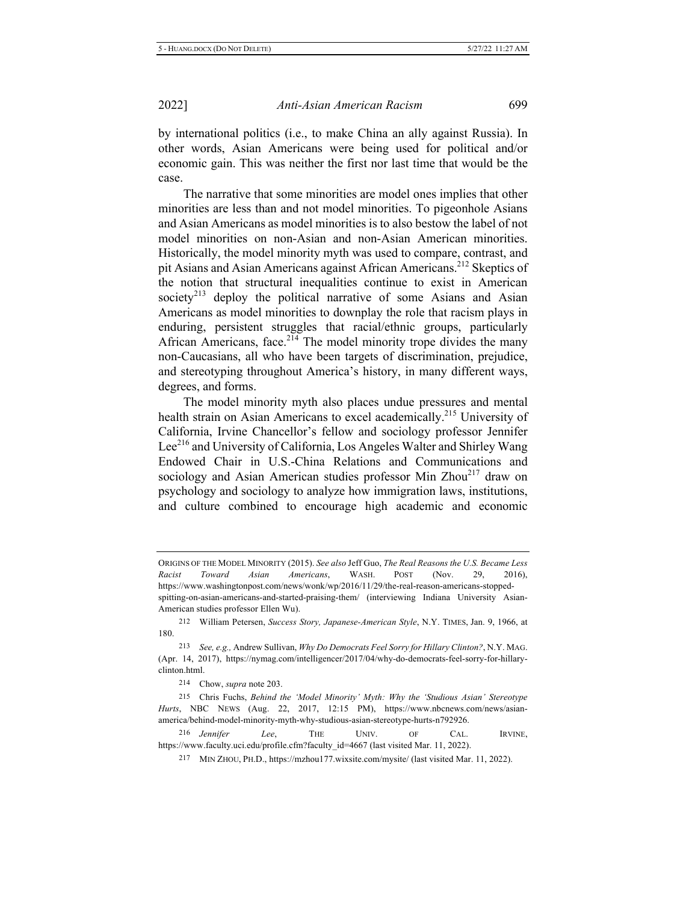by international politics (i.e., to make China an ally against Russia). In other words, Asian Americans were being used for political and/or economic gain. This was neither the first nor last time that would be the case.

The narrative that some minorities are model ones implies that other minorities are less than and not model minorities. To pigeonhole Asians and Asian Americans as model minorities is to also bestow the label of not model minorities on non-Asian and non-Asian American minorities. Historically, the model minority myth was used to compare, contrast, and pit Asians and Asian Americans against African Americans.<sup>212</sup> Skeptics of the notion that structural inequalities continue to exist in American society<sup>213</sup> deploy the political narrative of some Asians and Asian Americans as model minorities to downplay the role that racism plays in enduring, persistent struggles that racial/ethnic groups, particularly African Americans, face.<sup>214</sup> The model minority trope divides the many non-Caucasians, all who have been targets of discrimination, prejudice, and stereotyping throughout America's history, in many different ways, degrees, and forms.

The model minority myth also places undue pressures and mental health strain on Asian Americans to excel academically.<sup>215</sup> University of California, Irvine Chancellor's fellow and sociology professor Jennifer Lee<sup>216</sup> and University of California, Los Angeles Walter and Shirley Wang Endowed Chair in U.S.-China Relations and Communications and sociology and Asian American studies professor Min Zhou<sup>217</sup> draw on psychology and sociology to analyze how immigration laws, institutions, and culture combined to encourage high academic and economic

214 Chow, *supra* note 203.

216 *Jennifer* Lee, THE UNIV. OF CAL. IRVINE, https://www.faculty.uci.edu/profile.cfm?faculty\_id=4667 (last visited Mar. 11, 2022).

 $217$  MIN ZHOU, PH.D., https://mzhou177.wixsite.com/mysite/ (last visited Mar. 11, 2022).

ORIGINS OF THE MODEL MINORITY (2015). See also Jeff Guo, The Real Reasons the U.S. Became Less Racist Toward Asian Americans, WASH. POST (Nov. 29, 2016), https://www.washingtonpost.com/news/wonk/wp/2016/11/29/the-real-reason-americans-stopped-

spitting-on-asian-americans-and-started-praising-them/ (interviewing Indiana University Asian-American studies professor Ellen Wu).

<sup>212</sup> William Petersen, Success Story, Japanese-American Style, N.Y. TIMES, Jan. 9, 1966, at 180.

<sup>213</sup> See, e.g., Andrew Sullivan, Why Do Democrats Feel Sorry for Hillary Clinton?, N.Y. MAG. (Apr. 14, 2017), https://nymag.com/intelligencer/2017/04/why-do-democrats-feel-sorry-for-hillaryclinton.html.

<sup>215</sup> Chris Fuchs, *Behind the 'Model Minority' Myth: Why the 'Studious Asian' Stereotype* Hurts, NBC NEWS (Aug. 22, 2017, 12:15 PM), https://www.nbcnews.com/news/asianamerica/behind-model-minority-myth-why-studious-asian-stereotype-hurts-n792926.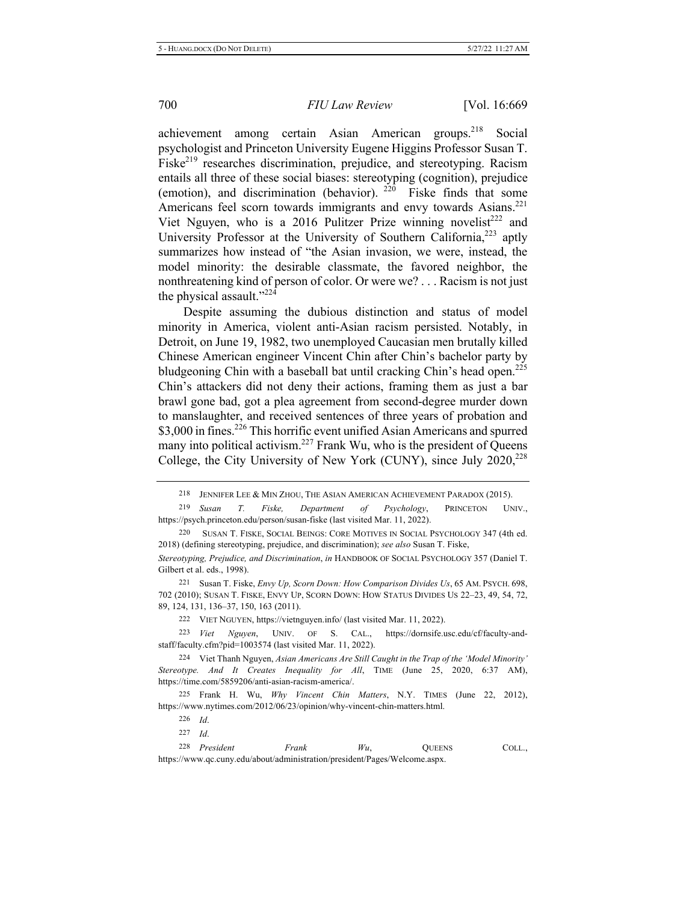achievement among certain Asian American groups.<sup>218</sup> Social psychologist and Princeton University Eugene Higgins Professor Susan T. Fiske<sup>219</sup> researches discrimination, prejudice, and stereotyping. Racism entails all three of these social biases: stereotyping (cognition), prejudice (emotion), and discrimination (behavior).  $^{220}$  Fiske finds that some Americans feel scorn towards immigrants and envy towards Asians.<sup>221</sup> Viet Nguyen, who is a 2016 Pulitzer Prize winning novelist<sup>222</sup> and University Professor at the University of Southern California,<sup>223</sup> aptly summarizes how instead of "the Asian invasion, we were, instead, the model minority: the desirable classmate, the favored neighbor, the nonthreatening kind of person of color. Or were  $we? \dots$  Racism is not just the physical assault."<sup>224</sup>

Despite assuming the dubious distinction and status of model minority in America, violent anti-Asian racism persisted. Notably, in Detroit, on June 19, 1982, two unemployed Caucasian men brutally killed Chinese American engineer Vincent Chin after Chin's bachelor party by bludgeoning Chin with a baseball bat until cracking Chin's head open.<sup>225</sup> Chin's attackers did not deny their actions, framing them as just a bar brawl gone bad, got a plea agreement from second-degree murder down to manslaughter, and received sentences of three years of probation and \$3,000 in fines.<sup>226</sup> This horrific event unified Asian Americans and spurred many into political activism.<sup>227</sup> Frank Wu, who is the president of Queens College, the City University of New York (CUNY), since July 2020,<sup>228</sup>

222 VIET NGUYEN, https://vietnguyen.info/ (last visited Mar. 11, 2022).

223 Viet Nguyen, UNIV. OF S. CAL., https://dornsife.usc.edu/cf/faculty-andstaff/faculty.cfm?pid=1003574 (last visited Mar. 11, 2022).

224 Viet Thanh Nguyen, Asian Americans Are Still Caught in the Trap of the 'Model Minority' Stereotype. And It Creates Inequality for All, TIME (June 25, 2020, 6:37 AM), https://time.com/5859206/anti-asian-racism-america/.

225 Frank H. Wu, Why Vincent Chin Matters, N.Y. TIMES (June 22, 2012), https://www.nytimes.com/2012/06/23/opinion/why-vincent-chin-matters.html.

227 *Id.* 

<sup>228</sup> President Frank Wu, QUEENS COLL., https://www.qc.cuny.edu/about/administration/president/Pages/Welcome.aspx.

<sup>218</sup> JENNIFER LEE & MIN ZHOU, THE ASIAN AMERICAN ACHIEVEMENT PARADOX (2015).

<sup>219</sup> *Susan T*. *Fiske, Department of Psychology*, PRINCETON UNIV., https://psych.princeton.edu/person/susan-fiske (last visited Mar. 11, 2022).

<sup>220</sup> SUSAN T. FISKE, SOCIAL BEINGS: CORE MOTIVES IN SOCIAL PSYCHOLOGY 347 (4th ed. 2018) (defining stereotyping, prejudice, and discrimination); see also Susan T. Fiske,

Stereotyping, Prejudice, and Discrimination, in HANDBOOK OF SOCIAL PSYCHOLOGY 357 (Daniel T. Gilbert et al. eds., 1998).

<sup>221</sup> Susan T. Fiske, *Envy Up, Scorn Down: How Comparison Divides Us*, 65 AM. PSYCH. 698, 702 (2010); SUSAN T. FISKE, ENVY UP, SCORN DOWN: HOW STATUS DIVIDES US 22-23, 49, 54, 72, 89, 124, 131, 136-37, 150, 163 (2011).

<sup>226</sup> *Id.*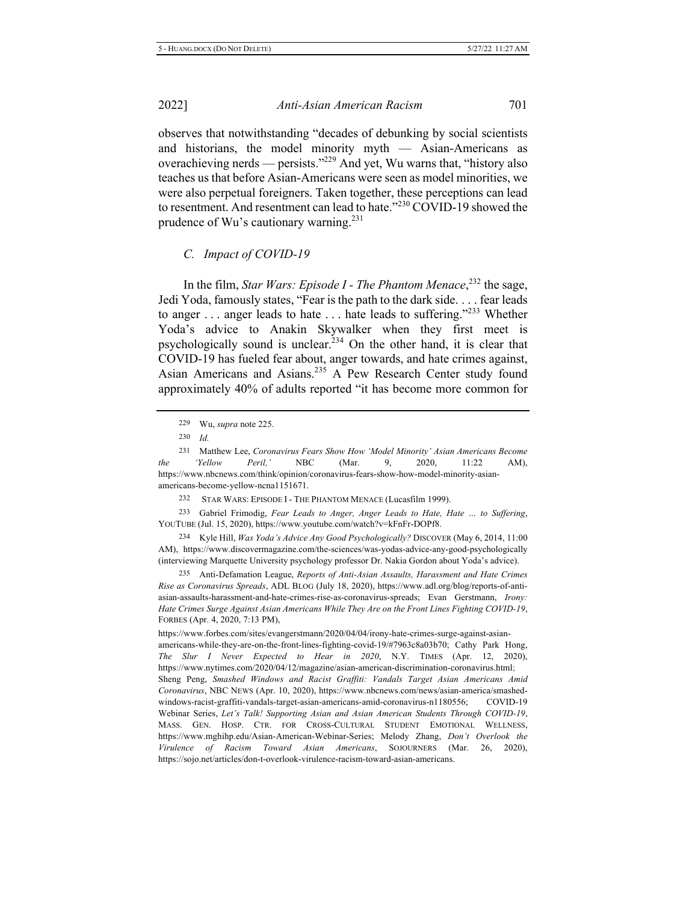observes that notwithstanding "decades of debunking by social scientists and historians, the model minority myth - Asian-Americans as overachieving nerds — persists."<sup>229</sup> And yet, Wu warns that, "history also teaches us that before Asian-Americans were seen as model minorities, we were also perpetual foreigners. Taken together, these perceptions can lead to resentment. And resentment can lead to hate." $^{230}$  COVID-19 showed the prudence of Wu's cautionary warning.<sup>231</sup>

#### *C. Impact of COVID-19*

In the film, *Star Wars: Episode I - The Phantom Menace*,<sup>232</sup> the sage, Jedi Yoda, famously states, "Fear is the path to the dark side. . . . fear leads to anger ... anger leads to hate ... hate leads to suffering."<sup>233</sup> Whether Yoda's advice to Anakin Skywalker when they first meet is psychologically sound is unclear.<sup>234</sup> On the other hand, it is clear that COVID-19 has fueled fear about, anger towards, and hate crimes against, Asian Americans and Asians.<sup>235</sup> A Pew Research Center study found approximately 40% of adults reported "it has become more common for

229 Wu, *supra* note 225.

231 Matthew Lee, Coronavirus Fears Show How 'Model Minority' Asian Americans Become *bhe* '*Yellow Peril*,' NBC (Mar. 9, 2020, 11:22 AM), https://www.nbcnews.com/think/opinion/coronavirus-fears-show-how-model-minority-asianamericans-become-yellow-ncna1151671.

232 STAR WARS: EPISODE I - THE PHANTOM MENACE (Lucasfilm 1999).

<sup>233</sup> Gabriel Frimodig, Fear Leads to Anger, Anger Leads to Hate, Hate ... to Suffering, YOUTUBE (Jul. 15, 2020), https://www.youtube.com/watch?v=kFnFr-DOPf8.

234 Kyle Hill, Was Yoda's Advice Any Good Psychologically? DISCOVER (May 6, 2014, 11:00) AM), https://www.discovermagazine.com/the-sciences/was-yodas-advice-any-good-psychologically (interviewing Marquette University psychology professor Dr. Nakia Gordon about Yoda's advice).

235 Anti-Defamation League, Reports of Anti-Asian Assaults, Harassment and Hate Crimes Rise as Coronavirus Spreads, ADL BLOG (July 18, 2020), https://www.adl.org/blog/reports-of-antiasian-assaults-harassment-and-hate-crimes-rise-as-coronavirus-spreads; Evan Gerstmann, Irony: Hate Crimes Surge Against Asian Americans While They Are on the Front Lines Fighting COVID-19, FORBES (Apr. 4, 2020, 7:13 PM),

https://www.forbes.com/sites/evangerstmann/2020/04/04/irony-hate-crimes-surge-against-asianamericans-while-they-are-on-the-front-lines-fighting-covid-19/#7963c8a03b70; Cathy Park Hong, The Slur I Never Expected to Hear in 2020, N.Y. TIMES (Apr. 12, 2020), https://www.nytimes.com/2020/04/12/magazine/asian-american-discrimination-coronavirus.html; Sheng Peng, Smashed Windows and Racist Graffiti: Vandals Target Asian Americans Amid Coronavirus, NBC NEWS (Apr. 10, 2020), https://www.nbcnews.com/news/asian-america/smashedwindows-racist-graffiti-vandals-target-asian-americans-amid-coronavirus-n1180556; COVID-COVID-19 Webinar Series, Let's Talk! Supporting Asian and Asian American Students Through COVID-19, MASS. GEN. HOSP. CTR. FOR CROSS-CULTURAL STUDENT EMOTIONAL WELLNESS, https://www.mghihp.edu/Asian-American-Webinar-Series; Melody Zhang, *Don't Overlook the Virulence of Racism Toward Asian Americans*, SOJOURNERS (Mar. 26, 2020), https://sojo.net/articles/don-t-overlook-virulence-racism-toward-asian-americans.

<sup>230</sup> *Id.*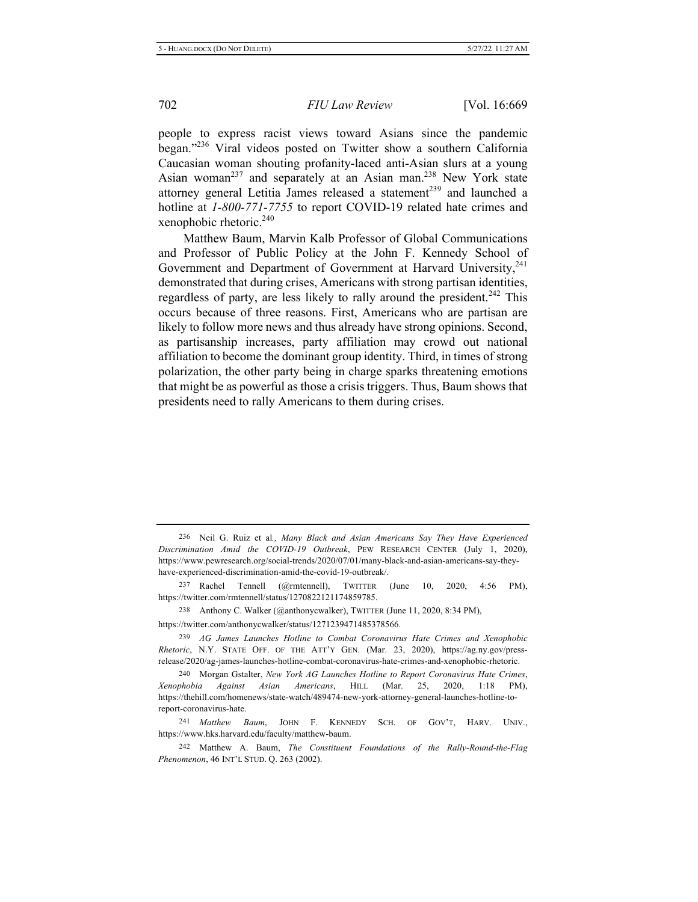people to express racist views toward Asians since the pandemic began."<sup>236</sup> Viral videos posted on Twitter show a southern California Caucasian woman shouting profanity-laced anti-Asian slurs at a young Asian woman<sup>237</sup> and separately at an Asian man.<sup>238</sup> New York state attorney general Letitia James released a statement<sup>239</sup> and launched a hotline at  $1-800-771-7755$  to report COVID-19 related hate crimes and xenophobic rhetoric. $240$ 

Matthew Baum, Marvin Kalb Professor of Global Communications and Professor of Public Policy at the John F. Kennedy School of Government and Department of Government at Harvard University,<sup>241</sup> demonstrated that during crises, Americans with strong partisan identities, regardless of party, are less likely to rally around the president.<sup>242</sup> This occurs because of three reasons. First, Americans who are partisan are likely to follow more news and thus already have strong opinions. Second, as partisanship increases, party affiliation may crowd out national affiliation to become the dominant group identity. Third, in times of strong polarization, the other party being in charge sparks threatening emotions that might be as powerful as those a crisis triggers. Thus, Baum shows that presidents need to rally Americans to them during crises.

<sup>236</sup> Neil G. Ruiz et al., Many Black and Asian Americans Say They Have Experienced Discrimination Amid the COVID-19 Outbreak, PEW RESEARCH CENTER (July 1, 2020), https://www.pewresearch.org/social-trends/2020/07/01/many-black-and-asian-americans-say-theyhave-experienced-discrimination-amid-the-covid-19-outbreak/.

<sup>237</sup> Rachel Tennell (@rmtennell), TWITTER (June  $10$ , 2020, 4:56 PM), https://twitter.com/rmtennell/status/1270822121174859785.

<sup>238</sup> Anthony C. Walker (@anthonycwalker), TWITTER (June 11, 2020, 8:34 PM), https://twitter.com/anthonycwalker/status/1271239471485378566.

<sup>&</sup>lt;sup>239</sup> AG James Launches Hotline to Combat Coronavirus Hate Crimes and Xenophobic Rhetoric, N.Y. STATE OFF. OF THE ATT'Y GEN. (Mar. 23, 2020), https://ag.ny.gov/pressrelease/2020/ag-james-launches-hotline-combat-coronavirus-hate-crimes-and-xenophobic-rhetoric.

<sup>240</sup> Morgan Gstalter, New York AG Launches Hotline to Report Coronavirus Hate Crimes, Xenophobia Against Asian Americans, HILL (Mar. 25, 2020, 1:18 PM), https://thehill.com/homenews/state-watch/489474-new-york-attorney-general-launches-hotline-toreport-coronavirus-hate.

<sup>&</sup>lt;sup>241</sup> Matthew Baum, JOHN F. KENNEDY SCH. OF GOV'T, HARV. UNIV., https://www.hks.harvard.edu/faculty/matthew-baum.

<sup>242</sup> Matthew A. Baum, *The Constituent Foundations of the Rally-Round-the-Flag Phenomenon*, 46 INT'L STUD. Q. 263 (2002).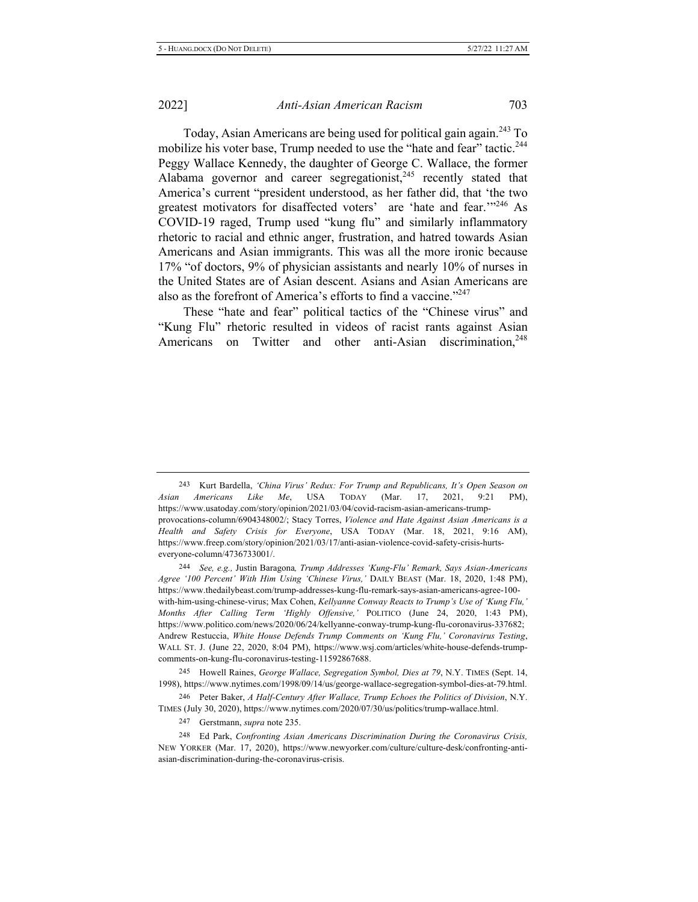Today, Asian Americans are being used for political gain again.<sup>243</sup> To mobilize his voter base, Trump needed to use the "hate and fear" tactic.<sup>244</sup> Peggy Wallace Kennedy, the daughter of George C. Wallace, the former Alabama governor and career segregationist,<sup>245</sup> recently stated that America's current "president understood, as her father did, that 'the two greatest motivators for disaffected voters' are 'hate and fear."<sup>246</sup> As COVID-19 raged, Trump used "kung flu" and similarly inflammatory rhetoric to racial and ethnic anger, frustration, and hatred towards Asian Americans and Asian immigrants. This was all the more ironic because 17% "of doctors, 9% of physician assistants and nearly 10% of nurses in the United States are of Asian descent. Asians and Asian Americans are also as the forefront of America's efforts to find a vaccine."<sup>247</sup>

These "hate and fear" political tactics of the "Chinese virus" and "Kung Flu" rhetoric resulted in videos of racist rants against Asian Americans on Twitter and other anti-Asian discrimination,<sup>248</sup>

244 See, e.g., Justin Baragona, Trump Addresses 'Kung-Flu' Remark, Says Asian-Americans Agree '100 Percent' With Him Using 'Chinese Virus,' DAILY BEAST (Mar. 18, 2020, 1:48 PM), https://www.thedailybeast.com/trump-addresses-kung-flu-remark-says-asian-americans-agree-100with-him-using-chinese-virus; Max Cohen, Kellyanne Conway Reacts to Trump's Use of 'Kung Flu,' Months After Calling Term 'Highly Offensive,' POLITICO (June 24, 2020, 1:43 PM), https://www.politico.com/news/2020/06/24/kellyanne-conway-trump-kung-flu-coronavirus-337682; Andrew Restuccia, White House Defends Trump Comments on 'Kung Flu,' Coronavirus Testing, WALL ST. J. (June 22, 2020, 8:04 PM), https://www.wsj.com/articles/white-house-defends-trumpcomments-on-kung-flu-coronavirus-testing-11592867688.

245 Howell Raines, George Wallace, Segregation Symbol, Dies at 79, N.Y. TIMES (Sept. 14, 1998), https://www.nytimes.com/1998/09/14/us/george-wallace-segregation-symbol-dies-at-79.html.

246 Peter Baker, A Half-Century After Wallace, Trump Echoes the Politics of Division, N.Y. TIMES (July 30, 2020), https://www.nytimes.com/2020/07/30/us/politics/trump-wallace.html.

247 Gerstmann, *supra* note 235.

<sup>248</sup> Ed Park, *Confronting Asian Americans Discrimination During the Coronavirus Crisis,* NEW YORKER (Mar. 17, 2020), https://www.newyorker.com/culture/culture-desk/confronting-antiasian-discrimination-during-the-coronavirus-crisis.

<sup>&</sup>lt;sup>243</sup> Kurt Bardella, 'China Virus' Redux: For Trump and Republicans, It's Open Season on Asian Americans Like Me, USA TODAY (Mar. 17, 2021, 9:21 PM), https://www.usatoday.com/story/opinion/2021/03/04/covid-racism-asian-americans-trumpprovocations-column/6904348002/; Stacy Torres, Violence and Hate Against Asian Americans is a Health and Safety Crisis for Everyone, USA TODAY (Mar. 18, 2021, 9:16 AM), https://www.freep.com/story/opinion/2021/03/17/anti-asian-violence-covid-safety-crisis-hurtseveryone-column/4736733001/.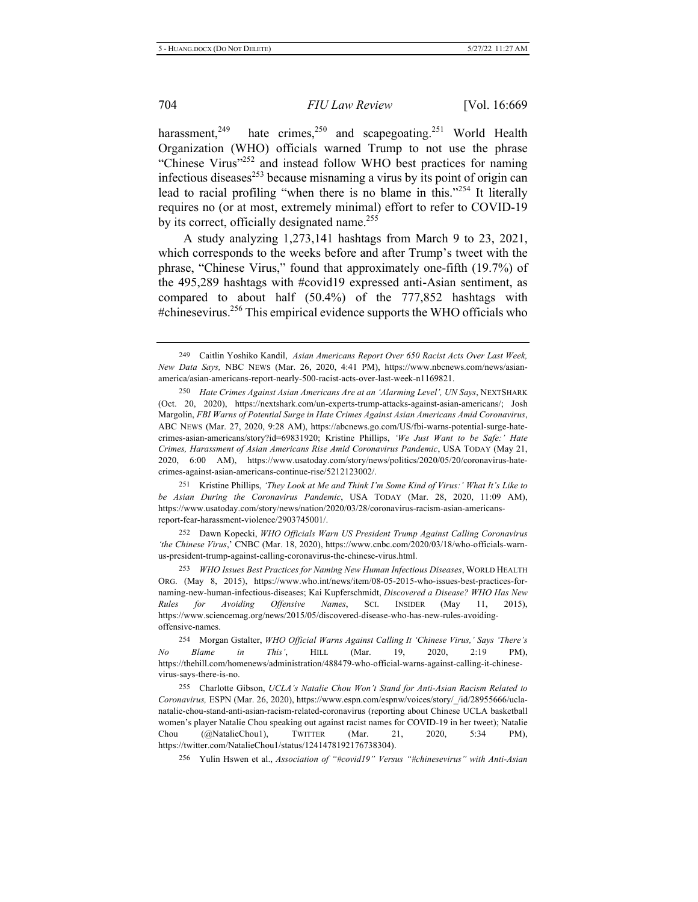harassment,<sup>249</sup> <sup>249</sup> hate crimes,<sup>250</sup> and scapegoating.<sup>251</sup> World Health Organization (WHO) officials warned Trump to not use the phrase "Chinese Virus"<sup>252</sup> and instead follow WHO best practices for naming infectious diseases<sup>253</sup> because misnaming a virus by its point of origin can lead to racial profiling "when there is no blame in this."<sup>254</sup> It literally requires no (or at most, extremely minimal) effort to refer to COVID-19 by its correct, officially designated name.<sup>255</sup>

A study analyzing  $1,273,141$  hashtags from March 9 to 23, 2021, which corresponds to the weeks before and after Trump's tweet with the phrase, "Chinese Virus," found that approximately one-fifth (19.7%) of the 495,289 hashtags with #covid19 expressed anti-Asian sentiment, as compared to about half  $(50.4\%)$  of the  $777,852$  hashtags with #chinesevirus.<sup>256</sup> This empirical evidence supports the WHO officials who

252 Dawn Kopecki, WHO Officials Warn US President Trump Against Calling Coronavirus 'the Chinese Virus,' CNBC (Mar. 18, 2020), https://www.cnbc.com/2020/03/18/who-officials-warnus-president-trump-against-calling-coronavirus-the-chinese-virus.html.

253 WHO Issues Best Practices for Naming New Human Infectious Diseases, WORLD HEALTH ORG. (May 8, 2015), https://www.who.int/news/item/08-05-2015-who-issues-best-practices-fornaming-new-human-infectious-diseases; Kai Kupferschmidt, Discovered a Disease? WHO Has New Rules for Avoiding Offensive Names, SCI. INSIDER (May 11, 2015), https://www.sciencemag.org/news/2015/05/discovered-disease-who-has-new-rules-avoidingoffensive-names.

256 Yulin Hswen et al., *Association of "#covid19" Versus "#chinesevirus" with Anti-Asian* 

<sup>249</sup> Caitlin Yoshiko Kandil, Asian Americans Report Over 650 Racist Acts Over Last Week, New Data Says, NBC NEWS (Mar. 26, 2020, 4:41 PM), https://www.nbcnews.com/news/asianamerica/asian-americans-report-nearly-500-racist-acts-over-last-week-n1169821.

<sup>250</sup> Hate Crimes Against Asian Americans Are at an 'Alarming Level', UN Says, NEXTSHARK (Oct. 20, 2020), https://nextshark.com/un-experts-trump-attacks-against-asian-americans/; Josh Margolin, FBI Warns of Potential Surge in Hate Crimes Against Asian Americans Amid Coronavirus, ABC NEWS (Mar. 27, 2020, 9:28 AM), https://abcnews.go.com/US/fbi-warns-potential-surge-hatecrimes-asian-americans/story?id=69831920; Kristine Phillips, 'We Just Want to be Safe:' Hate Crimes, Harassment of Asian Americans Rise Amid Coronavirus Pandemic, USA TODAY (May 21, 2020, 6:00 AM), https://www.usatoday.com/story/news/politics/2020/05/20/coronavirus-hatecrimes-against-asian-americans-continue-rise/5212123002/.

<sup>251</sup> Kristine Phillips, 'They Look at Me and Think I'm Some Kind of Virus:' What It's Like to be Asian During the Coronavirus Pandemic, USA TODAY (Mar. 28, 2020, 11:09 AM), https://www.usatoday.com/story/news/nation/2020/03/28/coronavirus-racism-asian-americansreport-fear-harassment-violence/2903745001/.

<sup>254</sup> Morgan Gstalter, WHO Official Warns Against Calling It 'Chinese Virus,' Says 'There's *No* Blame in This', HILL (Mar. 19, 2020, 2:19 PM), https://thehill.com/homenews/administration/488479-who-official-warns-against-calling-it-chinesevirus-says-there-is-no.

<sup>255</sup> Charlotte Gibson, UCLA's Natalie Chou Won't Stand for Anti-Asian Racism Related to Coronavirus, ESPN (Mar. 26, 2020), https://www.espn.com/espnw/voices/story/ /id/28955666/uclanatalie-chou-stand-anti-asian-racism-related-coronavirus (reporting about Chinese UCLA basketball women's player Natalie Chou speaking out against racist names for COVID-19 in her tweet); Natalie Chou  $(\omega)$ NatalieChou1), TWITTER (Mar. 21, 2020, 5:34 PM), https://twitter.com/NatalieChou1/status/1241478192176738304).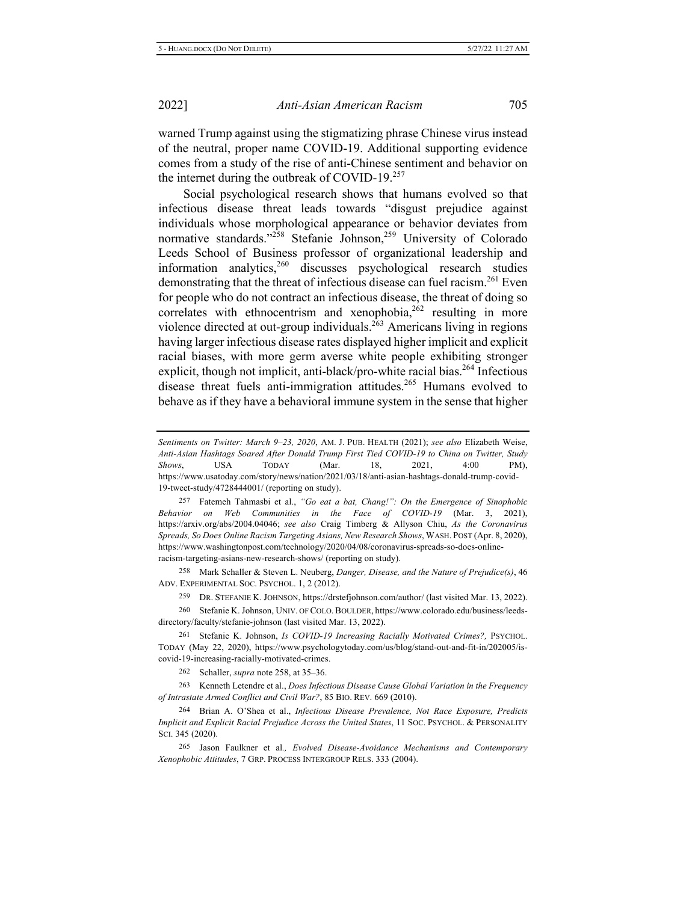warned Trump against using the stigmatizing phrase Chinese virus instead of the neutral, proper name COVID-19. Additional supporting evidence comes from a study of the rise of anti-Chinese sentiment and behavior on the internet during the outbreak of COVID-19.<sup>257</sup>

Social psychological research shows that humans evolved so that infectious disease threat leads towards "disgust prejudice against individuals whose morphological appearance or behavior deviates from normative standards."<sup>258</sup> Stefanie Johnson,<sup>259</sup> University of Colorado Leeds School of Business professor of organizational leadership and information analytics,  $260$  discusses psychological research studies demonstrating that the threat of infectious disease can fuel racism.<sup>261</sup> Even for people who do not contract an infectious disease, the threat of doing so correlates with ethnocentrism and xenophobia,<sup>262</sup> resulting in more violence directed at out-group individuals.<sup>263</sup> Americans living in regions having larger infectious disease rates displayed higher implicit and explicit racial biases, with more germ averse white people exhibiting stronger explicit, though not implicit, anti-black/pro-white racial bias.<sup>264</sup> Infectious disease threat fuels anti-immigration attitudes.<sup>265</sup> Humans evolved to behave as if they have a behavioral immune system in the sense that higher

258 Mark Schaller & Steven L. Neuberg, Danger, Disease, and the Nature of Prejudice(s), 46 ADV. EXPERIMENTAL SOC. PSYCHOL. 1, 2 (2012).

259 DR. STEFANIE K. JOHNSON, https://drstefjohnson.com/author/ (last visited Mar. 13, 2022).

260 Stefanie K. Johnson, UNIV. OF COLO. BOULDER, https://www.colorado.edu/business/leedsdirectory/faculty/stefanie-johnson (last visited Mar. 13, 2022).

261 Stefanie K. Johnson, Is COVID-19 Increasing Racially Motivated Crimes?, PSYCHOL. TODAY (May 22, 2020), https://www.psychologytoday.com/us/blog/stand-out-and-fit-in/202005/iscovid-19-increasing-racially-motivated-crimes.

262 Schaller, *supra* note 258, at 35–36.

263 Kenneth Letendre et al., *Does Infectious Disease Cause Global Variation in the Frequency* of Intrastate Armed Conflict and Civil War?, 85 BIO. REV. 669 (2010).

<sup>264</sup> Brian A. O'Shea et al., *Infectious Disease Prevalence*, *Not Race Exposure*, *Predicts Implicit and Explicit Racial Prejudice Across the United States, 11 Soc. PSYCHOL. & PERSONALITY* SCI. 345 (2020).

265 Jason Faulkner et al., Evolved Disease-Avoidance Mechanisms and Contemporary *Xenophobic Attitudes, 7 GRP. PROCESS INTERGROUP RELS. 333 (2004).* 

Sentiments on Twitter: March 9-23, 2020, AM. J. PUB. HEALTH (2021); see also Elizabeth Weise, Anti-Asian Hashtags Soared After Donald Trump First Tied COVID-19 to China on Twitter, Study *Shows*, USA TODAY (Mar. 18, 2021, 4:00 PM), https://www.usatoday.com/story/news/nation/2021/03/18/anti-asian-hashtags-donald-trump-covid-19-tweet-study/4728444001/ (reporting on study).

<sup>257</sup> Fatemeh Tahmasbi et al., "Go eat a bat, Chang!": On the Emergence of Sinophobic Behavior on Web Communities in the Face of COVID-19 (Mar. 3, 2021), https://arxiv.org/abs/2004.04046; see also Craig Timberg & Allyson Chiu, As the Coronavirus *Spreads, So Does Online Racism Targeting Asians, New Research Shows, WASH. POST (Apr. 8, 2020),* https://www.washingtonpost.com/technology/2020/04/08/coronavirus-spreads-so-does-onlineracism-targeting-asians-new-research-shows/ (reporting on study).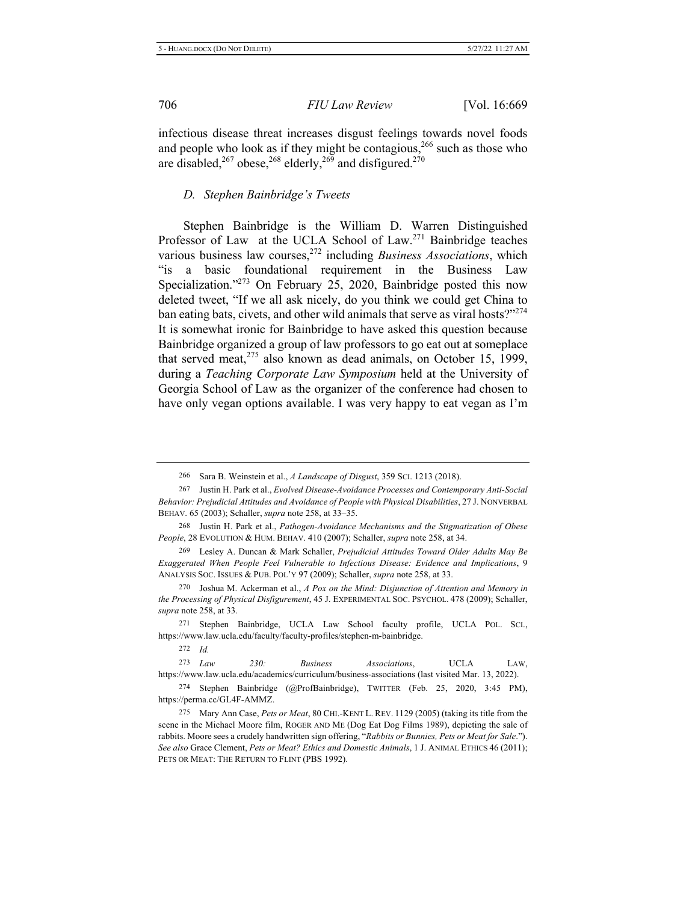infectious disease threat increases disgust feelings towards novel foods and people who look as if they might be contagious,  $2^{66}$  such as those who are disabled,<sup>267</sup> obese,<sup>268</sup> elderly,<sup>269</sup> and disfigured.<sup>270</sup>

# *D.* Stephen Bainbridge's Tweets

Stephen Bainbridge is the William D. Warren Distinguished Professor of Law at the UCLA School of Law.<sup>271</sup> Bainbridge teaches various business law courses,<sup>272</sup> including *Business Associations*, which "is a basic foundational requirement in the Business Law Specialization."<sup>273</sup> On February 25, 2020, Bainbridge posted this now deleted tweet, "If we all ask nicely, do you think we could get China to ban eating bats, civets, and other wild animals that serve as viral hosts?"274 It is somewhat ironic for Bainbridge to have asked this question because Bainbridge organized a group of law professors to go eat out at someplace that served meat,  $2^{75}$  also known as dead animals, on October 15, 1999, during a *Teaching Corporate Law Symposium* held at the University of Georgia School of Law as the organizer of the conference had chosen to have only vegan options available. I was very happy to eat vegan as I'm

269 Lesley A. Duncan & Mark Schaller, Prejudicial Attitudes Toward Older Adults May Be *Exaggerated When People Feel Vulnerable to Infectious Disease: Evidence and Implications, 9* ANALYSIS SOC. ISSUES & PUB. POL'Y 97 (2009); Schaller, *supra* note 258, at 33.

270 Joshua M. Ackerman et al., A Pox on the Mind: Disjunction of Attention and Memory in the Processing of Physical Disfigurement, 45 J. EXPERIMENTAL SOC. PSYCHOL. 478 (2009); Schaller, *supra* note 258, at 33.

271 Stephen Bainbridge, UCLA Law School faculty profile, UCLA POL. SCI., https://www.law.ucla.edu/faculty/faculty-profiles/stephen-m-bainbridge.

272 *Id.* 

<sup>273</sup> Law 230: Business Associations, UCLA LAW, https://www.law.ucla.edu/academics/curriculum/business-associations (last visited Mar. 13, 2022). 274 Stephen Bainbridge (@ProfBainbridge), TWITTER (Feb. 25, 2020, 3:45 PM),

<sup>266</sup> Sara B. Weinstein et al., *A Landscape of Disgust*, 359 SCI. 1213 (2018).

<sup>267</sup> Justin H. Park et al., *Evolved Disease-Avoidance Processes and Contemporary Anti-Social Behavior: Prejudicial Attitudes and Avoidance of People with Physical Disabilities, 27 J. NONVERBAL* BEHAV. 65 (2003); Schaller, *supra* note 258, at 33-35.

<sup>268</sup> Justin H. Park et al., Pathogen-Avoidance Mechanisms and the Stigmatization of Obese People, 28 EVOLUTION & HUM. BEHAV. 410 (2007); Schaller, supra note 258, at 34.

https://perma.cc/GL4F-AMMZ.

<sup>275</sup> Mary Ann Case, Pets or Meat, 80 CHI.-KENT L. REV. 1129 (2005) (taking its title from the scene in the Michael Moore film, ROGER AND ME (Dog Eat Dog Films 1989), depicting the sale of rabbits. Moore sees a crudely handwritten sign offering, "Rabbits or Bunnies, Pets or Meat for Sale."). *See also* Grace Clement, *Pets or Meat? Ethics and Domestic Animals*, 1 J. ANIMAL ETHICS 46 (2011); PETS OR MEAT: THE RETURN TO FLINT (PBS 1992).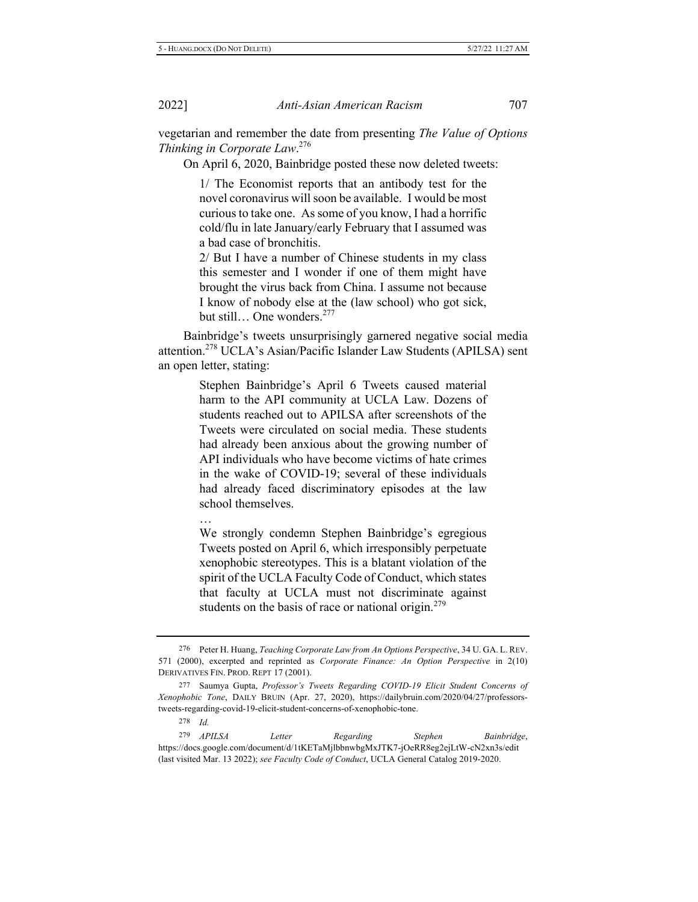vegetarian and remember the date from presenting The Value of Options *Thinking in Corporate Law.*<sup>276</sup>

On April 6, 2020, Bainbridge posted these now deleted tweets:

1/ The Economist reports that an antibody test for the novel coronavirus will soon be available. I would be most curious to take one. As some of you know, I had a horrific cold/flu in late January/early February that I assumed was a bad case of bronchitis.

2/ But I have a number of Chinese students in my class this semester and I wonder if one of them might have brought the virus back from China. I assume not because I know of nobody else at the (law school) who got sick, but still... One wonders.<sup>277</sup>

Bainbridge's tweets unsurprisingly garnered negative social media attention.<sup>278</sup> UCLA's Asian/Pacific Islander Law Students (APILSA) sent an open letter, stating:

> Stephen Bainbridge's April 6 Tweets caused material harm to the API community at UCLA Law. Dozens of students reached out to APILSA after screenshots of the Tweets were circulated on social media. These students had already been anxious about the growing number of API individuals who have become victims of hate crimes in the wake of COVID-19; several of these individuals had already faced discriminatory episodes at the law school themselves.

> We strongly condemn Stephen Bainbridge's egregious Tweets posted on April 6, which irresponsibly perpetuate xenophobic stereotypes. This is a blatant violation of the spirit of the UCLA Faculty Code of Conduct, which states that faculty at UCLA must not discriminate against students on the basis of race or national origin.<sup>279</sup>

 $\cdots$ 

<sup>276</sup> Peter H. Huang, *Teaching Corporate Law from An Options Perspective*, 34 U. GA. L. REV. 571 (2000), excerpted and reprinted as *Corporate Finance: An Option Perspective* in 2(10) DERIVATIVES FIN. PROD. REPT 17 (2001).

<sup>277</sup> Saumya Gupta, Professor's Tweets Regarding COVID-19 Elicit Student Concerns of Xenophobic Tone, DAILY BRUIN (Apr. 27, 2020), https://dailybruin.com/2020/04/27/professorstweets-regarding-covid-19-elicit-student-concerns-of-xenophobic-tone.

<sup>278</sup> *Id.* 

<sup>&</sup>lt;sup>279</sup> *APILSA Letter Regarding Stephen Bainbridge*, https://docs.google.com/document/d/1tKETaMjlbbnwbgMxJTK7-jOeRR8eg2ejLtW-cN2xn3s/edit (last visited Mar. 13 2022); see Faculty Code of Conduct, UCLA General Catalog 2019-2020.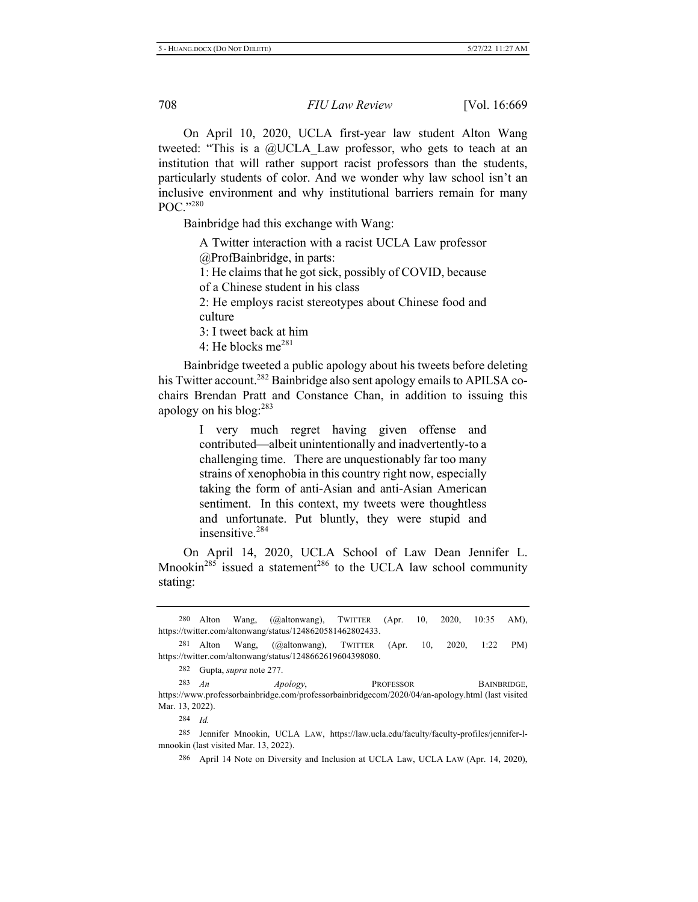On April 10, 2020, UCLA first-year law student Alton Wang tweeted: "This is a  $@UCLA$  Law professor, who gets to teach at an institution that will rather support racist professors than the students, particularly students of color. And we wonder why law school isn't an inclusive environment and why institutional barriers remain for many POC."280

Bainbridge had this exchange with Wang:

A Twitter interaction with a racist UCLA Law professor @ProfBainbridge, in parts:

1: He claims that he got sick, possibly of COVID, because

of a Chinese student in his class

2: He employs racist stereotypes about Chinese food and culture

3: I tweet back at him

4: He blocks me $^{281}$ 

Bainbridge tweeted a public apology about his tweets before deleting his Twitter account.<sup>282</sup> Bainbridge also sent apology emails to APILSA cochairs Brendan Pratt and Constance Chan, in addition to issuing this apology on his blog:<sup>283</sup>

> I very much regret having given offense and contributed—albeit unintentionally and inadvertently-to a challenging time. There are unquestionably far too many strains of xenophobia in this country right now, especially taking the form of anti-Asian and anti-Asian American sentiment. In this context, my tweets were thoughtless and unfortunate. Put bluntly, they were stupid and insensitive.<sup>284</sup>

On April 14, 2020, UCLA School of Law Dean Jennifer L. Mnookin<sup>285</sup> issued a statement<sup>286</sup> to the UCLA law school community stating:

281 Alton Wang,  $(Qaltonwang)$ , TWITTER  $(Apr. 10, 2020, 1:22 PM)$ https://twitter.com/altonwang/status/1248662619604398080.

282 Gupta, *supra* note 277.

283  $An$ *Apology*, PROFESSOR BAINBRIDGE, https://www.professorbainbridge.com/professorbainbridgecom/2020/04/an-apology.html (last visited Mar. 13, 2022).

284 *Id.* 

285 Jennifer Mnookin, UCLA LAW, https://law.ucla.edu/faculty/faculty-profiles/jennifer-lmnookin (last visited Mar. 13, 2022).

286 April 14 Note on Diversity and Inclusion at UCLA Law, UCLA LAW (Apr. 14, 2020),

<sup>280</sup> Wang, (@altonwang), TWITTER (Apr. 10, 2020, 10:35 AM), https://twitter.com/altonwang/status/1248620581462802433.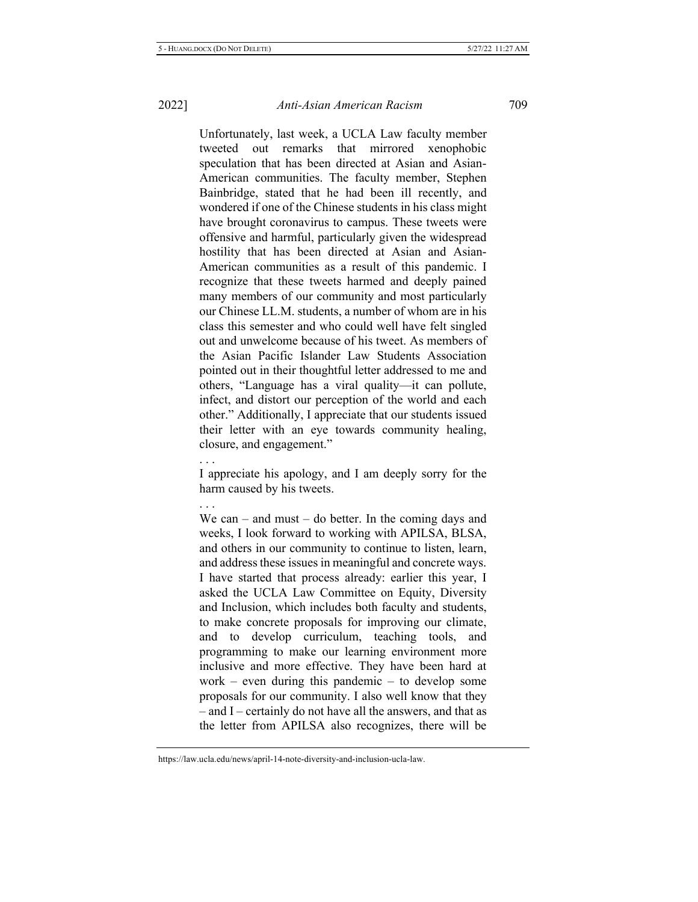Unfortunately, last week, a UCLA Law faculty member tweeted out remarks that mirrored xenophobic speculation that has been directed at Asian and Asian-American communities. The faculty member, Stephen Bainbridge, stated that he had been ill recently, and wondered if one of the Chinese students in his class might have brought coronavirus to campus. These tweets were offensive and harmful, particularly given the widespread hostility that has been directed at Asian and Asian-American communities as a result of this pandemic. I recognize that these tweets harmed and deeply pained many members of our community and most particularly our Chinese LL.M. students, a number of whom are in his class this semester and who could well have felt singled out and unwelcome because of his tweet. As members of the Asian Pacific Islander Law Students Association pointed out in their thoughtful letter addressed to me and others, "Language has a viral quality-it can pollute, infect, and distort our perception of the world and each other." Additionally, I appreciate that our students issued their letter with an eye towards community healing, closure, and engagement."

 $\cdots$ 

I appreciate his apology, and I am deeply sorry for the harm caused by his tweets.

 $\cdots$ 

We can – and must – do better. In the coming days and weeks, I look forward to working with APILSA, BLSA, and others in our community to continue to listen, learn, and address these issues in meaningful and concrete ways. I have started that process already: earlier this year, I asked the UCLA Law Committee on Equity, Diversity and Inclusion, which includes both faculty and students, to make concrete proposals for improving our climate, and to develop curriculum, teaching tools, and programming to make our learning environment more inclusive and more effective. They have been hard at work – even during this pandemic – to develop some proposals for our community. I also well know that they - and I - certainly do not have all the answers, and that as the letter from APILSA also recognizes, there will be

https://law.ucla.edu/news/april-14-note-diversity-and-inclusion-ucla-law.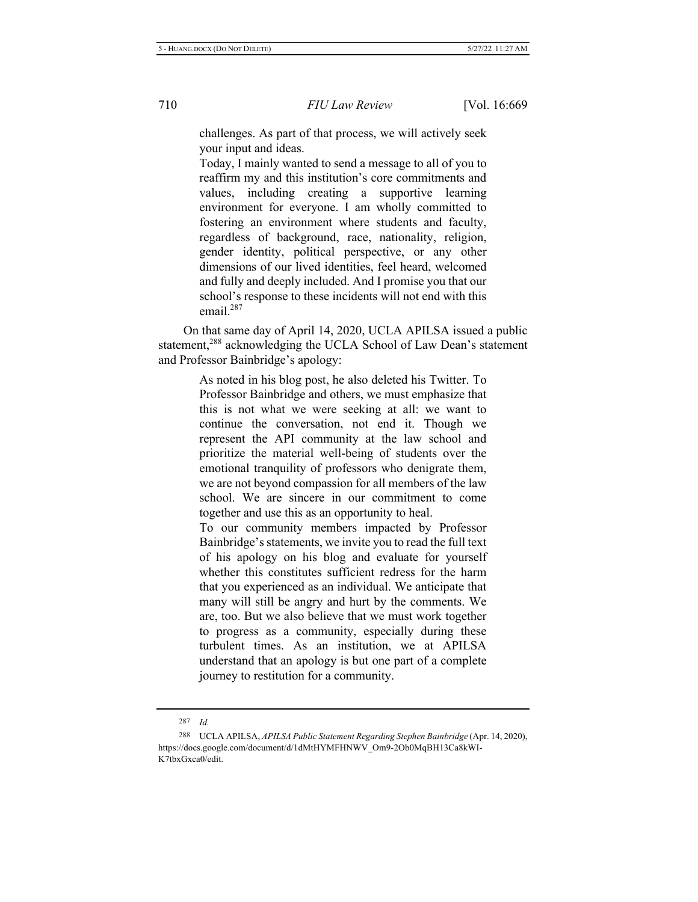challenges. As part of that process, we will actively seek your input and ideas.

Today, I mainly wanted to send a message to all of you to reaffirm my and this institution's core commitments and values, including creating a supportive learning environment for everyone. I am wholly committed to fostering an environment where students and faculty, regardless of background, race, nationality, religion, gender identity, political perspective, or any other dimensions of our lived identities, feel heard, welcomed and fully and deeply included. And I promise you that our school's response to these incidents will not end with this email. $287$ 

On that same day of April 14, 2020, UCLA APILSA issued a public statement,<sup>288</sup> acknowledging the UCLA School of Law Dean's statement and Professor Bainbridge's apology:

> As noted in his blog post, he also deleted his Twitter. To Professor Bainbridge and others, we must emphasize that this is not what we were seeking at all: we want to continue the conversation, not end it. Though we represent the API community at the law school and prioritize the material well-being of students over the emotional tranquility of professors who denigrate them, we are not beyond compassion for all members of the law school. We are sincere in our commitment to come together and use this as an opportunity to heal.

> To our community members impacted by Professor Bainbridge's statements, we invite you to read the full text of his apology on his blog and evaluate for yourself whether this constitutes sufficient redress for the harm that you experienced as an individual. We anticipate that many will still be angry and hurt by the comments. We are, too. But we also believe that we must work together to progress as a community, especially during these turbulent times. As an institution, we at APILSA understand that an apology is but one part of a complete journey to restitution for a community.

<sup>287</sup> *Id.* 

<sup>288</sup> UCLA APILSA, *APILSA Public Statement Regarding Stephen Bainbridge* (Apr. 14, 2020), https://docs.google.com/document/d/1dMtHYMFHNWV\_Om9-2Ob0MqBH13Ca8kWI-K7tbxGxca0/edit.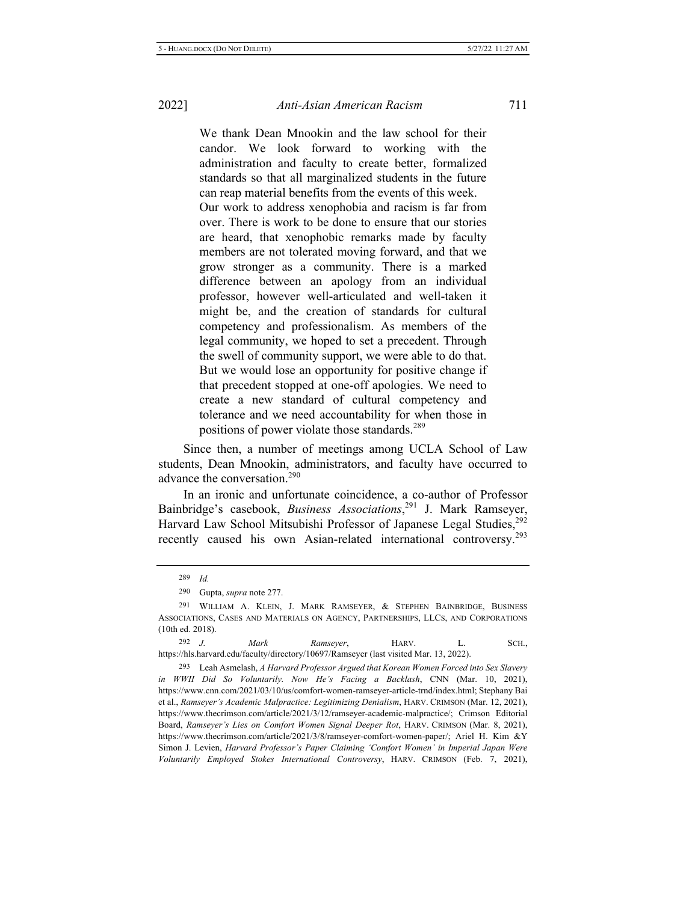We thank Dean Mnookin and the law school for their candor. We look forward to working with the administration and faculty to create better, formalized standards so that all marginalized students in the future can reap material benefits from the events of this week.

Our work to address xenophobia and racism is far from over. There is work to be done to ensure that our stories are heard, that xenophobic remarks made by faculty members are not tolerated moving forward, and that we grow stronger as a community. There is a marked difference between an apology from an individual professor, however well-articulated and well-taken it might be, and the creation of standards for cultural competency and professionalism. As members of the legal community, we hoped to set a precedent. Through the swell of community support, we were able to do that. But we would lose an opportunity for positive change if that precedent stopped at one-off apologies. We need to create a new standard of cultural competency and tolerance and we need accountability for when those in positions of power violate those standards.<sup>289</sup>

Since then, a number of meetings among UCLA School of Law students, Dean Mnookin, administrators, and faculty have occurred to advance the conversation.<sup>290</sup>

In an ironic and unfortunate coincidence, a co-author of Professor Bainbridge's casebook, *Business Associations*,<sup>291</sup> J. Mark Ramseyer, Harvard Law School Mitsubishi Professor of Japanese Legal Studies,<sup>292</sup> recently caused his own Asian-related international controversy.<sup>293</sup>

292 *J Mark* Ramseyer, HARV. L. SCH., https://hls.harvard.edu/faculty/directory/10697/Ramseyer (last visited Mar. 13, 2022).

293 Leah Asmelash, A Harvard Professor Argued that Korean Women Forced into Sex Slavery *in WWII Did So Voluntarily. Now He's Facing a Backlash, CNN (Mar. 10, 2021),* https://www.cnn.com/2021/03/10/us/comfort-women-ramseyer-article-trnd/index.html; Stephany Bai et al., Ramseyer's Academic Malpractice: Legitimizing Denialism, HARV. CRIMSON (Mar. 12, 2021), https://www.thecrimson.com/article/2021/3/12/ramseyer-academic-malpractice/; Crimson Editorial Board, Ramseyer's Lies on Comfort Women Signal Deeper Rot, HARV. CRIMSON (Mar. 8, 2021), https://www.thecrimson.com/article/2021/3/8/ramseyer-comfort-women-paper/; Ariel H. Kim &Y Simon J. Levien, *Harvard Professor's Paper Claiming 'Comfort Women' in Imperial Japan Were* Voluntarily Employed Stokes International Controversy, HARV. CRIMSON (Feb. 7, 2021),

<sup>289</sup> *Id.* 

<sup>290</sup> Gupta, *supra* note 277.

<sup>291</sup> WILLIAM A. KLEIN, J. MARK RAMSEYER, & STEPHEN BAINBRIDGE, BUSINESS ASSOCIATIONS, CASES AND MATERIALS ON AGENCY, PARTNERSHIPS, LLCS, AND CORPORATIONS  $(10th$  ed.  $2018)$ .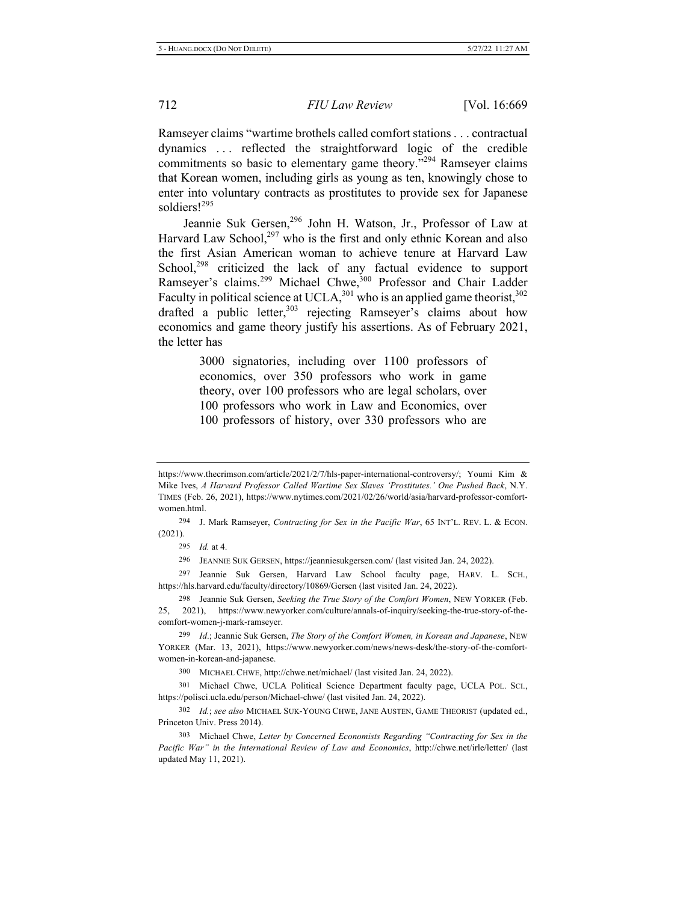Ramseyer claims "wartime brothels called comfort stations . . . contractual dynamics ... reflected the straightforward logic of the credible commitments so basic to elementary game theory.<sup> $3294$ </sup> Ramseyer claims that Korean women, including girls as young as ten, knowingly chose to enter into voluntary contracts as prostitutes to provide sex for Japanese soldiers!<sup>295</sup>

Jeannie Suk Gersen,<sup>296</sup> John H. Watson, Jr., Professor of Law at Harvard Law School,<sup>297</sup> who is the first and only ethnic Korean and also the first Asian American woman to achieve tenure at Harvard Law School,<sup>298</sup> criticized the lack of any factual evidence to support Ramseyer's claims.<sup>299</sup> Michael Chwe,<sup>300</sup> Professor and Chair Ladder Faculty in political science at UCLA,  $^{301}$  who is an applied game theorist,  $^{302}$ drafted a public letter,  $303$  rejecting Ramseyer's claims about how economics and game theory justify his assertions. As of February 2021, the letter has

> 3000 signatories, including over 1100 professors of economics, over 350 professors who work in game theory, over 100 professors who are legal scholars, over 100 professors who work in Law and Economics, over 100 professors of history, over 330 professors who are

294 J. Mark Ramseyer, Contracting for Sex in the Pacific War, 65 INT'L. REV. L. & ECON.  $(2021).$ 

295 *Id.* at 4.

296 JEANNIE SUK GERSEN, https://jeanniesukgersen.com/ (last visited Jan. 24, 2022).

297 Jeannie Suk Gersen, Harvard Law School faculty page, HARV. L. SCH., https://hls.harvard.edu/faculty/directory/10869/Gersen (last visited Jan. 24, 2022).

298 Jeannie Suk Gersen, Seeking the True Story of the Comfort Women, NEW YORKER (Feb. 25, 2021), https://www.newyorker.com/culture/annals-of-inquiry/seeking-the-true-story-of-thecomfort-women-j-mark-ramseyer.

299 *Id.*; Jeannie Suk Gersen, The Story of the Comfort Women, in Korean and Japanese, NEW YORKER (Mar. 13, 2021), https://www.newyorker.com/news/news-desk/the-story-of-the-comfortwomen-in-korean-and-japanese.

300 MICHAEL CHWE, http://chwe.net/michael/ (last visited Jan. 24, 2022).

301 Michael Chwe, UCLA Political Science Department faculty page, UCLA POL. SCI., https://polisci.ucla.edu/person/Michael-chwe/ (last visited Jan. 24, 2022).

302 Id.; see also MICHAEL SUK-YOUNG CHWE, JANE AUSTEN, GAME THEORIST (updated ed., Princeton Univ. Press 2014).

303 Michael Chwe, Letter by Concerned Economists Regarding "Contracting for Sex in the Pacific War" in the International Review of Law and Economics, http://chwe.net/irle/letter/ (last updated May 11, 2021).

https://www.thecrimson.com/article/2021/2/7/hls-paper-international-controversy/; Youmi Kim & Mike Ives, A Harvard Professor Called Wartime Sex Slaves 'Prostitutes.' One Pushed Back, N.Y. TIMES (Feb. 26, 2021), https://www.nytimes.com/2021/02/26/world/asia/harvard-professor-comfortwomen.html.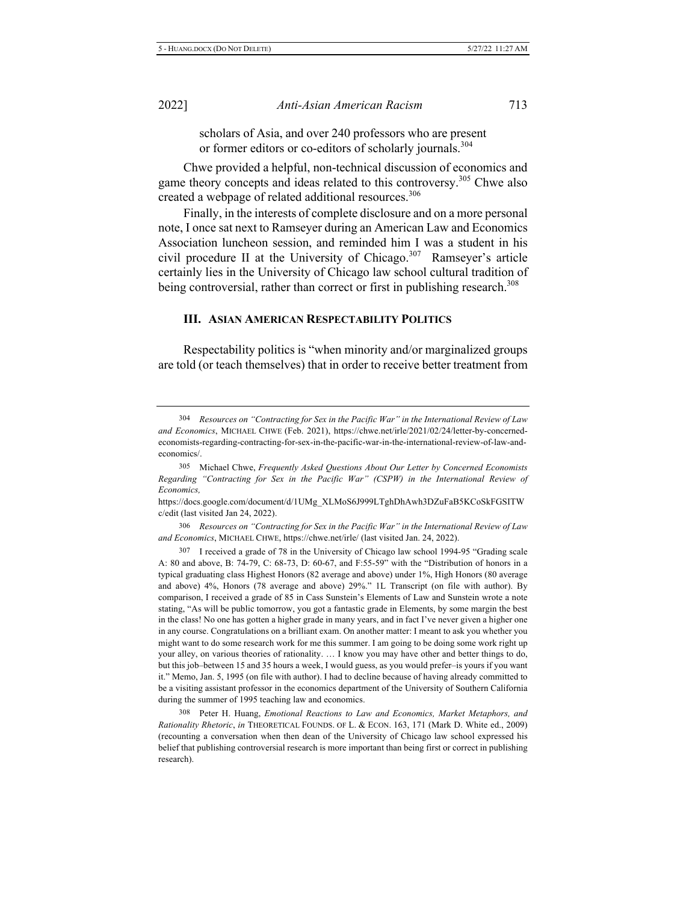scholars of Asia, and over 240 professors who are present or former editors or co-editors of scholarly journals.<sup>304</sup>

Chwe provided a helpful, non-technical discussion of economics and game theory concepts and ideas related to this controversy.<sup>305</sup> Chwe also created a webpage of related additional resources.<sup>306</sup>

Finally, in the interests of complete disclosure and on a more personal note, I once sat next to Ramseyer during an American Law and Economics Association luncheon session, and reminded him I was a student in his civil procedure II at the University of Chicago.<sup>307</sup> Ramseyer's article certainly lies in the University of Chicago law school cultural tradition of being controversial, rather than correct or first in publishing research.<sup>308</sup>

### **III. ASIAN AMERICAN RESPECTABILITY POLITICS**

Respectability politics is "when minority and/or marginalized groups" are told (or teach themselves) that in order to receive better treatment from

https://docs.google.com/document/d/1UMg XLMoS6J999LTghDhAwh3DZuFaB5KCoSkFGSITW c/edit (last visited Jan 24, 2022).

306 Resources on "Contracting for Sex in the Pacific War" in the International Review of Law and Economics, MICHAEL CHWE, https://chwe.net/irle/ (last visited Jan. 24, 2022).

307 <sup>7</sup> I received a grade of 78 in the University of Chicago law school 1994-95 "Grading scale A: 80 and above, B: 74-79, C: 68-73, D: 60-67, and  $F:55-59$ " with the "Distribution of honors in a typical graduating class Highest Honors (82 average and above) under 1%, High Honors (80 average and above) 4%, Honors (78 average and above) 29%." 1L Transcript (on file with author). By comparison, I received a grade of 85 in Cass Sunstein's Elements of Law and Sunstein wrote a note stating, "As will be public tomorrow, you got a fantastic grade in Elements, by some margin the best in the class! No one has gotten a higher grade in many years, and in fact I've never given a higher one in any course. Congratulations on a brilliant exam. On another matter: I meant to ask you whether you might want to do some research work for me this summer. I am going to be doing some work right up your alley, on various theories of rationality. ... I know you may have other and better things to do, but this job-between 15 and 35 hours a week, I would guess, as you would prefer-is yours if you want it." Memo, Jan. 5, 1995 (on file with author). I had to decline because of having already committed to be a visiting assistant professor in the economics department of the University of Southern California during the summer of 1995 teaching law and economics.

308 Peter H. Huang, *Emotional Reactions to Law and Economics, Market Metaphors, and* Rationality Rhetoric, in THEORETICAL FOUNDS. OF L. & ECON. 163, 171 (Mark D. White ed., 2009) (recounting a conversation when then dean of the University of Chicago law school expressed his belief that publishing controversial research is more important than being first or correct in publishing research).

<sup>304</sup> *Resources on "Contracting for Sex in the Pacific War" in the International Review of Law* and Economics, MICHAEL CHWE (Feb. 2021), https://chwe.net/irle/2021/02/24/letter-by-concernedeconomists-regarding-contracting-for-sex-in-the-pacific-war-in-the-international-review-of-law-andeconomics/.

<sup>305</sup> Michael Chwe, Frequently Asked Questions About Our Letter by Concerned Economists Regarding "Contracting for Sex in the Pacific War" (CSPW) in the International Review of  $Economics.$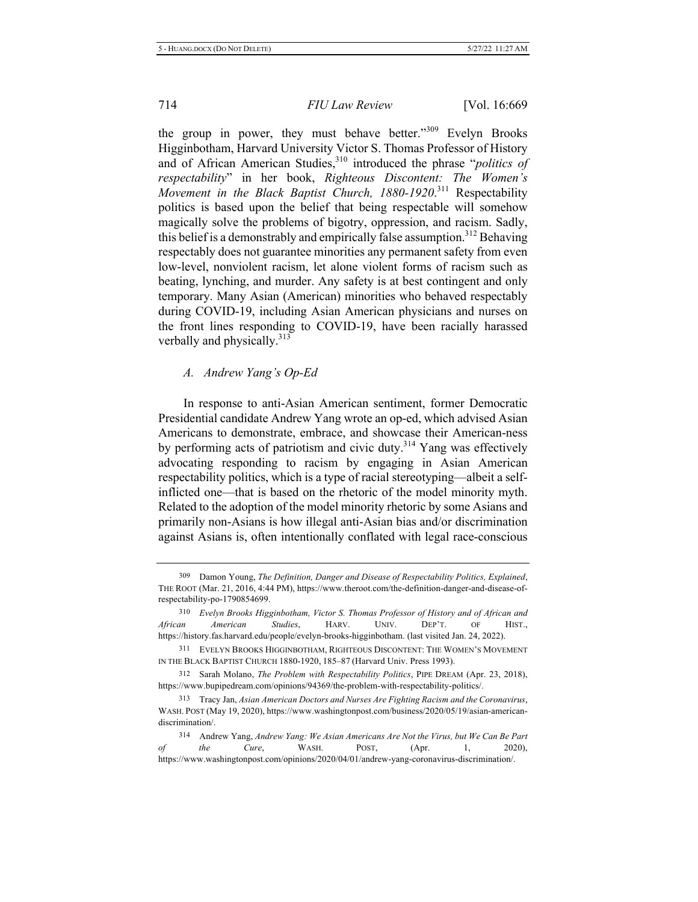the group in power, they must behave better."309 Evelyn Brooks Higginbotham, Harvard University Victor S. Thomas Professor of History and of African American Studies,<sup>310</sup> introduced the phrase "*politics of respectability*" in her book, Righteous Discontent: The Women's Movement in the Black Baptist Church, 1880-1920.<sup>311</sup> Respectability politics is based upon the belief that being respectable will somehow magically solve the problems of bigotry, oppression, and racism. Sadly, this belief is a demonstrably and empirically false assumption.<sup>312</sup> Behaving respectably does not guarantee minorities any permanent safety from even low-level, nonviolent racism, let alone violent forms of racism such as beating, lynching, and murder. Any safety is at best contingent and only temporary. Many Asian (American) minorities who behaved respectably during COVID-19, including Asian American physicians and nurses on the front lines responding to COVID-19, have been racially harassed verbally and physically.<sup>313</sup>

### *A. Andrew Yang's Op-Ed*

In response to anti-Asian American sentiment, former Democratic Presidential candidate Andrew Yang wrote an op-ed, which advised Asian Americans to demonstrate, embrace, and showcase their American-ness by performing acts of patriotism and civic duty.<sup>314</sup> Yang was effectively advocating responding to racism by engaging in Asian American respectability politics, which is a type of racial stereotyping—albeit a selfinflicted one—that is based on the rhetoric of the model minority myth. Related to the adoption of the model minority rhetoric by some Asians and primarily non-Asians is how illegal anti-Asian bias and/or discrimination against Asians is, often intentionally conflated with legal race-conscious

<sup>309</sup> Damon Young, The Definition, Danger and Disease of Respectability Politics, Explained, THE ROOT (Mar. 21, 2016, 4:44 PM), https://www.theroot.com/the-definition-danger-and-disease-ofrespectability-po-1790854699.

<sup>310</sup> Evelyn Brooks Higginbotham, Victor S. Thomas Professor of History and of African and *African American Studies*, HARV. UNIV. DEP'T. OF HIST., https://history.fas.harvard.edu/people/evelyn-brooks-higginbotham. (last visited Jan. 24, 2022).

<sup>311</sup> EVELYN BROOKS HIGGINBOTHAM. RIGHTEOUS DISCONTENT: THE WOMEN'S MOVEMENT IN THE BLACK BAPTIST CHURCH 1880-1920, 185-87 (Harvard Univ. Press 1993).

<sup>312</sup> Sarah Molano, *The Problem with Respectability Politics*, PIPE DREAM (Apr. 23, 2018), https://www.bupipedream.com/opinions/94369/the-problem-with-respectability-politics/.

<sup>313</sup> Tracy Jan, Asian American Doctors and Nurses Are Fighting Racism and the Coronavirus, WASH. POST (May 19, 2020), https://www.washingtonpost.com/business/2020/05/19/asian-americandiscrimination/.

<sup>314</sup> Andrew Yang, Andrew Yang: We Asian Americans Are Not the Virus, but We Can Be Part *of the Cure*, WASH. POST, (Apr. 1, 2020), https://www.washingtonpost.com/opinions/2020/04/01/andrew-yang-coronavirus-discrimination/.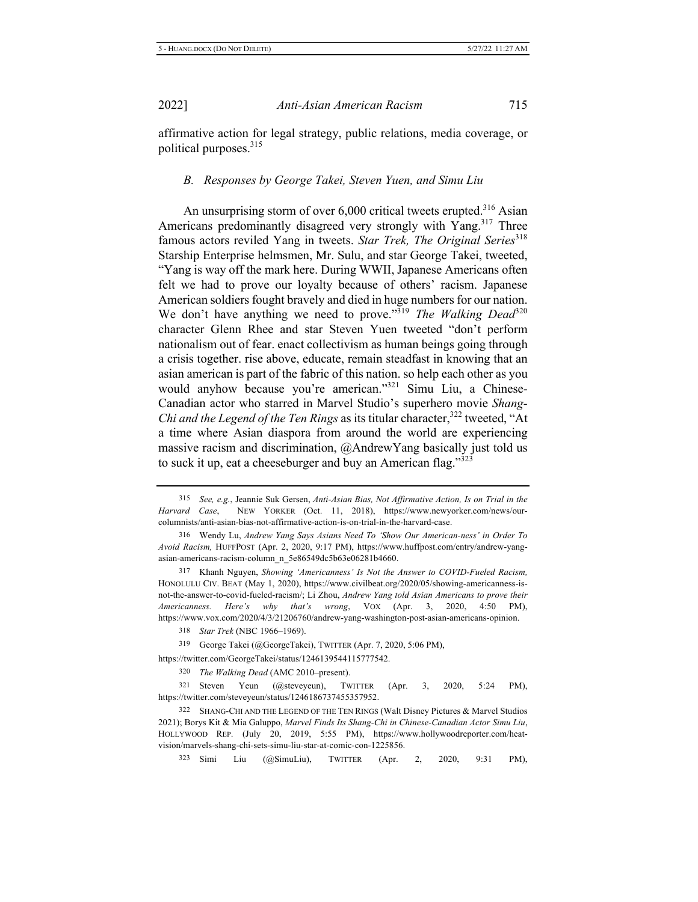affirmative action for legal strategy, public relations, media coverage, or political purposes.<sup>315</sup>

### *B.* Responses by George Takei, Steven Yuen, and Simu Liu

An unsurprising storm of over  $6,000$  critical tweets erupted.<sup>316</sup> Asian Americans predominantly disagreed very strongly with Yang.<sup>317</sup> Three famous actors reviled Yang in tweets. Star Trek, The Original Series<sup>318</sup> Starship Enterprise helmsmen, Mr. Sulu, and star George Takei, tweeted, "Yang is way off the mark here. During WWII, Japanese Americans often felt we had to prove our loyalty because of others' racism. Japanese American soldiers fought bravely and died in huge numbers for our nation. We don't have anything we need to prove."<sup>319</sup> The Walking Dead<sup>320</sup> character Glenn Rhee and star Steven Yuen tweeted "don't perform nationalism out of fear. enact collectivism as human beings going through a crisis together. rise above, educate, remain steadfast in knowing that an asian american is part of the fabric of this nation, so help each other as you would anyhow because you're american."<sup>321</sup> Simu Liu, a Chinese-Canadian actor who starred in Marvel Studio's superhero movie Shang-Chi and the Legend of the Ten Rings as its titular character,<sup>322</sup> tweeted, "At a time where Asian diaspora from around the world are experiencing massive racism and discrimination,  $@A$ ndrewYang basically just told us to suck it up, eat a cheeseburger and buy an American flag."323

317 Khanh Nguyen, *Showing 'Americanness' Is Not the Answer to COVID-Fueled Racism*, HONOLULU CIV. BEAT (May 1, 2020), https://www.civilbeat.org/2020/05/showing-americanness-isnot-the-answer-to-covid-fueled-racism/; Li Zhou, Andrew Yang told Asian Americans to prove their *Americanness. Here's why that's wrong*, VOX (Apr. 3, 2020, 4:50 PM), https://www.vox.com/2020/4/3/21206760/andrew-yang-washington-post-asian-americans-opinion.

319 George Takei (@GeorgeTakei), TWITTER (Apr. 7, 2020, 5:06 PM),

https://twitter.com/GeorgeTakei/status/1246139544115777542.

320 The Walking Dead (AMC 2010–present).

321 Steven Yeun (@steveyeun), TWITTER (Apr. 3, 2020, 5:24 PM), https://twitter.com/steveyeun/status/1246186737455357952.

322 SHANG-CHI AND THE LEGEND OF THE TEN RINGS (Walt Disney Pictures & Marvel Studios 2021); Borys Kit & Mia Galuppo, Marvel Finds Its Shang-Chi in Chinese-Canadian Actor Simu Liu, HOLLYWOOD REP. (July 20, 2019, 5:55 PM), https://www.hollywoodreporter.com/heatvision/marvels-shang-chi-sets-simu-liu-star-at-comic-con-1225856.

323 Simi Liu  $(a)$ SimuLiu), TWITTER  $(Apr. 2, 2020, 9:31 P M)$ ,

<sup>315</sup> See, e.g., Jeannie Suk Gersen, Anti-Asian Bias, Not Affirmative Action, Is on Trial in the Harvard Case, NEW YORKER (Oct. 11, 2018), https://www.newyorker.com/news/ourcolumnists/anti-asian-bias-not-affirmative-action-is-on-trial-in-the-harvard-case.

<sup>&</sup>lt;sup>316</sup> Wendy Lu, *Andrew Yang Says Asians Need To 'Show Our American-ness' in Order To* Avoid Racism, HUFFPOST (Apr. 2, 2020, 9:17 PM), https://www.huffpost.com/entry/andrew-yangasian-americans-racism-column n 5e86549dc5b63e06281b4660.

<sup>318</sup> *Star Trek* (NBC 1966-1969).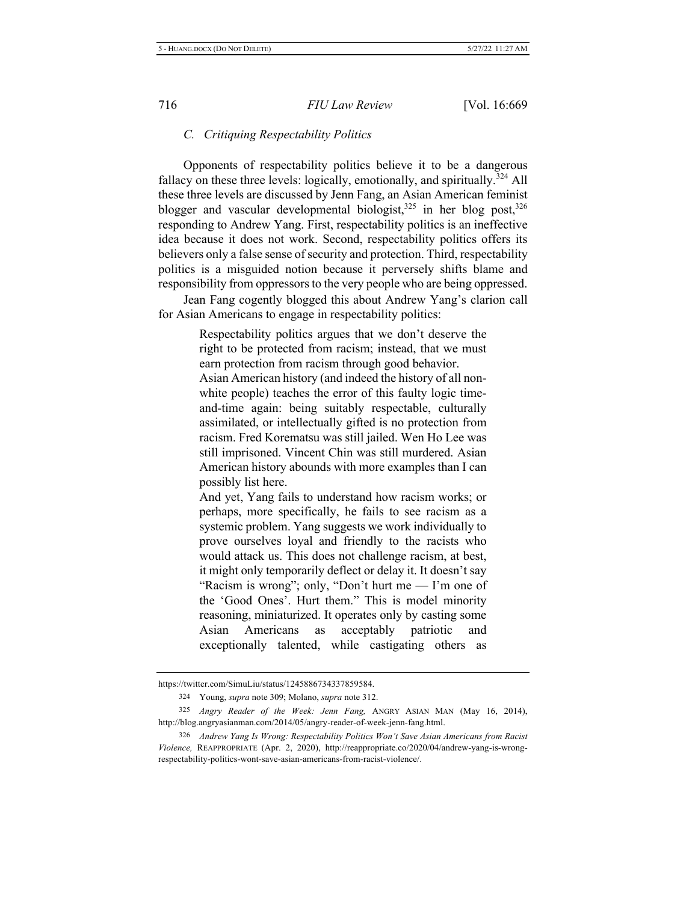### *6. Critiquing Respectability Politics*

Opponents of respectability politics believe it to be a dangerous fallacy on these three levels: logically, emotionally, and spiritually.<sup>324</sup> All these three levels are discussed by Jenn Fang, an Asian American feminist blogger and vascular developmental biologist,<sup>325</sup> in her blog post,<sup>326</sup> responding to Andrew Yang. First, respectability politics is an ineffective idea because it does not work. Second, respectability politics offers its believers only a false sense of security and protection. Third, respectability politics is a misguided notion because it perversely shifts blame and responsibility from oppressors to the very people who are being oppressed.

Jean Fang cogently blogged this about Andrew Yang's clarion call for Asian Americans to engage in respectability politics:

> Respectability politics argues that we don't deserve the right to be protected from racism; instead, that we must earn protection from racism through good behavior.

> Asian American history (and indeed the history of all nonwhite people) teaches the error of this faulty logic timeand-time again: being suitably respectable, culturally assimilated, or intellectually gifted is no protection from racism. Fred Korematsu was still jailed. Wen Ho Lee was still imprisoned. Vincent Chin was still murdered. Asian American history abounds with more examples than I can possibly list here.

> And yet, Yang fails to understand how racism works; or perhaps, more specifically, he fails to see racism as a systemic problem. Yang suggests we work individually to prove ourselves loyal and friendly to the racists who would attack us. This does not challenge racism, at best, it might only temporarily deflect or delay it. It doesn't say "Racism is wrong"; only, "Don't hurt me  $-$  I'm one of the 'Good Ones'. Hurt them." This is model minority reasoning, miniaturized. It operates only by casting some Asian Americans as acceptably patriotic and exceptionally talented, while castigating others as

https://twitter.com/SimuLiu/status/1245886734337859584.

<sup>324</sup> Young, *supra* note 309; Molano, *supra* note 312.

<sup>325</sup> Angry Reader of the Week: Jenn Fang, ANGRY ASIAN MAN (May 16, 2014), http://blog.angryasianman.com/2014/05/angry-reader-of-week-jenn-fang.html.

<sup>326</sup> Andrew Yang Is Wrong: Respectability Politics Won't Save Asian Americans from Racist Violence, REAPPROPRIATE (Apr. 2, 2020), http://reappropriate.co/2020/04/andrew-yang-is-wrongrespectability-politics-wont-save-asian-americans-from-racist-violence/.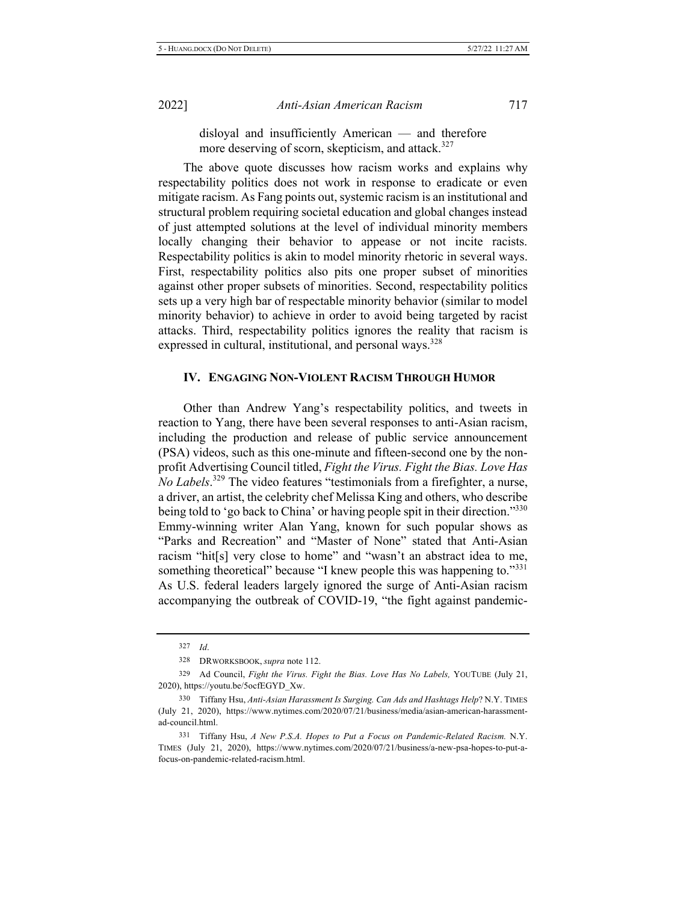disloyal and insufficiently American — and therefore more deserving of scorn, skepticism, and attack.<sup>327</sup>

The above quote discusses how racism works and explains why respectability politics does not work in response to eradicate or even mitigate racism. As Fang points out, systemic racism is an institutional and structural problem requiring societal education and global changes instead of just attempted solutions at the level of individual minority members locally changing their behavior to appease or not incite racists. Respectability politics is akin to model minority rhetoric in several ways. First, respectability politics also pits one proper subset of minorities against other proper subsets of minorities. Second, respectability politics sets up a very high bar of respectable minority behavior (similar to model minority behavior) to achieve in order to avoid being targeted by racist attacks. Third, respectability politics ignores the reality that racism is expressed in cultural, institutional, and personal ways.<sup>328</sup>

### IV. ENGAGING NON-VIOLENT RACISM THROUGH HUMOR

Other than Andrew Yang's respectability politics, and tweets in reaction to Yang, there have been several responses to anti-Asian racism, including the production and release of public service announcement (PSA) videos, such as this one-minute and fifteen-second one by the nonprofit Advertising Council titled, Fight the Virus. Fight the Bias. Love Has *No Labels*.<sup>329</sup> The video features "testimonials from a firefighter, a nurse, a driver, an artist, the celebrity chef Melissa King and others, who describe being told to 'go back to China' or having people spit in their direction."330 Emmy-winning writer Alan Yang, known for such popular shows as "Parks and Recreation" and "Master of None" stated that Anti-Asian racism "hit[s] very close to home" and "wasn't an abstract idea to me, something theoretical" because "I knew people this was happening to."331 As U.S. federal leaders largely ignored the surge of Anti-Asian racism accompanying the outbreak of COVID-19, "the fight against pandemic-

 $327$  *Id.* 

<sup>328</sup> DRWORKSBOOK, *supra* note 112.

<sup>329</sup> Ad Council, Fight the Virus. Fight the Bias. Love Has No Labels, YOUTUBE (July 21, 2020), https://youtu.be/5ocfEGYD Xw.

<sup>330</sup> Tiffany Hsu, Anti-Asian Harassment Is Surging. Can Ads and Hashtags Help? N.Y. TIMES (July 21, 2020), https://www.nytimes.com/2020/07/21/business/media/asian-american-harassmentad-council.html.

<sup>331</sup> Tiffany Hsu, A New P.S.A. Hopes to Put a Focus on Pandemic-Related Racism. N.Y. TIMES (July 21, 2020), https://www.nytimes.com/2020/07/21/business/a-new-psa-hopes-to-put-afocus-on-pandemic-related-racism.html.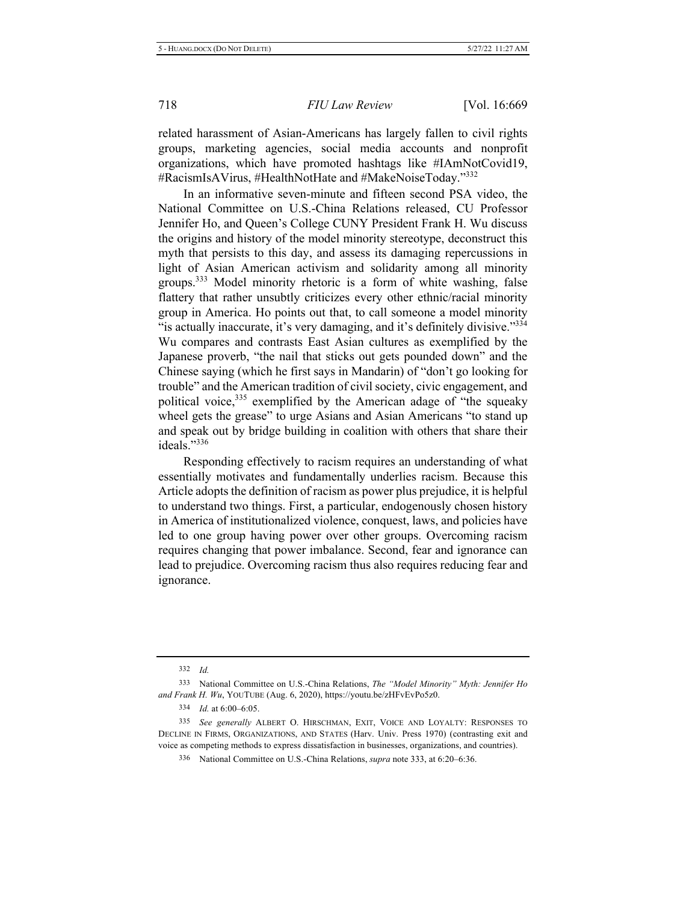related harassment of Asian-Americans has largely fallen to civil rights groups, marketing agencies, social media accounts and nonprofit organizations, which have promoted hashtags like #IAmNotCovid19, #RacismIsAVirus, #HealthNotHate and #MakeNoiseToday."<sup>332</sup>

In an informative seven-minute and fifteen second PSA video, the National Committee on U.S.-China Relations released, CU Professor Jennifer Ho, and Queen's College CUNY President Frank H. Wu discuss the origins and history of the model minority stereotype, deconstruct this myth that persists to this day, and assess its damaging repercussions in light of Asian American activism and solidarity among all minority groups.<sup>333</sup> Model minority rhetoric is a form of white washing, false flattery that rather unsubtly criticizes every other ethnic/racial minority group in America. Ho points out that, to call someone a model minority "is actually inaccurate, it's very damaging, and it's definitely divisive."334 Wu compares and contrasts East Asian cultures as exemplified by the Japanese proverb, "the nail that sticks out gets pounded down" and the Chinese saying (which he first says in Mandarin) of "don't go looking for trouble" and the American tradition of civil society, civic engagement, and political voice,<sup>335</sup> exemplified by the American adage of "the squeaky wheel gets the grease" to urge Asians and Asian Americans "to stand up and speak out by bridge building in coalition with others that share their ideals."336

Responding effectively to racism requires an understanding of what essentially motivates and fundamentally underlies racism. Because this Article adopts the definition of racism as power plus prejudice, it is helpful to understand two things. First, a particular, endogenously chosen history in America of institutionalized violence, conquest, laws, and policies have led to one group having power over other groups. Overcoming racism requires changing that power imbalance. Second, fear and ignorance can lead to prejudice. Overcoming racism thus also requires reducing fear and ignorance.

<sup>332</sup> *Id.* 

<sup>333</sup> National Committee on U.S.-China Relations, The "Model Minority" Myth: Jennifer Ho and Frank H. Wu, YOUTUBE (Aug. 6, 2020), https://youtu.be/zHFvEvPo5z0.

<sup>334</sup> *Id.* at 6:00–6:05.

<sup>335</sup> See generally ALBERT O. HIRSCHMAN, EXIT, VOICE AND LOYALTY: RESPONSES TO DECLINE IN FIRMS, ORGANIZATIONS, AND STATES (Harv. Univ. Press 1970) (contrasting exit and voice as competing methods to express dissatisfaction in businesses, organizations, and countries).

<sup>336</sup> National Committee on U.S.-China Relations, *supra* note 333, at 6:20–6:36.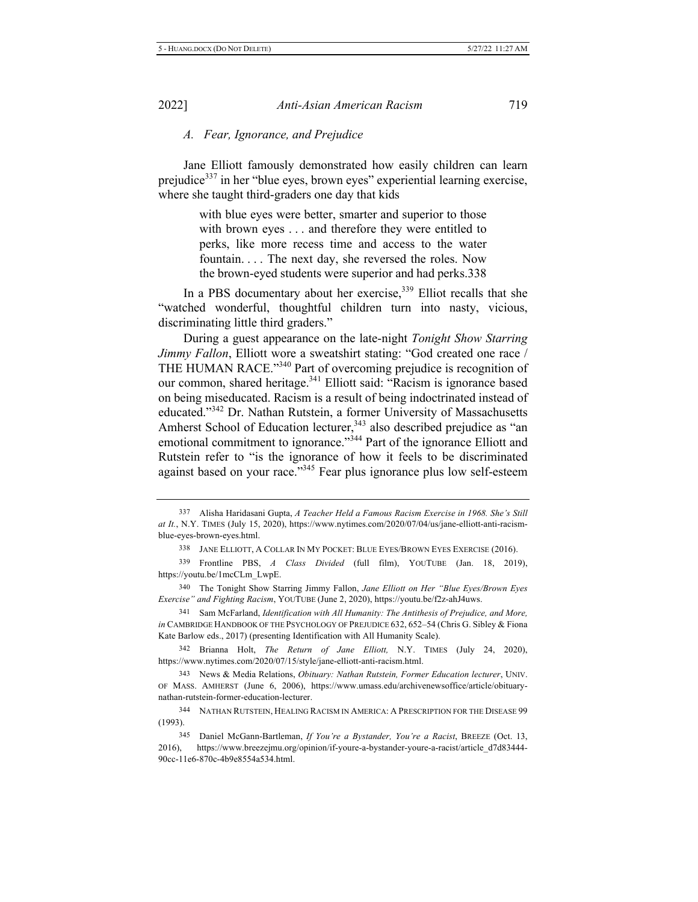### *A.* Fear, Ignorance, and Prejudice

Jane Elliott famously demonstrated how easily children can learn prejudice<sup>337</sup> in her "blue eyes, brown eyes" experiential learning exercise, where she taught third-graders one day that kids

> with blue eyes were better, smarter and superior to those with brown eyes . . . and therefore they were entitled to perks, like more recess time and access to the water fountain. . . . The next day, she reversed the roles. Now the brown-eyed students were superior and had perks.338

In a PBS documentary about her exercise,  $339$  Elliot recalls that she "watched wonderful, thoughtful children turn into nasty, vicious, discriminating little third graders."

During a guest appearance on the late-night Tonight Show Starring *Jimmy Fallon*, Elliott wore a sweatshirt stating: "God created one race / THE HUMAN RACE."<sup>340</sup> Part of overcoming prejudice is recognition of our common, shared heritage.<sup>341</sup> Elliott said: "Racism is ignorance based on being miseducated. Racism is a result of being indoctrinated instead of educated."<sup>342</sup> Dr. Nathan Rutstein, a former University of Massachusetts Amherst School of Education lecturer,<sup>343</sup> also described prejudice as "an emotional commitment to ignorance."<sup>344</sup> Part of the ignorance Elliott and Rutstein refer to "is the ignorance of how it feels to be discriminated against based on your race."<sup>345</sup> Fear plus ignorance plus low self-esteem

338 JANE ELLIOTT, A COLLAR IN MY POCKET: BLUE EYES/BROWN EYES EXERCISE (2016).

<sup>337</sup> Alisha Haridasani Gupta, A Teacher Held a Famous Racism Exercise in 1968. She's Still at It., N.Y. TIMES (July 15, 2020), https://www.nytimes.com/2020/07/04/us/jane-elliott-anti-racismblue-eyes-brown-eyes.html.

<sup>339</sup> Frontline PBS, A Class Divided (full film), YOUTUBE (Jan. 18, 2019), https://youtu.be/1mcCLm LwpE.

<sup>340</sup> The Tonight Show Starring Jimmy Fallon, Jane Elliott on Her "Blue Eyes/Brown Eyes Exercise" and Fighting Racism, YOUTUBE (June 2, 2020), https://youtu.be/f2z-ahJ4uws.

<sup>341</sup> Sam McFarland, *Identification with All Humanity: The Antithesis of Prejudice, and More,* in CAMBRIDGE HANDBOOK OF THE PSYCHOLOGY OF PREJUDICE 632, 652-54 (Chris G. Sibley & Fiona Kate Barlow eds., 2017) (presenting Identification with All Humanity Scale).

<sup>342</sup> Brianna Holt, The Return of Jane Elliott, N.Y. TIMES (July 24, 2020), https://www.nytimes.com/2020/07/15/style/jane-elliott-anti-racism.html.

<sup>343</sup> News & Media Relations, *Obituary: Nathan Rutstein, Former Education lecturer*, UNIV. OF MASS. AMHERST (June 6, 2006), https://www.umass.edu/archivenewsoffice/article/obituarynathan-rutstein-former-education-lecturer.

<sup>344</sup> NATHAN RUTSTEIN, HEALING RACISM IN AMERICA: A PRESCRIPTION FOR THE DISEASE 99  $(1993).$ 

<sup>345</sup> Daniel McGann-Bartleman, If You're a Bystander, You're a Racist, BREEZE (Oct. 13, 2016), https://www.breezejmu.org/opinion/if-youre-a-bystander-youre-a-racist/article\_d7d83444-90cc-11e6-870c-4b9e8554a534.html.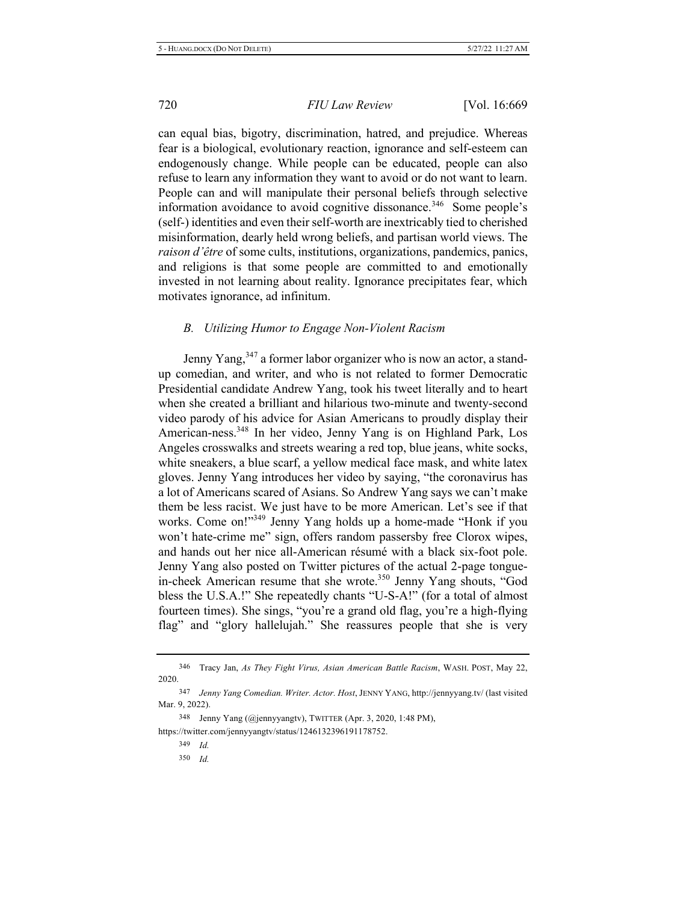can equal bias, bigotry, discrimination, hatred, and prejudice. Whereas fear is a biological, evolutionary reaction, ignorance and self-esteem can endogenously change. While people can be educated, people can also refuse to learn any information they want to avoid or do not want to learn. People can and will manipulate their personal beliefs through selective information avoidance to avoid cognitive dissonance.<sup>346</sup> Some people's (self-) identities and even their self-worth are inextricably tied to cherished misinformation, dearly held wrong beliefs, and partisan world views. The raison d'être of some cults, institutions, organizations, pandemics, panics, and religions is that some people are committed to and emotionally invested in not learning about reality. Ignorance precipitates fear, which motivates ignorance, ad infinitum.

### *B. Utilizing Humor to Engage Non-Violent Racism*

Jenny Yang,<sup>347</sup> a former labor organizer who is now an actor, a standup comedian, and writer, and who is not related to former Democratic Presidential candidate Andrew Yang, took his tweet literally and to heart when she created a brilliant and hilarious two-minute and twenty-second video parody of his advice for Asian Americans to proudly display their American-ness.<sup>348</sup> In her video, Jenny Yang is on Highland Park, Los Angeles crosswalks and streets wearing a red top, blue jeans, white socks, white sneakers, a blue scarf, a yellow medical face mask, and white latex gloves. Jenny Yang introduces her video by saying, "the coronavirus has a lot of Americans scared of Asians. So Andrew Yang says we can't make them be less racist. We just have to be more American. Let's see if that works. Come on!"<sup>349</sup> Jenny Yang holds up a home-made "Honk if you won't hate-crime me" sign, offers random passersby free Clorox wipes, and hands out her nice all-American résumé with a black six-foot pole. Jenny Yang also posted on Twitter pictures of the actual 2-page tonguein-cheek American resume that she wrote.<sup>350</sup> Jenny Yang shouts, "God bless the U.S.A.!" She repeatedly chants "U-S-A!" (for a total of almost fourteen times). She sings, "you're a grand old flag, you're a high-flying flag" and "glory hallelujah." She reassures people that she is very

<sup>346</sup> Tracy Jan, As They Fight Virus, Asian American Battle Racism, WASH. POST, May 22, 2020.

<sup>347</sup> Jenny Yang Comedian. Writer. Actor. Host, JENNY YANG, http://jennyyang.tv/ (last visited Mar. 9, 2022).

<sup>348</sup> Jenny Yang (@jennyyangtv), TWITTER (Apr. 3, 2020, 1:48 PM),

https://twitter.com/jennyyangtv/status/1246132396191178752.

<sup>349</sup> *Id.* 

<sup>350</sup> *<i>d*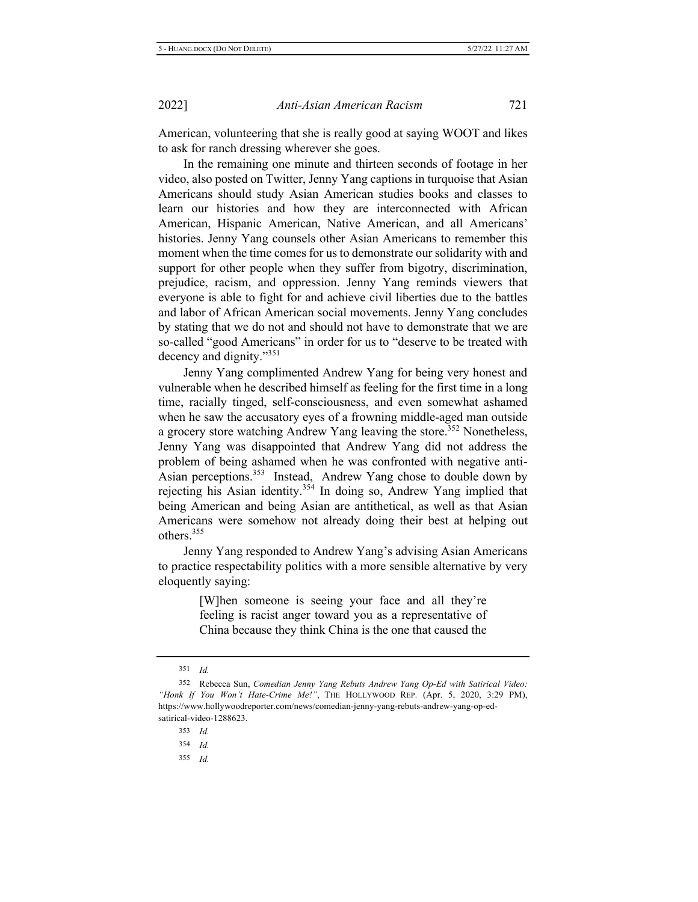American, volunteering that she is really good at saying WOOT and likes to ask for ranch dressing wherever she goes.

In the remaining one minute and thirteen seconds of footage in her video, also posted on Twitter, Jenny Yang captions in turquoise that Asian Americans should study Asian American studies books and classes to learn our histories and how they are interconnected with African American, Hispanic American, Native American, and all Americans' histories. Jenny Yang counsels other Asian Americans to remember this moment when the time comes for us to demonstrate our solidarity with and support for other people when they suffer from bigotry, discrimination, prejudice, racism, and oppression. Jenny Yang reminds viewers that everyone is able to fight for and achieve civil liberties due to the battles and labor of African American social movements. Jenny Yang concludes by stating that we do not and should not have to demonstrate that we are so-called "good Americans" in order for us to "deserve to be treated with decency and dignity." $351$ 

Jenny Yang complimented Andrew Yang for being very honest and vulnerable when he described himself as feeling for the first time in a long time, racially tinged, self-consciousness, and even somewhat ashamed when he saw the accusatory eyes of a frowning middle-aged man outside a grocery store watching Andrew Yang leaving the store.<sup>352</sup> Nonetheless, Jenny Yang was disappointed that Andrew Yang did not address the problem of being ashamed when he was confronted with negative anti-Asian perceptions.<sup>353</sup> Instead, Andrew Yang chose to double down by rejecting his Asian identity.<sup>354</sup> In doing so, Andrew Yang implied that being American and being Asian are antithetical, as well as that Asian Americans were somehow not already doing their best at helping out others. $355$ 

Jenny Yang responded to Andrew Yang's advising Asian Americans to practice respectability politics with a more sensible alternative by very eloquently saying:

> [W]hen someone is seeing your face and all they're feeling is racist anger toward you as a representative of China because they think China is the one that caused the

355 *Id.* 

<sup>351</sup> *Id.* 

<sup>352</sup> Rebecca Sun, Comedian Jenny Yang Rebuts Andrew Yang Op-Ed with Satirical Video: "Honk If You Won't Hate-Crime Me!", THE HOLLYWOOD REP. (Apr. 5, 2020, 3:29 PM), https://www.hollywoodreporter.com/news/comedian-jenny-yang-rebuts-andrew-yang-op-edsatirical-video-1288623.

<sup>353</sup> *Id.* 

<sup>354</sup> *Id.*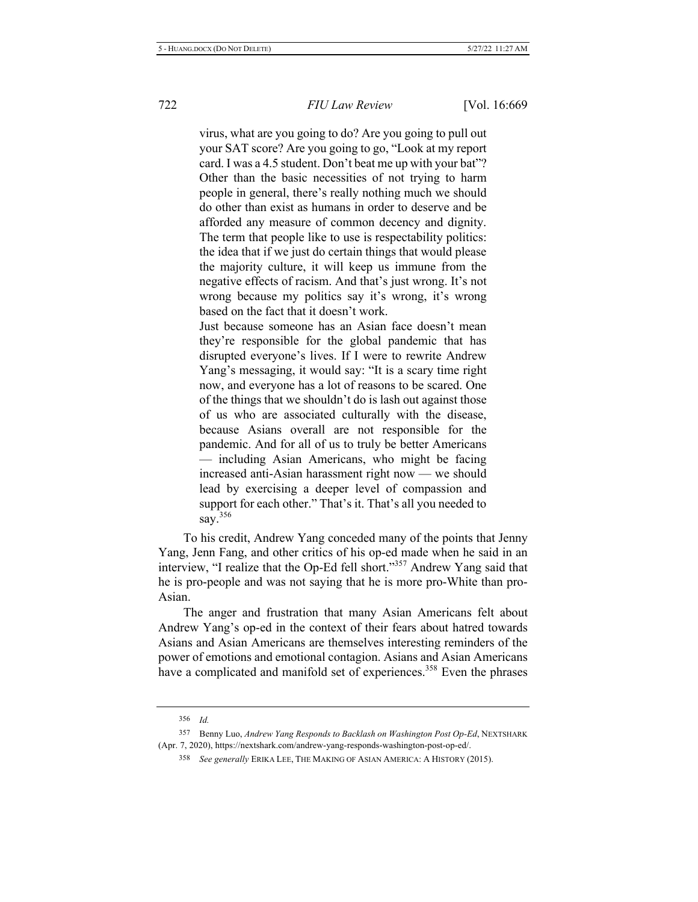virus, what are you going to do? Are you going to pull out your SAT score? Are you going to go, "Look at my report card. I was a 4.5 student. Don't beat me up with your bat"? Other than the basic necessities of not trying to harm people in general, there's really nothing much we should do other than exist as humans in order to deserve and be afforded any measure of common decency and dignity. The term that people like to use is respectability politics: the idea that if we just do certain things that would please the majority culture, it will keep us immune from the negative effects of racism. And that's just wrong. It's not wrong because my politics say it's wrong, it's wrong based on the fact that it doesn't work.

Just because someone has an Asian face doesn't mean they're responsible for the global pandemic that has disrupted everyone's lives. If I were to rewrite Andrew Yang's messaging, it would say: "It is a scary time right now, and everyone has a lot of reasons to be scared. One of the things that we shouldn't do is lash out against those of us who are associated culturally with the disease, because Asians overall are not responsible for the pandemic. And for all of us to truly be better Americans — including Asian Americans, who might be facing  $line$  increased anti-Asian harassment right now — we should lead by exercising a deeper level of compassion and support for each other." That's it. That's all you needed to say.<sup>356</sup>

To his credit, Andrew Yang conceded many of the points that Jenny Yang, Jenn Fang, and other critics of his op-ed made when he said in an interview, "I realize that the Op-Ed fell short."<sup>357</sup> Andrew Yang said that he is pro-people and was not saying that he is more pro-White than pro-Asian.

The anger and frustration that many Asian Americans felt about Andrew Yang's op-ed in the context of their fears about hatred towards Asians and Asian Americans are themselves interesting reminders of the power of emotions and emotional contagion. Asians and Asian Americans have a complicated and manifold set of experiences.<sup>358</sup> Even the phrases

<sup>356</sup> Id.

<sup>357</sup> Benny Luo, Andrew Yang Responds to Backlash on Washington Post Op-Ed, NEXTSHARK (Apr. 7, 2020), https://nextshark.com/andrew-yang-responds-washington-post-op-ed/.

<sup>358</sup> See generally ERIKA LEE, THE MAKING OF ASIAN AMERICA: A HISTORY (2015).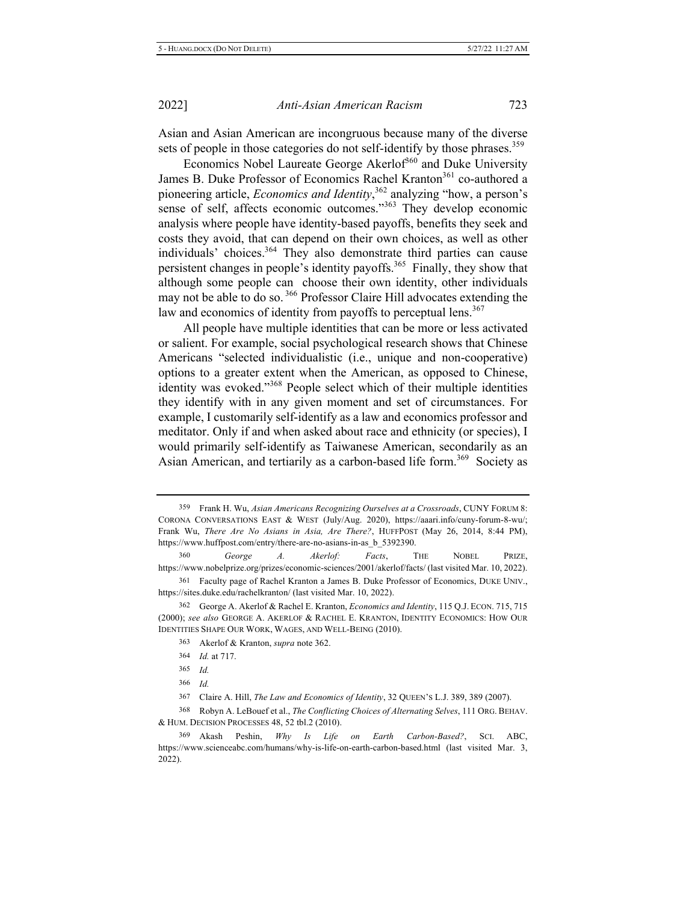Asian and Asian American are incongruous because many of the diverse sets of people in those categories do not self-identify by those phrases.<sup>359</sup>

Economics Nobel Laureate George Akerlof<sup>360</sup> and Duke University James B. Duke Professor of Economics Rachel Kranton<sup>361</sup> co-authored a pioneering article, *Economics and Identity*,<sup>362</sup> analyzing "how, a person's sense of self, affects economic outcomes."<sup>363</sup> They develop economic analysis where people have identity-based payoffs, benefits they seek and costs they avoid, that can depend on their own choices, as well as other individuals' choices.<sup>364</sup> They also demonstrate third parties can cause persistent changes in people's identity payoffs.<sup>365</sup> Finally, they show that although some people can choose their own identity, other individuals may not be able to do so.<sup>366</sup> Professor Claire Hill advocates extending the law and economics of identity from payoffs to perceptual lens.<sup>367</sup>

All people have multiple identities that can be more or less activated or salient. For example, social psychological research shows that Chinese Americans "selected individualistic (i.e., unique and non-cooperative) options to a greater extent when the American, as opposed to Chinese, identity was evoked."<sup>368</sup> People select which of their multiple identities they identify with in any given moment and set of circumstances. For example, I customarily self-identify as a law and economics professor and meditator. Only if and when asked about race and ethnicity (or species), I would primarily self-identify as Taiwanese American, secondarily as an Asian American, and tertiarily as a carbon-based life form.<sup>369</sup> Society as

<sup>359</sup> Frank H. Wu, Asian Americans Recognizing Ourselves at a Crossroads, CUNY FORUM 8: CORONA CONVERSATIONS EAST & WEST (July/Aug. 2020), https://aaari.info/cuny-forum-8-wu/; Frank Wu, There Are No Asians in Asia, Are There?, HUFFPOST (May 26, 2014, 8:44 PM), https://www.huffpost.com/entry/there-are-no-asians-in-as\_b\_5392390.

<sup>360</sup> *George A. Akerlof: Facts*, **THE NOBEL PRIZE**, https://www.nobelprize.org/prizes/economic-sciences/2001/akerlof/facts/ (last visited Mar. 10, 2022).

<sup>361</sup> Faculty page of Rachel Kranton a James B. Duke Professor of Economics, DUKE UNIV., https://sites.duke.edu/rachelkranton/ (last visited Mar. 10, 2022).

<sup>362</sup> George A. Akerlof & Rachel E. Kranton, *Economics and Identity*, 115 Q.J. ECON. 715, 715 (2000); see also GEORGE A. AKERLOF & RACHEL E. KRANTON, IDENTITY ECONOMICS: HOW OUR IDENTITIES SHAPE OUR WORK, WAGES, AND WELL-BEING (2010).

<sup>363</sup> Akerlof & Kranton, *supra* note 362.

<sup>364</sup> *Id.* at 717.

<sup>365</sup> *Id.* 

<sup>366</sup> Id.

<sup>367</sup> Claire A. Hill, The Law and Economics of Identity, 32 QUEEN'S L.J. 389, 389 (2007).

<sup>368</sup> Robyn A. LeBouef et al., *The Conflicting Choices of Alternating Selves*, 111 ORG. BEHAV. & HUM. DECISION PROCESSES 48, 52 tbl.2 (2010).

<sup>369</sup> Akash Peshin, Why Is Life on Earth Carbon-Based?, SCI. ABC, https://www.scienceabc.com/humans/why-is-life-on-earth-carbon-based.html (last visited Mar. 3,  $2022$ ).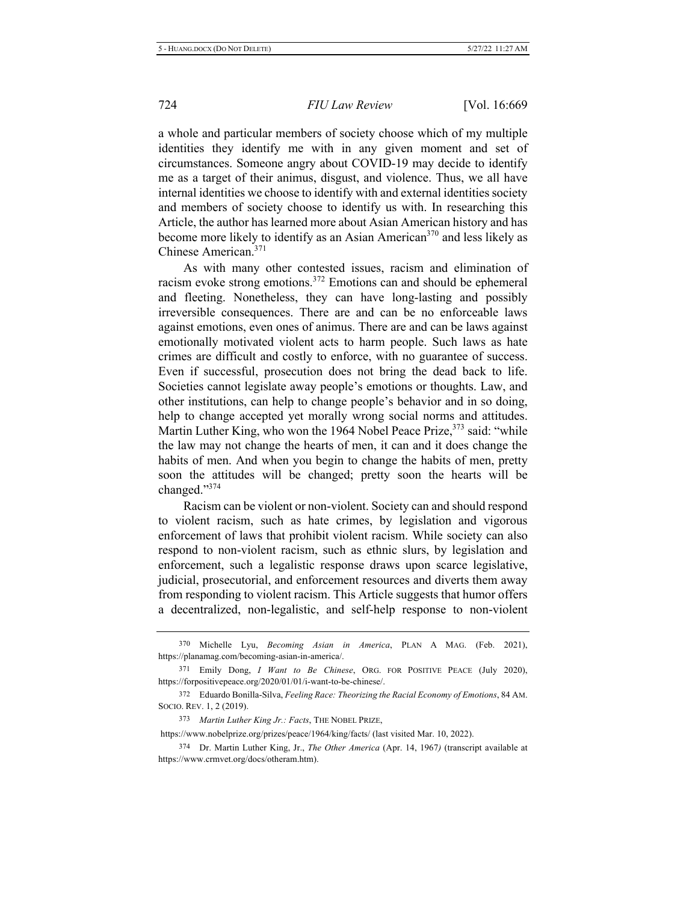a whole and particular members of society choose which of my multiple identities they identify me with in any given moment and set of circumstances. Someone angry about COVID-19 may decide to identify me as a target of their animus, disgust, and violence. Thus, we all have internal identities we choose to identify with and external identities society and members of society choose to identify us with. In researching this Article, the author has learned more about Asian American history and has become more likely to identify as an Asian American<sup>370</sup> and less likely as Chinese American.<sup>371</sup>

As with many other contested issues, racism and elimination of racism evoke strong emotions.<sup>372</sup> Emotions can and should be ephemeral and fleeting. Nonetheless, they can have long-lasting and possibly irreversible consequences. There are and can be no enforceable laws against emotions, even ones of animus. There are and can be laws against emotionally motivated violent acts to harm people. Such laws as hate crimes are difficult and costly to enforce, with no guarantee of success. Even if successful, prosecution does not bring the dead back to life. Societies cannot legislate away people's emotions or thoughts. Law, and other institutions, can help to change people's behavior and in so doing, help to change accepted yet morally wrong social norms and attitudes. Martin Luther King, who won the 1964 Nobel Peace Prize,<sup>373</sup> said: "while the law may not change the hearts of men, it can and it does change the habits of men. And when you begin to change the habits of men, pretty soon the attitudes will be changed; pretty soon the hearts will be changed."374

Racism can be violent or non-violent. Society can and should respond to violent racism, such as hate crimes, by legislation and vigorous enforcement of laws that prohibit violent racism. While society can also respond to non-violent racism, such as ethnic slurs, by legislation and enforcement, such a legalistic response draws upon scarce legislative, judicial, prosecutorial, and enforcement resources and diverts them away from responding to violent racism. This Article suggests that humor offers a decentralized, non-legalistic, and self-help response to non-violent

<sup>370</sup> Michelle Lyu, *Becoming Asian in America*, PLAN A MAG. (Feb. 2021), https://planamag.com/becoming-asian-in-america/.

<sup>371</sup> Emily Dong, *I Want to Be Chinese*, ORG. FOR POSITIVE PEACE (July 2020), https://forpositivepeace.org/2020/01/01/i-want-to-be-chinese/.

<sup>372</sup> Eduardo Bonilla-Silva, Feeling Race: Theorizing the Racial Economy of Emotions, 84 AM. SOCIO. REV. 1, 2 (2019).

<sup>373</sup> Martin Luther King Jr.: Facts, THE NOBEL PRIZE,

https://www.nobelprize.org/prizes/peace/1964/king/facts/ (last visited Mar. 10, 2022).

<sup>374</sup> Dr. Martin Luther King, Jr., *The Other America* (Apr. 14, 1967) (transcript available at https://www.crmvet.org/docs/otheram.htm).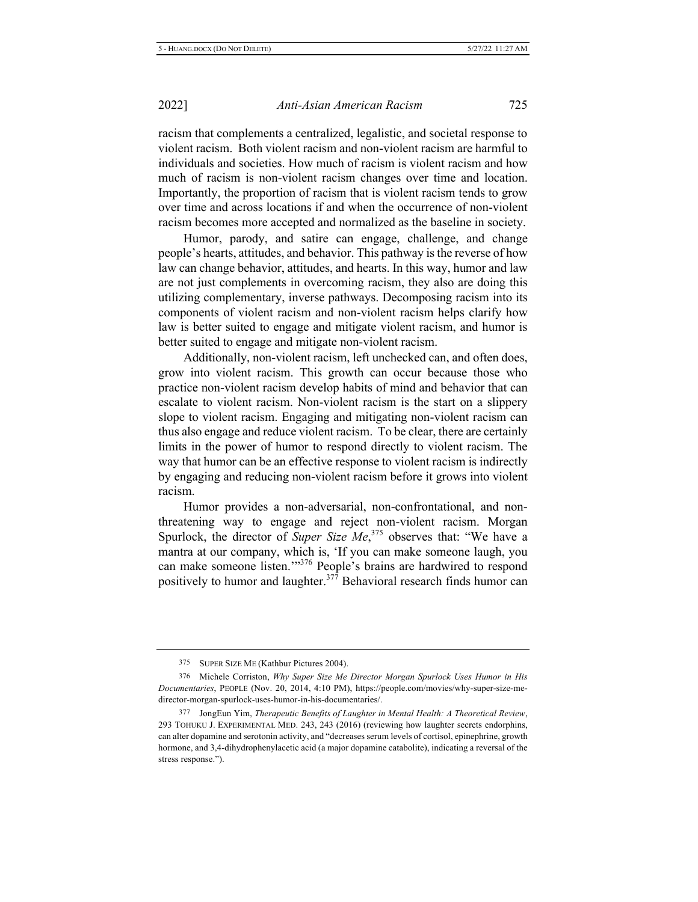racism that complements a centralized, legalistic, and societal response to violent racism. Both violent racism and non-violent racism are harmful to individuals and societies. How much of racism is violent racism and how much of racism is non-violent racism changes over time and location. Importantly, the proportion of racism that is violent racism tends to grow over time and across locations if and when the occurrence of non-violent racism becomes more accepted and normalized as the baseline in society.

Humor, parody, and satire can engage, challenge, and change people's hearts, attitudes, and behavior. This pathway is the reverse of how law can change behavior, attitudes, and hearts. In this way, humor and law are not just complements in overcoming racism, they also are doing this utilizing complementary, inverse pathways. Decomposing racism into its components of violent racism and non-violent racism helps clarify how law is better suited to engage and mitigate violent racism, and humor is better suited to engage and mitigate non-violent racism.

Additionally, non-violent racism, left unchecked can, and often does, grow into violent racism. This growth can occur because those who practice non-violent racism develop habits of mind and behavior that can escalate to violent racism. Non-violent racism is the start on a slippery slope to violent racism. Engaging and mitigating non-violent racism can thus also engage and reduce violent racism. To be clear, there are certainly limits in the power of humor to respond directly to violent racism. The way that humor can be an effective response to violent racism is indirectly by engaging and reducing non-violent racism before it grows into violent racism.

Humor provides a non-adversarial, non-confrontational, and nonthreatening way to engage and reject non-violent racism. Morgan Spurlock, the director of Super Size Me,<sup>375</sup> observes that: "We have a mantra at our company, which is, 'If you can make someone laugh, you can make someone listen."<sup>376</sup> People's brains are hardwired to respond positively to humor and laughter.<sup>377</sup> Behavioral research finds humor can

<sup>375</sup> SUPER SIZE ME (Kathbur Pictures 2004).

<sup>376</sup> Michele Corriston, Why Super Size Me Director Morgan Spurlock Uses Humor in His Documentaries, PEOPLE (Nov. 20, 2014, 4:10 PM), https://people.com/movies/why-super-size-medirector-morgan-spurlock-uses-humor-in-his-documentaries/.

<sup>377</sup> JongEun Yim, Therapeutic Benefits of Laughter in Mental Health: A Theoretical Review, 293 TOHUKU J. EXPERIMENTAL MED. 243, 243 (2016) (reviewing how laughter secrets endorphins, can alter dopamine and serotonin activity, and "decreases serum levels of cortisol, epinephrine, growth hormone, and 3,4-dihydrophenylacetic acid (a major dopamine catabolite), indicating a reversal of the stress response.").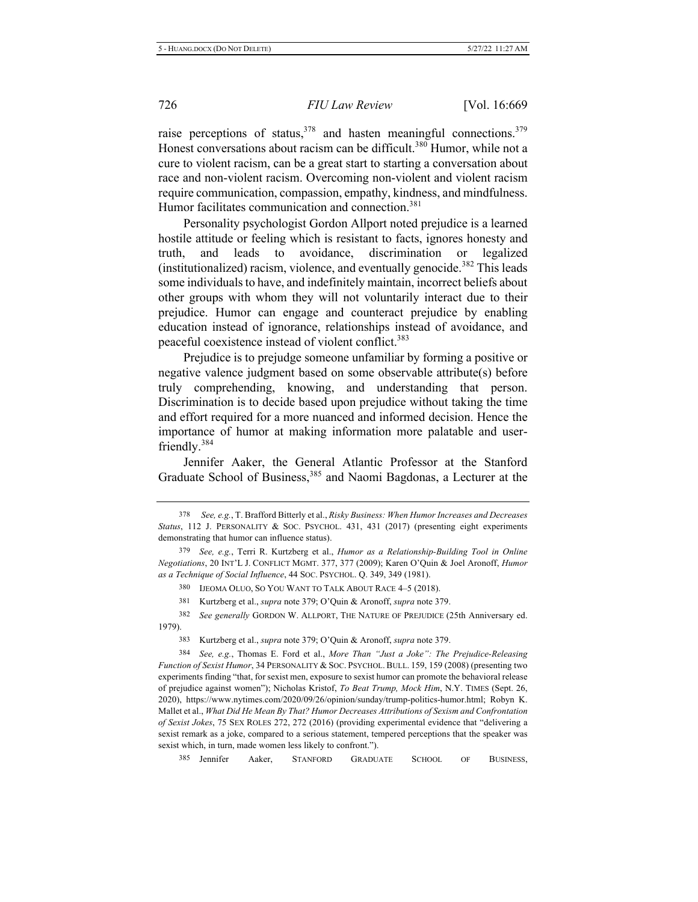raise perceptions of status,  $378$  and hasten meaningful connections.  $379$ Honest conversations about racism can be difficult.<sup>380</sup> Humor, while not a cure to violent racism, can be a great start to starting a conversation about race and non-violent racism. Overcoming non-violent and violent racism require communication, compassion, empathy, kindness, and mindfulness. Humor facilitates communication and connection.<sup>381</sup>

Personality psychologist Gordon Allport noted prejudice is a learned hostile attitude or feeling which is resistant to facts, ignores honesty and truth. and leads to avoidance, discrimination or legalized (institutionalized) racism, violence, and eventually genocide.<sup>382</sup> This leads some individuals to have, and indefinitely maintain, incorrect beliefs about other groups with whom they will not voluntarily interact due to their prejudice. Humor can engage and counteract prejudice by enabling education instead of ignorance, relationships instead of avoidance, and peaceful coexistence instead of violent conflict.<sup>383</sup>

Prejudice is to prejudge someone unfamiliar by forming a positive or negative valence judgment based on some observable attribute(s) before truly comprehending, knowing, and understanding that person. Discrimination is to decide based upon prejudice without taking the time and effort required for a more nuanced and informed decision. Hence the importance of humor at making information more palatable and userfriendly.<sup>384</sup>

Jennifer Aaker, the General Atlantic Professor at the Stanford Graduate School of Business,<sup>385</sup> and Naomi Bagdonas, a Lecturer at the

385 Jennifer Aaker. STANFORD GRADUATE SCHOOL OF BUSINESS.

<sup>378</sup> See, e.g., T. Brafford Bitterly et al., *Risky Business: When Humor Increases and Decreases* Status, 112 J. PERSONALITY & SOC. PSYCHOL. 431, 431 (2017) (presenting eight experiments demonstrating that humor can influence status).

<sup>379</sup> See, e.g., Terri R. Kurtzberg et al., *Humor as a Relationship-Building Tool in Online* Negotiations, 20 INT'L J. CONFLICT MGMT. 377, 377 (2009); Karen O'Quin & Joel Aronoff, *Humor* as a Technique of Social Influence, 44 Soc. PSYCHOL. Q. 349, 349 (1981).

<sup>380</sup> IJEOMA OLUO, SO YOU WANT TO TALK ABOUT RACE 4-5 (2018).

<sup>381</sup> Kurtzberg et al., *supra* note 379; O'Quin & Aronoff, *supra* note 379.

<sup>382</sup> See generally GORDON W. ALLPORT, THE NATURE OF PREJUDICE (25th Anniversary ed. 1979).

<sup>383</sup> Kurtzberg et al., *supra* note 379; O'Quin & Aronoff, *supra* note 379.

<sup>384</sup> <sup>4</sup> See, e.g., Thomas E. Ford et al., More Than "Just a Joke": The Prejudice-Releasing *Function of Sexist Humor*, 34 PERSONALITY & SOC. PSYCHOL. BULL. 159, 159 (2008) (presenting two experiments finding "that, for sexist men, exposure to sexist humor can promote the behavioral release of prejudice against women"); Nicholas Kristof, To Beat Trump, Mock Him, N.Y. TIMES (Sept. 26, 2020), https://www.nytimes.com/2020/09/26/opinion/sunday/trump-politics-humor.html; Robyn K. Mallet et al., What Did He Mean By That? Humor Decreases Attributions of Sexism and Confrontation of Sexist Jokes, 75 SEX ROLES 272, 272 (2016) (providing experimental evidence that "delivering a sexist remark as a joke, compared to a serious statement, tempered perceptions that the speaker was sexist which, in turn, made women less likely to confront.").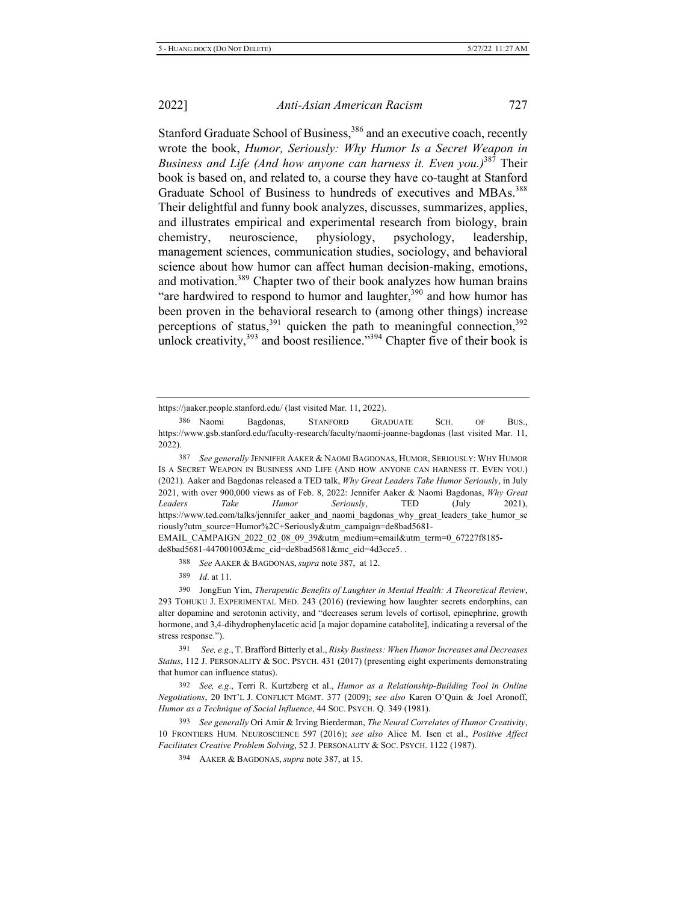Stanford Graduate School of Business,<sup>386</sup> and an executive coach, recently wrote the book, Humor, Seriously: Why Humor Is a Secret Weapon in *Business and Life (And how anyone can harness it. Even you.)*<sup>387</sup> Their book is based on, and related to, a course they have co-taught at Stanford Graduate School of Business to hundreds of executives and MBAs.<sup>388</sup> Their delightful and funny book analyzes, discusses, summarizes, applies, and illustrates empirical and experimental research from biology, brain chemistry, neuroscience, physiology, psychology, leadership, management sciences, communication studies, sociology, and behavioral science about how humor can affect human decision-making, emotions, and motivation.<sup>389</sup> Chapter two of their book analyzes how human brains "are hardwired to respond to humor and laughter,<sup>390</sup> and how humor has been proven in the behavioral research to (among other things) increase perceptions of status,<sup>391</sup> quicken the path to meaningful connection,  $392$ unlock creativity,  $393$  and boost resilience."  $394$  Chapter five of their book is

EMAIL CAMPAIGN 2022 02 08 09 39&utm medium=email&utm term=0 67227f8185-

de8bad5681-447001003&mc\_cid=de8bad5681&mc\_eid=4d3cce5...

388 See AAKER & BAGDONAS, *supra* note 387, at 12.

389 *Id.* at 11.

391 See, e.g., T. Brafford Bitterly et al., *Risky Business: When Humor Increases and Decreases* Status, 112 J. PERSONALITY & SOC. PSYCH. 431 (2017) (presenting eight experiments demonstrating that humor can influence status).

392 See, e.g., Terri R. Kurtzberg et al., *Humor as a Relationship-Building Tool in Online Negotiations*, 20 INT'L J. CONFLICT MGMT. 377 (2009); see also Karen O'Quin & Joel Aronoff, Humor as a Technique of Social Influence, 44 Soc. PSYCH. Q. 349 (1981).

https://jaaker.people.stanford.edu/ (last visited Mar. 11, 2022).

<sup>386</sup> Naomi Bagdonas, STANFORD GRADUATE SCH. OF BUS., https://www.gsb.stanford.edu/faculty-research/faculty/naomi-joanne-bagdonas (last visited Mar. 11,  $2022$ ).

<sup>387</sup> See generally JENNIFER AAKER & NAOMI BAGDONAS, HUMOR, SERIOUSLY: WHY HUMOR IS A SECRET WEAPON IN BUSINESS AND LIFE (AND HOW ANYONE CAN HARNESS IT. EVEN YOU.) (2021). Aaker and Bagdonas released a TED talk, Why Great Leaders Take Humor Seriously, in July 2021, with over 900,000 views as of Feb. 8, 2022: Jennifer Aaker & Naomi Bagdonas, Why Great *Leaders* Take Humor Seriously, TED (July 2021), https://www.ted.com/talks/jennifer\_aaker\_and\_naomi\_bagdonas\_why\_great\_leaders\_take\_humor\_se riously?utm\_source=Humor%2C+Seriously&utm\_campaign=de8bad5681-

<sup>390</sup> JongEun Yim, Therapeutic Benefits of Laughter in Mental Health: A Theoretical Review, 293 TOHUKU J. EXPERIMENTAL MED. 243 (2016) (reviewing how laughter secrets endorphins, can alter dopamine and serotonin activity, and "decreases serum levels of cortisol, epinephrine, growth hormone, and 3,4-dihydrophenylacetic acid [a major dopamine catabolite], indicating a reversal of the stress response.").

<sup>393</sup> See generally Ori Amir & Irving Bierderman, The Neural Correlates of Humor Creativity, 10 FRONTIERS HUM. NEUROSCIENCE 597 (2016); see also Alice M. Isen et al., Positive Affect Facilitates Creative Problem Solving, 52 J. PERSONALITY & SOC. PSYCH. 1122 (1987).

<sup>394</sup> AAKER & BAGDONAS, *supra* note 387, at 15.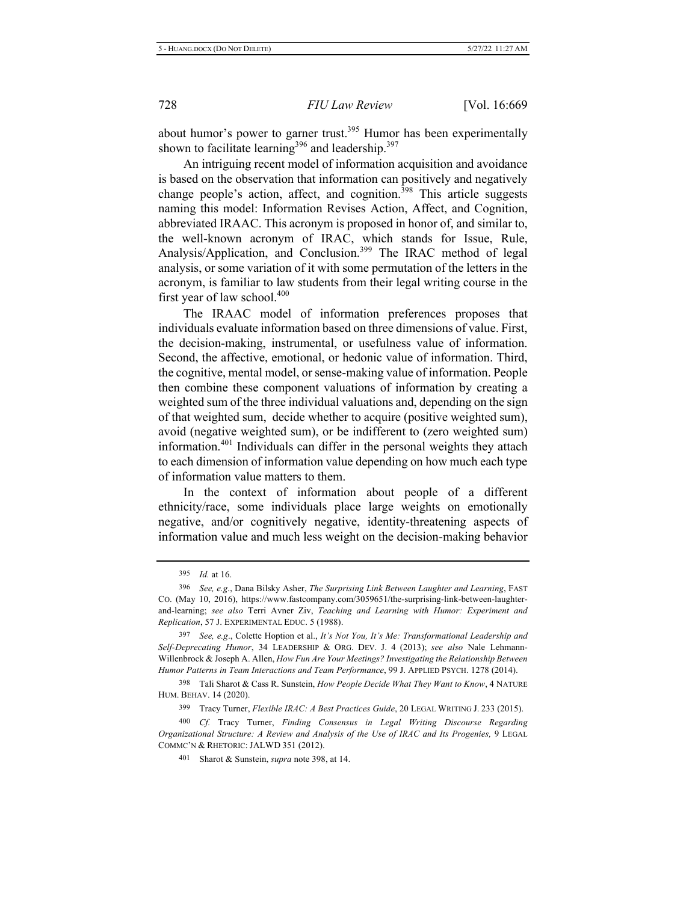about humor's power to garner trust.<sup>395</sup> Humor has been experimentally shown to facilitate learning<sup>396</sup> and leadership.<sup>397</sup>

An intriguing recent model of information acquisition and avoidance is based on the observation that information can positively and negatively change people's action, affect, and cognition.<sup>398</sup> This article suggests naming this model: Information Revises Action, Affect, and Cognition, abbreviated IRAAC. This acronym is proposed in honor of, and similar to, the well-known acronym of IRAC, which stands for Issue, Rule, Analysis/Application, and Conclusion.<sup>399</sup> The IRAC method of legal analysis, or some variation of it with some permutation of the letters in the acronym, is familiar to law students from their legal writing course in the first year of law school.<sup>400</sup>

The IRAAC model of information preferences proposes that individuals evaluate information based on three dimensions of value. First, the decision-making, instrumental, or usefulness value of information. Second, the affective, emotional, or hedonic value of information. Third, the cognitive, mental model, or sense-making value of information. People then combine these component valuations of information by creating a weighted sum of the three individual valuations and, depending on the sign of that weighted sum, decide whether to acquire (positive weighted sum), avoid (negative weighted sum), or be indifferent to (zero weighted sum) information.<sup>401</sup> Individuals can differ in the personal weights they attach to each dimension of information value depending on how much each type of information value matters to them.

In the context of information about people of a different ethnicity/race, some individuals place large weights on emotionally negative, and/or cognitively negative, identity-threatening aspects of information value and much less weight on the decision-making behavior

398 Tali Sharot & Cass R. Sunstein, *How People Decide What They Want to Know*, 4 NATURE HUM. BEHAV. 14 (2020).

399 Tracy Turner, Flexible IRAC: A Best Practices Guide, 20 LEGAL WRITING J. 233 (2015).

400 <sup>0</sup> Cf. Tracy Turner, Finding Consensus in Legal Writing Discourse Regarding Organizational Structure: A Review and Analysis of the Use of IRAC and Its Progenies, 9 LEGAL COMMC'N & RHETORIC: JALWD 351 (2012).

<sup>395</sup> *Id.* at 16.

<sup>&</sup>lt;sup>396</sup> See, e.g., Dana Bilsky Asher, The Surprising Link Between Laughter and Learning, FAST CO. (May 10, 2016), https://www.fastcompany.com/3059651/the-surprising-link-between-laughterand-learning; see also Terri Avner Ziv, Teaching and Learning with Humor: Experiment and *Replication, 57 J. EXPERIMENTAL EDUC. 5 (1988).* 

<sup>397</sup> See, e.g., Colette Hoption et al., It's Not You, It's Me: Transformational Leadership and Self-Deprecating Humor, 34 LEADERSHIP & ORG. DEV. J. 4 (2013); see also Nale Lehmann-Willenbrock & Joseph A. Allen, *How Fun Are Your Meetings? Investigating the Relationship Between* Humor Patterns in Team Interactions and Team Performance, 99 J. APPLIED PSYCH. 1278 (2014).

<sup>401</sup> Sharot & Sunstein, *supra* note 398, at 14.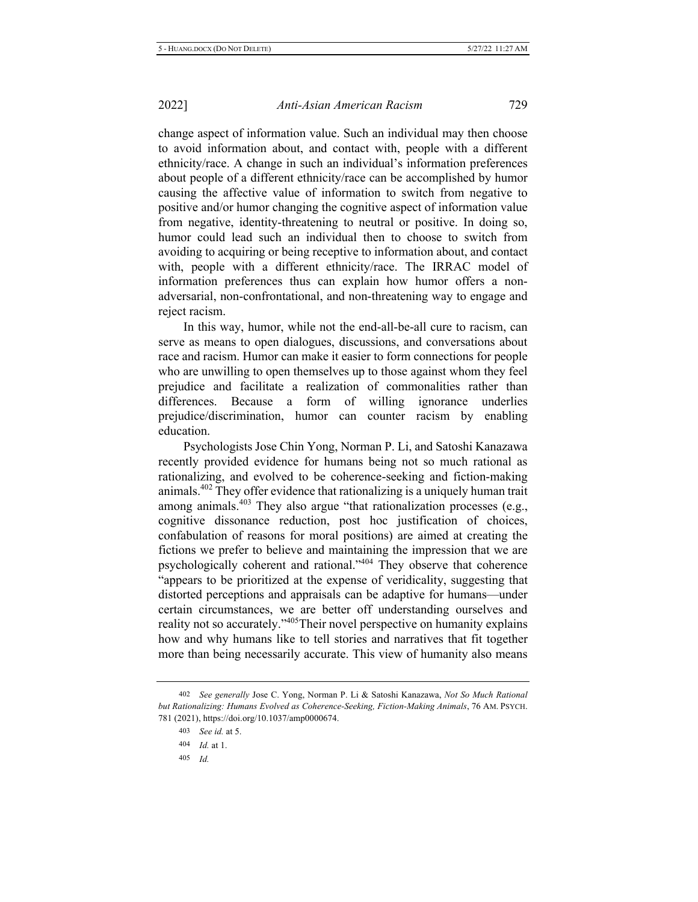change aspect of information value. Such an individual may then choose to avoid information about, and contact with, people with a different ethnicity/race. A change in such an individual's information preferences about people of a different ethnicity/race can be accomplished by humor causing the affective value of information to switch from negative to positive and/or humor changing the cognitive aspect of information value from negative, identity-threatening to neutral or positive. In doing so, humor could lead such an individual then to choose to switch from avoiding to acquiring or being receptive to information about, and contact with, people with a different ethnicity/race. The IRRAC model of information preferences thus can explain how humor offers a nonadversarial, non-confrontational, and non-threatening way to engage and reject racism.

In this way, humor, while not the end-all-be-all cure to racism, can serve as means to open dialogues, discussions, and conversations about race and racism. Humor can make it easier to form connections for people who are unwilling to open themselves up to those against whom they feel prejudice and facilitate a realization of commonalities rather than differences. Because a form of willing ignorance underlies prejudice/discrimination, humor can counter racism by enabling education.

Psychologists Jose Chin Yong, Norman P. Li, and Satoshi Kanazawa recently provided evidence for humans being not so much rational as rationalizing, and evolved to be coherence-seeking and fiction-making animals.<sup>402</sup> They offer evidence that rationalizing is a uniquely human trait among animals.<sup>403</sup> They also argue "that rationalization processes (e.g., cognitive dissonance reduction, post hoc justification of choices, confabulation of reasons for moral positions) are aimed at creating the fictions we prefer to believe and maintaining the impression that we are psychologically coherent and rational."<sup>404</sup> They observe that coherence "appears to be prioritized at the expense of veridicality, suggesting that distorted perceptions and appraisals can be adaptive for humans—under certain circumstances, we are better off understanding ourselves and reality not so accurately."<sup>405</sup>Their novel perspective on humanity explains how and why humans like to tell stories and narratives that fit together more than being necessarily accurate. This view of humanity also means

<sup>402</sup> See generally Jose C. Yong, Norman P. Li & Satoshi Kanazawa, Not So Much Rational but Rationalizing: Humans Evolved as Coherence-Seeking, Fiction-Making Animals, 76 AM. PSYCH. 781 (2021), https://doi.org/10.1037/amp0000674.

<sup>403</sup> *See id.* at 5.

<sup>404</sup> *Id.* at 1.

<sup>405</sup> *Id.*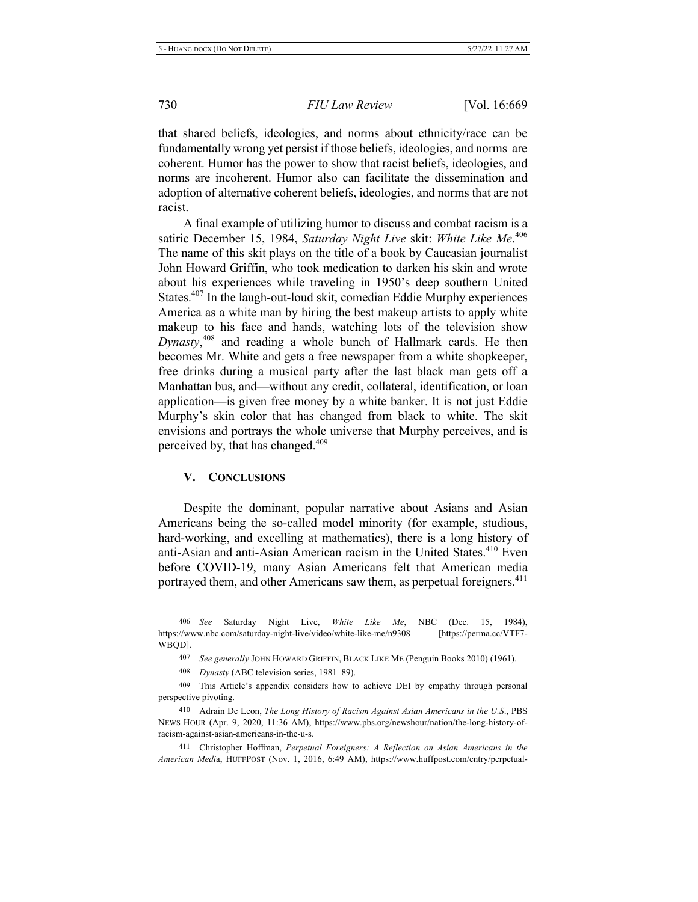that shared beliefs, ideologies, and norms about ethnicity/race can be fundamentally wrong yet persist if those beliefs, ideologies, and norms are coherent. Humor has the power to show that racist beliefs, ideologies, and norms are incoherent. Humor also can facilitate the dissemination and adoption of alternative coherent beliefs, ideologies, and norms that are not racist.

A final example of utilizing humor to discuss and combat racism is a satiric December 15, 1984, Saturday Night Live skit: White Like Me.<sup>406</sup> The name of this skit plays on the title of a book by Caucasian journalist John Howard Griffin, who took medication to darken his skin and wrote about his experiences while traveling in 1950's deep southern United States.<sup>407</sup> In the laugh-out-loud skit, comedian Eddie Murphy experiences America as a white man by hiring the best makeup artists to apply white makeup to his face and hands, watching lots of the television show Dynasty,<sup>408</sup> and reading a whole bunch of Hallmark cards. He then becomes Mr. White and gets a free newspaper from a white shopkeeper, free drinks during a musical party after the last black man gets off a Manhattan bus, and—without any credit, collateral, identification, or loan application—is given free money by a white banker. It is not just Eddie Murphy's skin color that has changed from black to white. The skit envisions and portrays the whole universe that Murphy perceives, and is perceived by, that has changed.<sup>409</sup>

# **V.** CONCLUSIONS

Despite the dominant, popular narrative about Asians and Asian Americans being the so-called model minority (for example, studious, hard-working, and excelling at mathematics), there is a long history of anti-Asian and anti-Asian American racism in the United States.<sup>410</sup> Even before COVID-19, many Asian Americans felt that American media portrayed them, and other Americans saw them, as perpetual foreigners.<sup>411</sup>

<sup>406</sup> See Saturday Night Live, *White Like Me*, NBC (Dec. 15, 1984), https://www.nbc.com/saturday-night-live/video/white-likeme/n9308 [https://perma.cc/VTF7-WBQD].

<sup>407</sup> See generally JOHN HOWARD GRIFFIN, BLACK LIKE ME (Penguin Books 2010) (1961).

<sup>408</sup> *Dynasty* (ABC television series, 1981–89).

<sup>409</sup> This Article's appendix considers how to achieve DEI by empathy through personal perspective pivoting.

<sup>410</sup> Adrain De Leon, *The Long History of Racism Against Asian Americans in the U.S.*, PBS NEWS HOUR (Apr. 9, 2020, 11:36 AM), https://www.pbs.org/newshour/nation/the-long-history-ofracism-against-asian-americans-in-the-u-s.

<sup>411</sup> Christopher Hoffman, Perpetual Foreigners: A Reflection on Asian Americans in the American Media, HUFFPOST (Nov. 1, 2016, 6:49 AM), https://www.huffpost.com/entry/perpetual-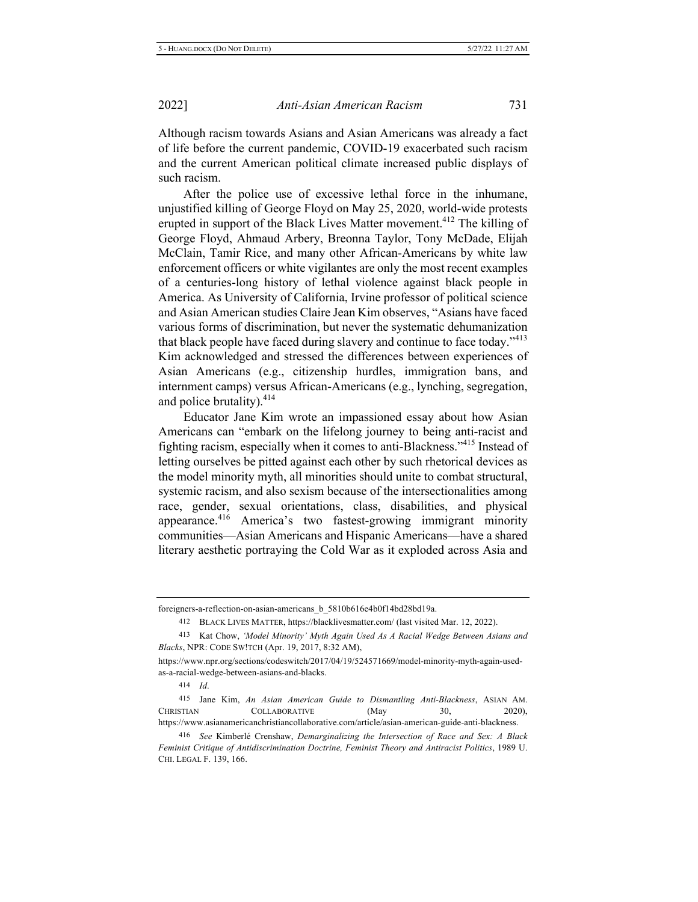Although racism towards Asians and Asian Americans was already a fact of life before the current pandemic, COVID-19 exacerbated such racism and the current American political climate increased public displays of such racism.

After the police use of excessive lethal force in the inhumane, unjustified killing of George Floyd on May 25, 2020, world-wide protests erupted in support of the Black Lives Matter movement.<sup>412</sup> The killing of George Floyd, Ahmaud Arbery, Breonna Taylor, Tony McDade, Elijah McClain, Tamir Rice, and many other African-Americans by white law enforcement officers or white vigilantes are only the most recent examples of a centuries-long history of lethal violence against black people in America. As University of California, Irvine professor of political science and Asian American studies Claire Jean Kim observes, "Asians have faced various forms of discrimination, but never the systematic dehumanization that black people have faced during slavery and continue to face today."<sup>413</sup> Kim acknowledged and stressed the differences between experiences of Asian Americans (e.g., citizenship hurdles, immigration bans, and internment camps) versus African-Americans (e.g., lynching, segregation, and police brutality).<sup>414</sup>

Educator Jane Kim wrote an impassioned essay about how Asian Americans can "embark on the lifelong journey to being anti-racist and fighting racism, especially when it comes to anti-Blackness."<sup>415</sup> Instead of letting ourselves be pitted against each other by such rhetorical devices as the model minority myth, all minorities should unite to combat structural, systemic racism, and also sexism because of the intersectionalities among race, gender, sexual orientations, class, disabilities, and physical appearance.<sup>416</sup> America's two fastest-growing immigrant minority communities—Asian Americans and Hispanic Americans—have a shared literary aesthetic portraying the Cold War as it exploded across Asia and

414 *Id.* 

415 Jane Kim, An Asian American Guide to Dismantling Anti-Blackness, ASIAN AM. CHRISTIAN COLLABORATIVE (May 30, 2020), https://www.asianamericanchristiancollaborative.com/article/asian-american-guide-anti-blackness.

foreigners-a-reflection-on-asian-americans\_b\_5810b616e4b0f14bd28bd19a.

<sup>412</sup> BLACK LIVES MATTER, https://blacklivesmatter.com/ (last visited Mar. 12, 2022).

<sup>&</sup>lt;sup>413</sup> Kat Chow, 'Model Minority' Myth Again Used As A Racial Wedge Between Asians and *Blacks*, NPR: CODE SW!TCH (Apr. 19, 2017, 8:32 AM),

https://www.npr.org/sections/codeswitch/2017/04/19/524571669/model-minority-myth-again-usedas-a-racial-wedge-between-asians-and-blacks.

<sup>&</sup>lt;sup>416</sup> See Kimberlé Crenshaw, *Demarginalizing the Intersection of Race and Sex: A Black Feminist Critique of Antidiscrimination Doctrine, Feminist Theory and Antiracist Politics*, 1989 U. CHI. LEGAL F. 139, 166.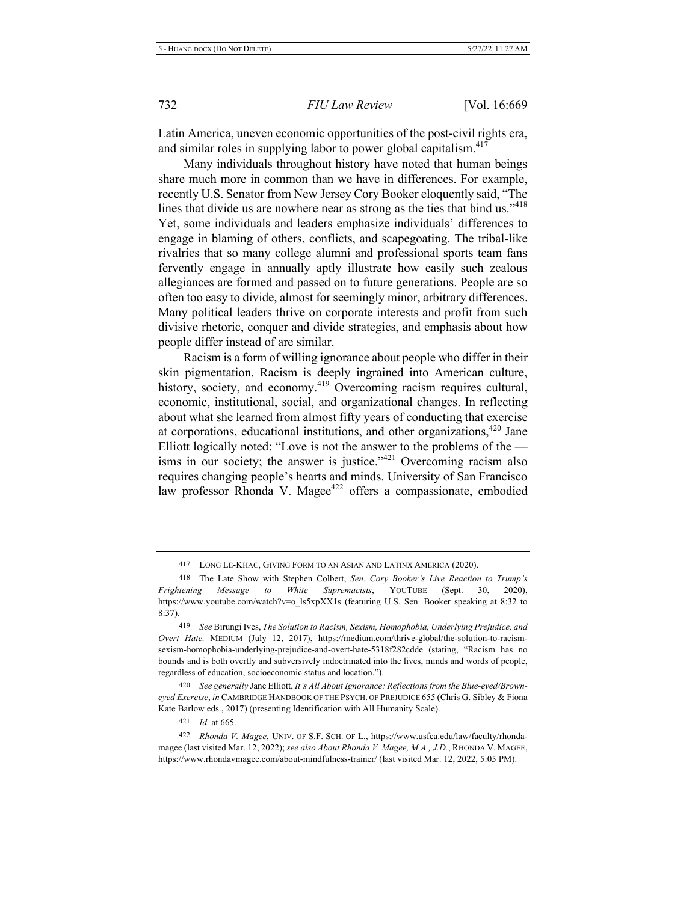Latin America, uneven economic opportunities of the post-civil rights era, and similar roles in supplying labor to power global capitalism.<sup>417</sup>

Many individuals throughout history have noted that human beings share much more in common than we have in differences. For example, recently U.S. Senator from New Jersey Cory Booker eloquently said, "The lines that divide us are nowhere near as strong as the ties that bind us."<sup>418</sup> Yet, some individuals and leaders emphasize individuals' differences to engage in blaming of others, conflicts, and scapegoating. The tribal-like rivalries that so many college alumni and professional sports team fans fervently engage in annually aptly illustrate how easily such zealous allegiances are formed and passed on to future generations. People are so often too easy to divide, almost for seemingly minor, arbitrary differences. Many political leaders thrive on corporate interests and profit from such divisive rhetoric, conquer and divide strategies, and emphasis about how people differ instead of are similar.

Racism is a form of willing ignorance about people who differ in their skin pigmentation. Racism is deeply ingrained into American culture, history, society, and economy.<sup>419</sup> Overcoming racism requires cultural, economic, institutional, social, and organizational changes. In reflecting about what she learned from almost fifty years of conducting that exercise at corporations, educational institutions, and other organizations,<sup>420</sup> Jane Elliott logically noted: "Love is not the answer to the problems of the  $$ isms in our society; the answer is justice."<sup>421</sup> Overcoming racism also requires changing people's hearts and minds. University of San Francisco law professor Rhonda V. Magee<sup>422</sup> offers a compassionate, embodied

420 See generally Jane Elliott, It's All About Ignorance: Reflections from the Blue-eyed/Browneyed Exercise, in CAMBRIDGE HANDBOOK OF THE PSYCH. OF PREJUDICE 655 (Chris G. Sibley & Fiona Kate Barlow eds., 2017) (presenting Identification with All Humanity Scale).

421 *Id.* at 665.

422 Rhonda V. Magee, UNIV. OF S.F. SCH. OF L., https://www.usfca.edu/law/faculty/rhondamagee (last visited Mar. 12, 2022); see also About Rhonda V. Magee, M.A., J.D., RHONDA V. MAGEE, https://www.rhondavmagee.com/about-mindfulness-trainer/ (last visited Mar. 12, 2022, 5:05 PM).

<sup>417</sup> LONG LE-KHAC, GIVING FORM TO AN ASIAN AND LATINX AMERICA (2020).

<sup>&</sup>lt;sup>418</sup> The Late Show with Stephen Colbert, Sen. Cory Booker's Live Reaction to Trump's *Frightening Message to White Supremacists*, YOUTUBE (Sept. 30, 2020), https://www.youtube.com/watch?v=o\_ls5xpXX1s (featuring U.S. Sen. Booker speaking at 8:32 to  $8:37$ ).

<sup>&</sup>lt;sup>419</sup> See Birungi Ives, The Solution to Racism, Sexism, Homophobia, Underlying Prejudice, and Overt Hate, MEDIUM (July 12, 2017), https://medium.com/thrive-global/the-solution-to-racismsexism-homophobia-underlying-prejudice-and-overt-hate-5318f282cdde (stating, "Racism has no bounds and is both overtly and subversively indoctrinated into the lives, minds and words of people, regardless of education, socioeconomic status and location.").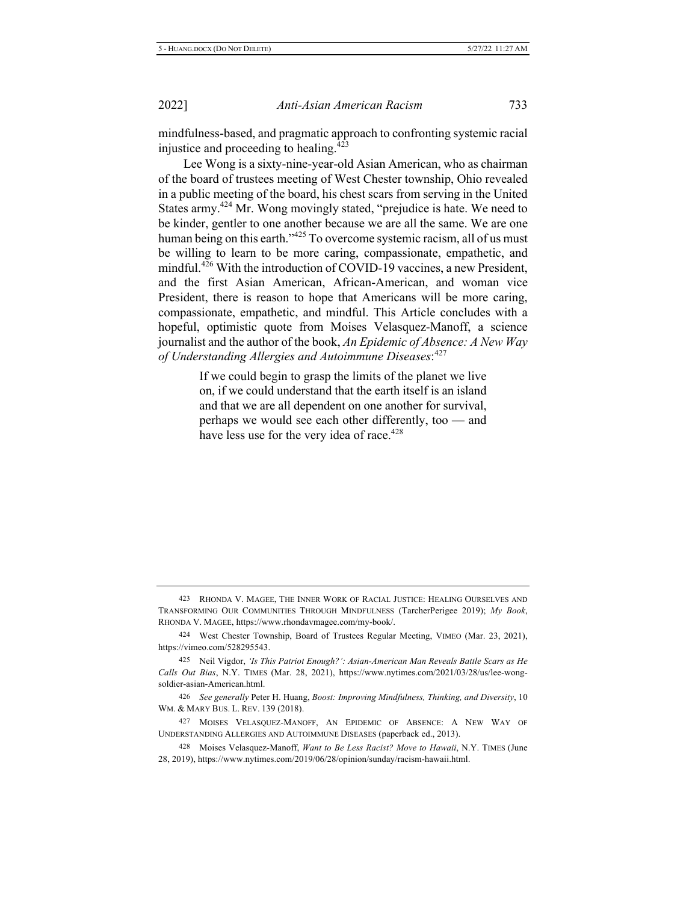mindfulness-based, and pragmatic approach to confronting systemic racial injustice and proceeding to healing.<sup>423</sup>

Lee Wong is a sixty-nine-year-old Asian American, who as chairman of the board of trustees meeting of West Chester township, Ohio revealed in a public meeting of the board, his chest scars from serving in the United States army.<sup>424</sup> Mr. Wong movingly stated, "prejudice is hate. We need to be kinder, gentler to one another because we are all the same. We are one human being on this earth."<sup>425</sup> To overcome systemic racism, all of us must be willing to learn to be more caring, compassionate, empathetic, and mindful.<sup>426</sup> With the introduction of COVID-19 vaccines, a new President, and the first Asian American, African-American, and woman vice President, there is reason to hope that Americans will be more caring, compassionate, empathetic, and mindful. This Article concludes with a hopeful, optimistic quote from Moises Velasquez-Manoff, a science journalist and the author of the book, An Epidemic of Absence: A New Way *3\*!2()678%2(-2+00)6+-)7%2(983-1192)-7)%7)7* 

> If we could begin to grasp the limits of the planet we live on, if we could understand that the earth itself is an island and that we are all dependent on one another for survival, perhaps we would see each other differently, too — and have less use for the very idea of race.<sup>428</sup>

<sup>423</sup> RHONDA V. MAGEE, THE INNER WORK OF RACIAL JUSTICE: HEALING OURSELVES AND TRANSFORMING OUR COMMUNITIES THROUGH MINDFULNESS (TarcherPerigee 2019); My Book, RHONDA V. MAGEE, https://www.rhondavmagee.com/my-book/.

<sup>424</sup> West Chester Township, Board of Trustees Regular Meeting, VIMEO (Mar. 23, 2021), https://vimeo.com/528295543.

<sup>425</sup> Neil Vigdor, 'Is This Patriot Enough?': Asian-American Man Reveals Battle Scars as He Calls Out Bias, N.Y. TIMES (Mar. 28, 2021), https://www.nytimes.com/2021/03/28/us/lee-wongsoldier-asian-American.html.

<sup>&</sup>lt;sup>426</sup> See generally Peter H. Huang, Boost: Improving Mindfulness, Thinking, and Diversity, 10 WM. & MARY BUS. L. REV. 139 (2018).

<sup>427</sup> MOISES VELASQUEZ-MANOFF, AN EPIDEMIC OF ABSENCE: A NEW WAY OF UNDERSTANDING ALLERGIES AND AUTOIMMUNE DISEASES (paperback ed., 2013).

<sup>428</sup> Moises Velasquez-Manoff, Want to Be Less Racist? Move to Hawaii, N.Y. TIMES (June 28, 2019), https://www.nytimes.com/2019/06/28/opinion/sunday/racism-hawaii.html.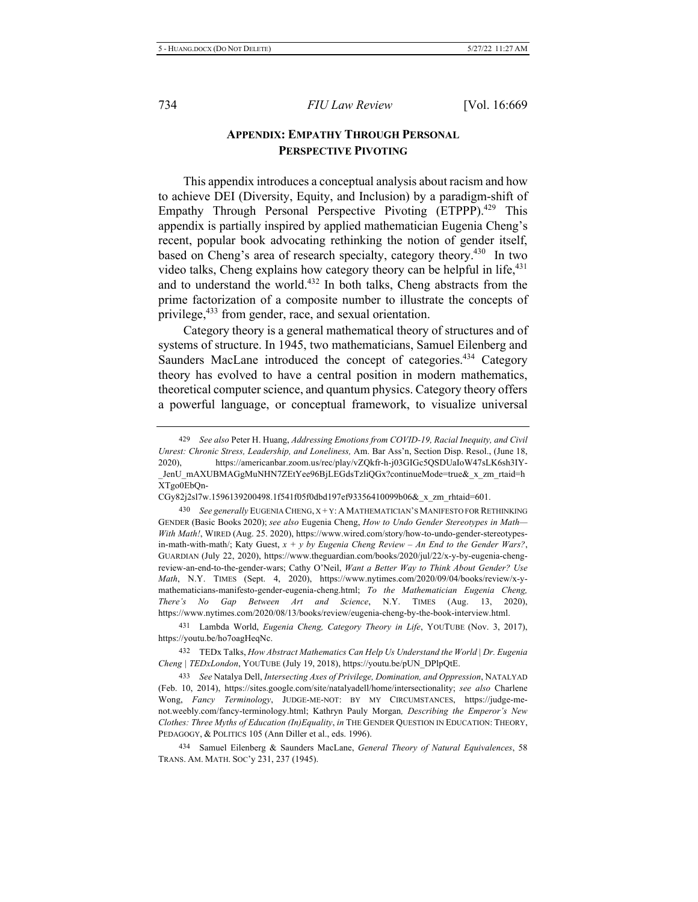# **APPENDIX: EMPATHY THROUGH PERSONAL PERSPECTIVE PIVOTING**

This appendix introduces a conceptual analysis about racism and how to achieve DEI (Diversity, Equity, and Inclusion) by a paradigm-shift of Empathy Through Personal Perspective Pivoting (ETPPP).<sup>429</sup> This appendix is partially inspired by applied mathematician Eugenia Cheng's recent, popular book advocating rethinking the notion of gender itself, based on Cheng's area of research specialty, category theory.<sup>430</sup> In two video talks, Cheng explains how category theory can be helpful in life, <sup>431</sup> and to understand the world.<sup>432</sup> In both talks, Cheng abstracts from the prime factorization of a composite number to illustrate the concepts of privilege,<sup>433</sup> from gender, race, and sexual orientation.

Category theory is a general mathematical theory of structures and of systems of structure. In 1945, two mathematicians, Samuel Eilenberg and Saunders MacLane introduced the concept of categories.<sup>434</sup> Category theory has evolved to have a central position in modern mathematics, theoretical computer science, and quantum physics. Category theory offers a powerful language, or conceptual framework, to visualize universal

<sup>429</sup> See also Peter H. Huang, *Addressing Emotions from COVID-19, Racial Inequity, and Civil Unrest: Chronic Stress, Leadership, and Loneliness, Am. Bar Ass'n, Section Disp. Resol., (June 18,* 2020), https://americanbar.zoom.us/rec/play/vZQkfr-h-j03GIGc5QSDUaIoW47sLK6sh3IY-JenU mAXUBMAGgMuNHN7ZEtYee96BjLEGdsTzliQGx?continueMode=true& x zm rtaid=h XTgo0EbOn-

CGy82j2sl7w.1596139200498.1f541f05f0dbd197ef93356410099b06&\_x\_zm\_rhtaid=601.

<sup>430</sup> See generally EUGENIA CHENG, X + Y: A MATHEMATICIAN'S MANIFESTO FOR RETHINKING GENDER (Basic Books 2020); see also Eugenia Cheng, *How to Undo Gender Stereotypes in Math*— With Math!, WIRED (Aug. 25. 2020), https://www.wired.com/story/how-to-undo-gender-stereotypesin-math-with-math/; Katy Guest,  $x + y$  by Eugenia Cheng Review – An End to the Gender Wars?, GUARDIAN (July 22, 2020), https://www.theguardian.com/books/2020/jul/22/x-y-by-eugenia-chengreview-an-end-to-the-gender-wars; Cathy O'Neil, Want a Better Way to Think About Gender? Use Math, N.Y. TIMES (Sept. 4, 2020), https://www.nytimes.com/2020/09/04/books/review/x-ymathematicians-manifesto-gender-eugenia-cheng.html; To the Mathematician Eugenia Cheng, *There's No Gap Between Art and Science*, N.Y. TIMES (Aug. 13, 2020), https://www.nytimes.com/2020/08/13/books/review/eugenia-cheng-by-the-book-interview.html.

<sup>&</sup>lt;sup>431</sup> Lambda World, *Eugenia Cheng, Category Theory in Life*, YOUTUBE (Nov. 3, 2017), https://youtu.be/ho7oagHeqNc.

<sup>432</sup> TEDx Talks, *How Abstract Mathematics Can Help Us Understand the World | Dr. Eugenia* Cheng | TEDxLondon, YOUTUBE (July 19, 2018), https://youtu.be/pUN\_DPlpQtE.

<sup>&</sup>lt;sup>433</sup> See Natalya Dell, *Intersecting Axes of Privilege, Domination, and Oppression*, NATALYAD (Feb. 10, 2014), https://sites.google.com/site/natalyadell/home/intersectionality; see also Charlene Wong, Fancy Terminology, JUDGE-ME-NOT: BY MY CIRCUMSTANCES, https://judge-menot.weebly.com/fancy-terminology.html; Kathryn Pauly Morgan, *Describing the Emperor's New* Clothes: Three Myths of Education (In)Equality, in THE GENDER QUESTION IN EDUCATION: THEORY, PEDAGOGY, & POLITICS 105 (Ann Diller et al., eds. 1996).

<sup>434</sup> Samuel Eilenberg & Saunders MacLane, *General Theory of Natural Equivalences*, 58 TRANS. AM. MATH. SOC'y 231, 237 (1945).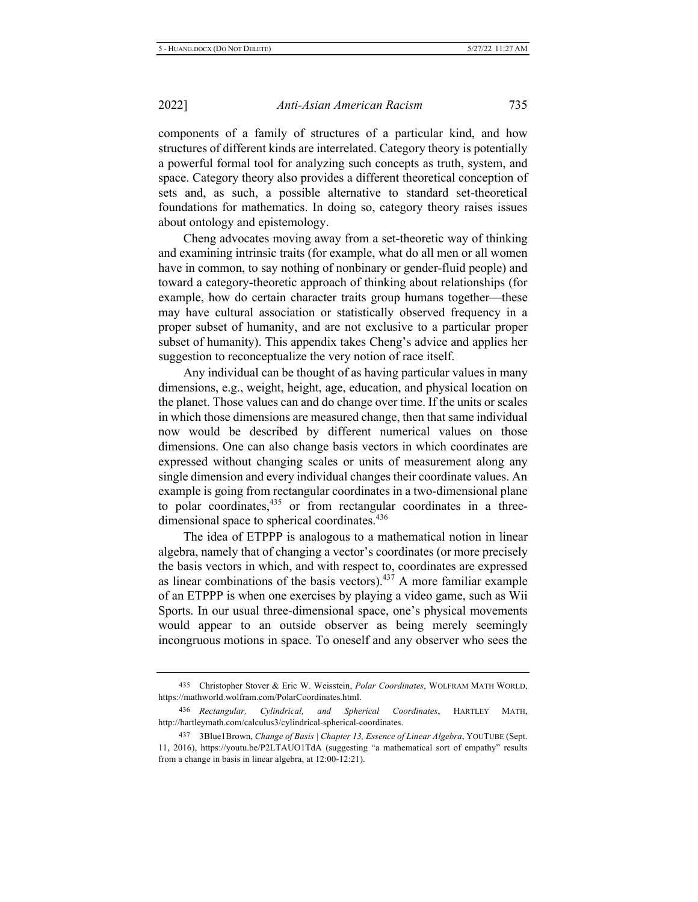components of a family of structures of a particular kind, and how structures of different kinds are interrelated. Category theory is potentially a powerful formal tool for analyzing such concepts as truth, system, and space. Category theory also provides a different theoretical conception of sets and, as such, a possible alternative to standard set-theoretical foundations for mathematics. In doing so, category theory raises issues about ontology and epistemology.

Cheng advocates moving away from a set-theoretic way of thinking and examining intrinsic traits (for example, what do all men or all women have in common, to say nothing of nonbinary or gender-fluid people) and toward a category-theoretic approach of thinking about relationships (for example, how do certain character traits group humans together—these may have cultural association or statistically observed frequency in a proper subset of humanity, and are not exclusive to a particular proper subset of humanity). This appendix takes Cheng's advice and applies her suggestion to reconceptualize the very notion of race itself.

Any individual can be thought of as having particular values in many dimensions, e.g., weight, height, age, education, and physical location on the planet. Those values can and do change over time. If the units or scales in which those dimensions are measured change, then that same individual now would be described by different numerical values on those dimensions. One can also change basis vectors in which coordinates are expressed without changing scales or units of measurement along any single dimension and every individual changes their coordinate values. An example is going from rectangular coordinates in a two-dimensional plane to polar coordinates,  $435$  or from rectangular coordinates in a threedimensional space to spherical coordinates.<sup>436</sup>

The idea of ETPPP is analogous to a mathematical notion in linear algebra, namely that of changing a vector's coordinates (or more precisely the basis vectors in which, and with respect to, coordinates are expressed as linear combinations of the basis vectors).<sup>437</sup> A more familiar example of an ETPPP is when one exercises by playing a video game, such as Wii Sports. In our usual three-dimensional space, one's physical movements would appear to an outside observer as being merely seemingly incongruous motions in space. To oneself and any observer who sees the

<sup>435</sup> Christopher Stover & Eric W. Weisstein, *Polar Coordinates*, WOLFRAM MATH WORLD, https://mathworld.wolfram.com/PolarCoordinates.html.

<sup>436</sup> Rectangular, Cylindrical, and Spherical Coordinates, HARTLEY MATH, http://hartleymath.com/calculus3/cylindrical-spherical-coordinates.

<sup>437 3</sup>Blue1Brown, Change of Basis | Chapter 13, Essence of Linear Algebra, YOUTUBE (Sept. 11, 2016), https://youtu.be/P2LTAUO1TdA (suggesting "a mathematical sort of empathy" results from a change in basis in linear algebra, at 12:00-12:21).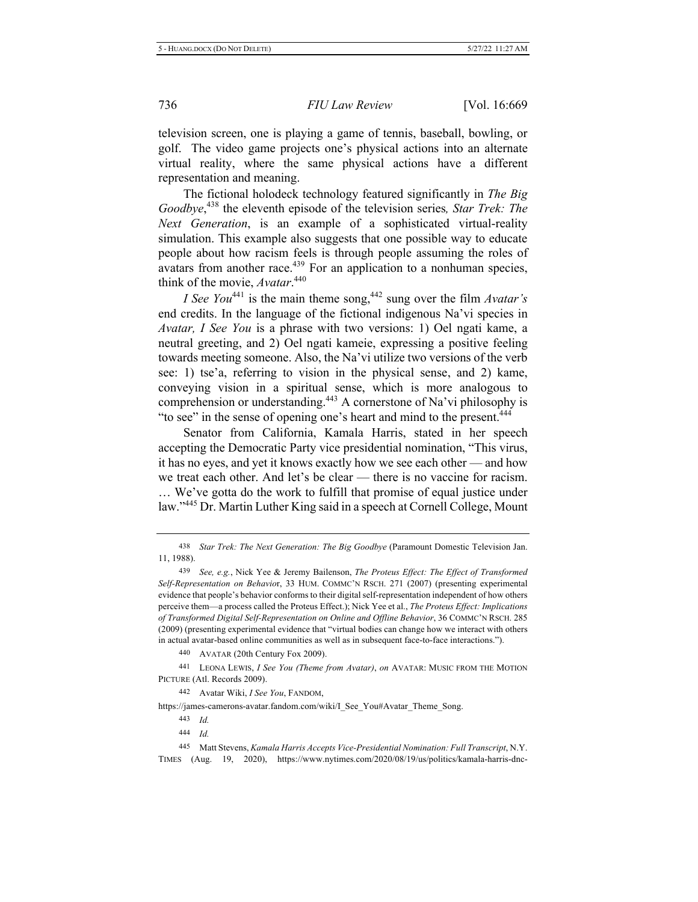television screen, one is playing a game of tennis, baseball, bowling, or golf. The video game projects one's physical actions into an alternate virtual reality, where the same physical actions have a different representation and meaning.

The fictional holodeck technology featured significantly in *The Big* Goodbye,<sup>438</sup> the eleventh episode of the television series, Star Trek: The *Next Generation*, is an example of a sophisticated virtual-reality simulation. This example also suggests that one possible way to educate people about how racism feels is through people assuming the roles of avatars from another race.<sup>439</sup> For an application to a nonhuman species, think of the movie, *Avatar*.<sup>440</sup>

*I* See You<sup>441</sup> is the main theme song,<sup>442</sup> sung over the film *Avatar's* end credits. In the language of the fictional indigenous Na'vi species in *Avatar, I See You* is a phrase with two versions: 1) Oel ngati kame, a neutral greeting, and 2) Oel ngati kameie, expressing a positive feeling towards meeting someone. Also, the Na'vi utilize two versions of the verb see: 1) tse'a, referring to vision in the physical sense, and 2) kame, conveying vision in a spiritual sense, which is more analogous to comprehension or understanding.<sup>443</sup> A cornerstone of Na'vi philosophy is "to see" in the sense of opening one's heart and mind to the present.<sup>444</sup>

Senator from California, Kamala Harris, stated in her speech accepting the Democratic Party vice presidential nomination, "This virus, it has no eyes, and yet it knows exactly how we see each other — and how we treat each other. And let's be clear — there is no vaccine for racism. ... We've gotta do the work to fulfill that promise of equal justice under law."<sup>445</sup> Dr. Martin Luther King said in a speech at Cornell College, Mount

441 LEONA LEWIS, *I See You (Theme from Avatar), on AVATAR: MUSIC FROM THE MOTION* PICTURE (Atl. Records 2009).

442 Avatar Wiki, *I See You*, FANDOM,

https://james-camerons-avatar.fandom.com/wiki/I\_See\_You#Avatar\_Theme\_Song.

<sup>438</sup> Star Trek: The Next Generation: The Big Goodbye (Paramount Domestic Television Jan. 11, 1988).

*<sup>&</sup>lt;sup>439</sup> See, e.g., Nick Yee & Jeremy Bailenson, The Proteus Effect: The Effect of Transformed* Self-Representation on Behavior, 33 HUM. COMMC'N RSCH. 271 (2007) (presenting experimental evidence that people's behavior conforms to their digital self-representation independent of how others perceive them-a process called the Proteus Effect.); Nick Yee et al., The Proteus Effect: Implications of Transformed Digital Self-Representation on Online and Offline Behavior, 36 COMMC'N RSCH. 285 (2009) (presenting experimental evidence that "virtual bodies can change how we interact with others in actual avatar-based online communities as well as in subsequent face-to-face interactions.").

<sup>440</sup> AVATAR (20th Century Fox 2009).

 *<sup>4</sup>* 

 *<sup>4</sup>* 

<sup>145</sup> Matt Stevens, *Kamala Harris Accepts Vice-Presidential Nomination: Full Transcript*, N.Y. TIMES (Aug. 19, 2020), https://www.nytimes.com/2020/08/19/us/politics/kamala-harris-dnc-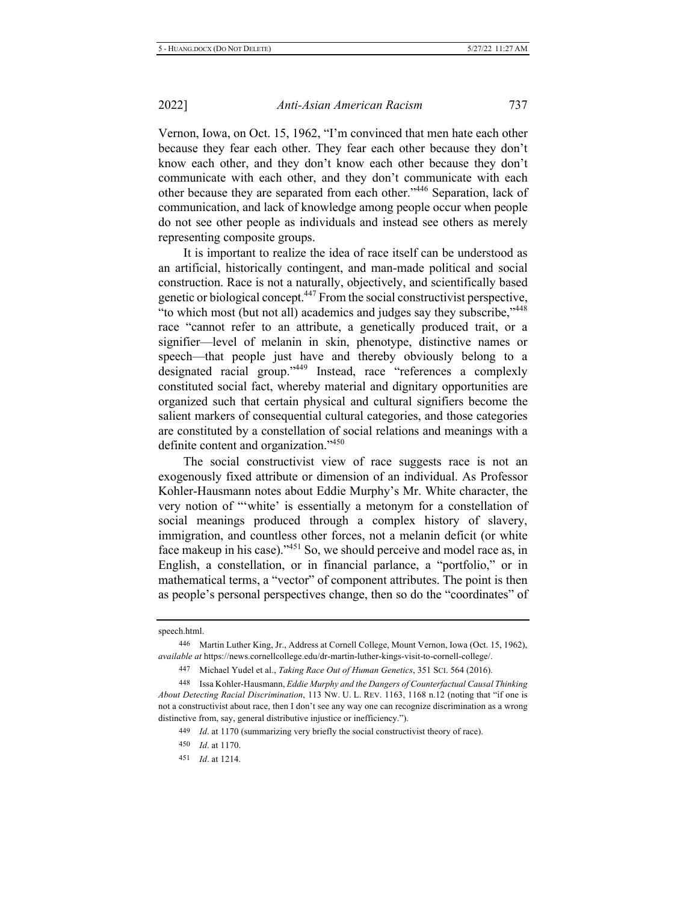Vernon, Iowa, on Oct. 15, 1962, "I'm convinced that men hate each other because they fear each other. They fear each other because they don't know each other, and they don't know each other because they don't communicate with each other, and they don't communicate with each other because they are separated from each other."<sup>446</sup> Separation, lack of communication, and lack of knowledge among people occur when people do not see other people as individuals and instead see others as merely representing composite groups.

It is important to realize the idea of race itself can be understood as an artificial, historically contingent, and man-made political and social construction. Race is not a naturally, objectively, and scientifically based genetic or biological concept.<sup>447</sup> From the social constructivist perspective, "to which most (but not all) academics and judges say they subscribe,"448 race "cannot refer to an attribute, a genetically produced trait, or a signifier—level of melanin in skin, phenotype, distinctive names or speech—that people just have and thereby obviously belong to a designated racial group."<sup>449</sup> Instead, race "references a complexly constituted social fact, whereby material and dignitary opportunities are organized such that certain physical and cultural signifiers become the salient markers of consequential cultural categories, and those categories are constituted by a constellation of social relations and meanings with a definite content and organization."<sup>450</sup>

The social constructivist view of race suggests race is not an exogenously fixed attribute or dimension of an individual. As Professor Kohler-Hausmann notes about Eddie Murphy's Mr. White character, the very notion of ""white' is essentially a metonym for a constellation of social meanings produced through a complex history of slavery, immigration, and countless other forces, not a melanin deficit (or white face makeup in his case)." $^{451}$  So, we should perceive and model race as, in English, a constellation, or in financial parlance, a "portfolio," or in mathematical terms, a "vector" of component attributes. The point is then as people's personal perspectives change, then so do the "coordinates" of

450 *Id.* at 1170.

speech.html.

<sup>446</sup> Martin Luther King, Jr., Address at Cornell College, Mount Vernon, Iowa (Oct. 15, 1962), available at https://news.cornellcollege.edu/dr-martin-luther-kings-visit-to-cornell-college/.

<sup>447</sup> Michael Yudel et al., Taking Race Out of Human Genetics, 351 SCI. 564 (2016).

<sup>448</sup> Issa Kohler-Hausmann, *Eddie Murphy and the Dangers of Counterfactual Causal Thinking About Detecting Racial Discrimination, 113 Nw. U. L. REV. 1163, 1168 n.12 (noting that "if one is* not a constructivist about race, then I don't see any way one can recognize discrimination as a wrong distinctive from, say, general distributive injustice or inefficiency.").

<sup>449</sup> *Id.* at 1170 (summarizing very briefly the social constructivist theory of race).

<sup>451</sup> *Id.* at 1214.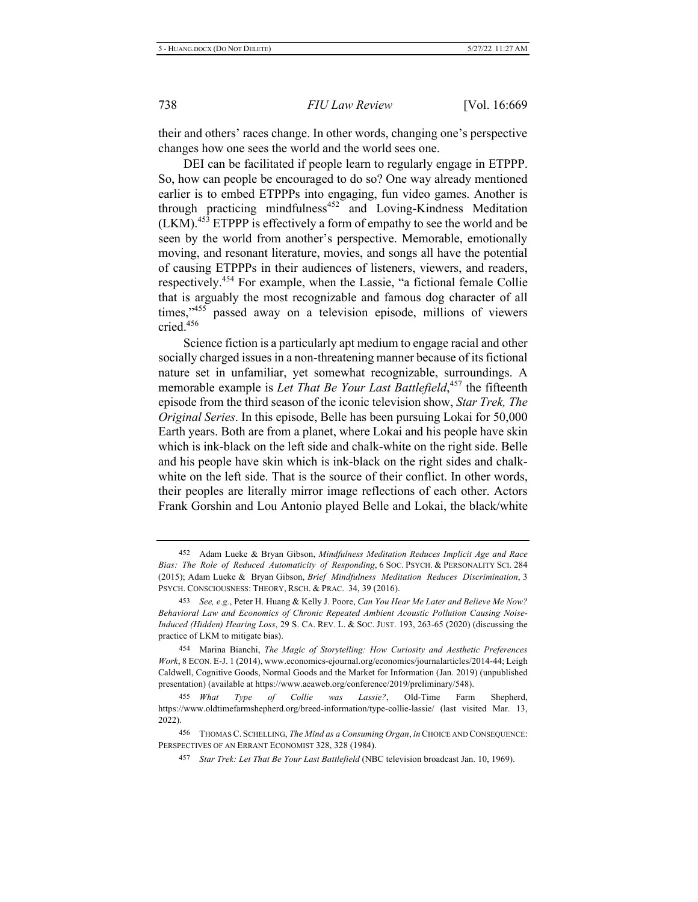their and others' races change. In other words, changing one's perspective changes how one sees the world and the world sees one.

DEI can be facilitated if people learn to regularly engage in ETPPP. So, how can people be encouraged to do so? One way already mentioned earlier is to embed ETPPPs into engaging, fun video games. Another is through practicing mindfulness<sup>452</sup> and Loving-Kindness Meditation (LKM).<sup>453</sup> ETPPP is effectively a form of empathy to see the world and be seen by the world from another's perspective. Memorable, emotionally moving, and resonant literature, movies, and songs all have the potential of causing ETPPPs in their audiences of listeners, viewers, and readers, respectively.<sup>454</sup> For example, when the Lassie, "a fictional female Collie that is arguably the most recognizable and famous dog character of all times,"<sup>455</sup> passed away on a television episode, millions of viewers cried.<sup>456</sup>

Science fiction is a particularly apt medium to engage racial and other socially charged issues in a non-threatening manner because of its fictional nature set in unfamiliar, yet somewhat recognizable, surroundings. A memorable example is *Let That Be Your Last Battlefield*,<sup>457</sup> the fifteenth episode from the third season of the iconic television show, Star Trek, The Original Series. In this episode, Belle has been pursuing Lokai for 50,000 Earth years. Both are from a planet, where Lokai and his people have skin which is ink-black on the left side and chalk-white on the right side. Belle and his people have skin which is ink-black on the right sides and chalkwhite on the left side. That is the source of their conflict. In other words, their peoples are literally mirror image reflections of each other. Actors Frank Gorshin and Lou Antonio played Belle and Lokai, the black/white

<sup>452</sup> Adam Lueke & Bryan Gibson, *Mindfulness Meditation Reduces Implicit Age and Race* Bias: The Role of Reduced Automaticity of Responding, 6 Soc. PSYCH. & PERSONALITY SCI. 284 (2015); Adam Lueke & Bryan Gibson, *Brief Mindfulness Meditation Reduces Discrimination*, 3 PSYCH. CONSCIOUSNESS: THEORY, RSCH. & PRAC. 34, 39 (2016).

<sup>453</sup> See, e.g., Peter H. Huang & Kelly J. Poore, Can You Hear Me Later and Believe Me Now? Behavioral Law and Economics of Chronic Repeated Ambient Acoustic Pollution Causing Noise-Induced (Hidden) Hearing Loss, 29 S. CA. REV. L. & Soc. JUST. 193, 263-65 (2020) (discussing the practice of LKM to mitigate bias).

<sup>&</sup>lt;sup>454</sup> Marina Bianchi, *The Magic of Storytelling: How Curiosity and Aesthetic Preferences* Work, 8 ECON. E-J. 1 (2014), www.economics-ejournal.org/economics/journalarticles/2014-44; Leigh Caldwell, Cognitive Goods, Normal Goods and the Market for Information (Jan. 2019) (unpublished presentation) (available at https://www.aeaweb.org/conference/2019/preliminary/548).

<sup>455</sup> What Type of Collie was Lassie?, Old-Time Farm Shepherd, https://www.oldtimefarmshepherd.org/breed-information/type-collie-lassie/ (last visited Mar. 13, 2022).

<sup>156</sup> THOMAS C. SCHELLING, The Mind as a Consuming Organ, in CHOICE AND CONSEQUENCE: PERSPECTIVES OF AN ERRANT ECONOMIST 328, 328 (1984).

<sup>&</sup>lt;sup>457</sup> Star Trek: Let That Be Your Last Battlefield (NBC television broadcast Jan. 10, 1969).